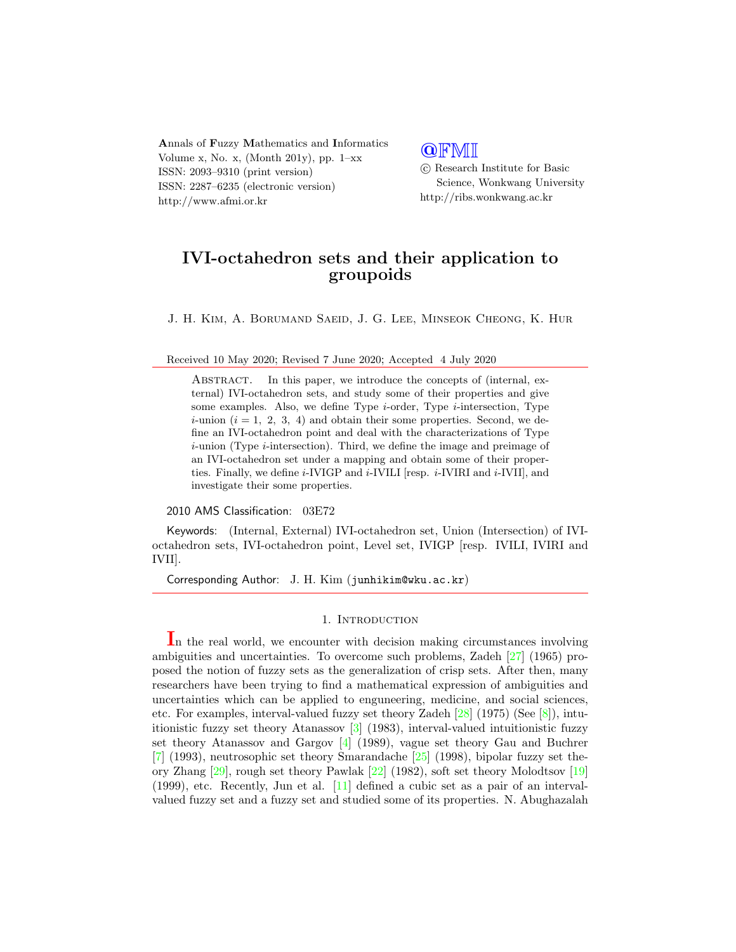Annals of Fuzzy Mathematics and Informatics Volume x, No. x, (Month 201y), pp.  $1-xx$ ISSN: 2093–9310 (print version) ISSN: 2287–6235 (electronic version) http://www.afmi.or.kr

# **QFMI**

 c Research Institute for Basic Science, Wonkwang University http://ribs.wonkwang.ac.kr

# IVI-octahedron sets and their application to groupoids

J. H. Kim, A. Borumand Saeid, J. G. Lee, Minseok Cheong, K. Hur

Received 10 May 2020; Revised 7 June 2020; Accepted 4 July 2020

Abstract. In this paper, we introduce the concepts of (internal, external) IVI-octahedron sets, and study some of their properties and give some examples. Also, we define Type  $i$ -order, Type  $i$ -intersection, Type *i*-union  $(i = 1, 2, 3, 4)$  and obtain their some properties. Second, we define an IVI-octahedron point and deal with the characterizations of Type  $i$ -union (Type  $i$ -intersection). Third, we define the image and preimage of an IVI-octahedron set under a mapping and obtain some of their properties. Finally, we define  $i$ -IVIGP and  $i$ -IVILI [resp.  $i$ -IVIRI and  $i$ -IVII], and investigate their some properties.

2010 AMS Classification: 03E72

Keywords: (Internal, External) IVI-octahedron set, Union (Intersection) of IVIoctahedron sets, IVI-octahedron point, Level set, IVIGP [resp. IVILI, IVIRI and IVII].

Corresponding Author: J. H. Kim (junhikim@wku.ac.kr)

## 1. INTRODUCTION

In the real world, we encounter with decision making circumstances involving ambiguities and uncertainties. To overcome such problems, Zadeh [\[27\]](#page-38-0) (1965) proposed the notion of fuzzy sets as the generalization of crisp sets. After then, many researchers have been trying to find a mathematical expression of ambiguities and uncertainties which can be applied to enguneering, medicine, and social sciences, etc. For examples, interval-valued fuzzy set theory Zadeh [\[28\]](#page-38-1) (1975) (See [\[8\]](#page-37-0)), intuitionistic fuzzy set theory Atanassov [\[3\]](#page-37-1) (1983), interval-valued intuitionistic fuzzy set theory Atanassov and Gargov [\[4\]](#page-37-2) (1989), vague set theory Gau and Buchrer [\[7\]](#page-37-3) (1993), neutrosophic set theory Smarandache [\[25\]](#page-38-2) (1998), bipolar fuzzy set theory Zhang [\[29\]](#page-38-3), rough set theory Pawlak [\[22\]](#page-38-4) (1982), soft set theory Molodtsov [\[19\]](#page-37-4) (1999), etc. Recently, Jun et al. [\[11\]](#page-37-5) defined a cubic set as a pair of an intervalvalued fuzzy set and a fuzzy set and studied some of its properties. N. Abughazalah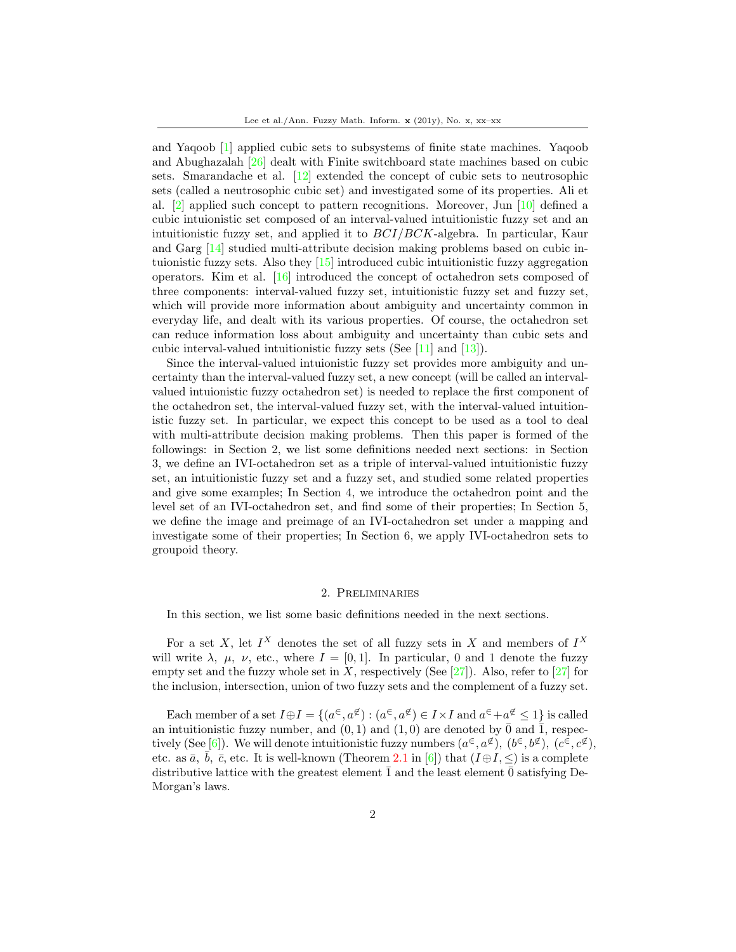and Yaqoob [\[1\]](#page-37-6) applied cubic sets to subsystems of finite state machines. Yaqoob and Abughazalah [\[26\]](#page-38-5) dealt with Finite switchboard state machines based on cubic sets. Smarandache et al. [\[12\]](#page-37-7) extended the concept of cubic sets to neutrosophic sets (called a neutrosophic cubic set) and investigated some of its properties. Ali et al. [\[2\]](#page-37-8) applied such concept to pattern recognitions. Moreover, Jun [\[10\]](#page-37-9) defined a cubic intuionistic set composed of an interval-valued intuitionistic fuzzy set and an intuitionistic fuzzy set, and applied it to BCI/BCK-algebra. In particular, Kaur and Garg [\[14\]](#page-37-10) studied multi-attribute decision making problems based on cubic intuionistic fuzzy sets. Also they  $[15]$  introduced cubic intuitionistic fuzzy aggregation operators. Kim et al. [\[16\]](#page-37-12) introduced the concept of octahedron sets composed of three components: interval-valued fuzzy set, intuitionistic fuzzy set and fuzzy set, which will provide more information about ambiguity and uncertainty common in everyday life, and dealt with its various properties. Of course, the octahedron set can reduce information loss about ambiguity and uncertainty than cubic sets and cubic interval-valued intuitionistic fuzzy sets (See [\[11\]](#page-37-5) and [\[13\]](#page-37-13)).

Since the interval-valued intuionistic fuzzy set provides more ambiguity and uncertainty than the interval-valued fuzzy set, a new concept (will be called an intervalvalued intuionistic fuzzy octahedron set) is needed to replace the first component of the octahedron set, the interval-valued fuzzy set, with the interval-valued intuitionistic fuzzy set. In particular, we expect this concept to be used as a tool to deal with multi-attribute decision making problems. Then this paper is formed of the followings: in Section 2, we list some definitions needed next sections: in Section 3, we define an IVI-octahedron set as a triple of interval-valued intuitionistic fuzzy set, an intuitionistic fuzzy set and a fuzzy set, and studied some related properties and give some examples; In Section 4, we introduce the octahedron point and the level set of an IVI-octahedron set, and find some of their properties; In Section 5, we define the image and preimage of an IVI-octahedron set under a mapping and investigate some of their properties; In Section 6, we apply IVI-octahedron sets to groupoid theory.

## 2. Preliminaries

In this section, we list some basic definitions needed in the next sections.

For a set X, let  $I^X$  denotes the set of all fuzzy sets in X and members of  $I^X$ will write  $\lambda$ ,  $\mu$ ,  $\nu$ , etc., where  $I = [0, 1]$ . In particular, 0 and 1 denote the fuzzy empty set and the fuzzy whole set in X, respectively (See  $[27]$ ). Also, refer to  $[27]$  for the inclusion, intersection, union of two fuzzy sets and the complement of a fuzzy set.

Each member of a set  $I \oplus I = \{(a^{\in}, a^{\notin}) : (a^{\in}, a^{\notin}) \in I \times I \text{ and } a^{\in} + a^{\notin} \leq 1\}$  is called an intuitionistic fuzzy number, and  $(0, 1)$  and  $(1, 0)$  are denoted by  $\overline{0}$  and  $\overline{1}$ , respec-tively (See [\[6\]](#page-37-14)). We will denote intuitionistic fuzzy numbers  $(a^{\in}, a^{\notin})$ ,  $(b^{\in}, b^{\notin})$ ,  $(c^{\in}, c^{\notin})$ , etc. as  $\bar{a}$ , b,  $\bar{c}$ , etc. It is well-known (Theorem 2.1 in [\[6\]](#page-37-14)) that  $(I \oplus I, \leq)$  is a complete distributive lattice with the greatest element  $\bar{1}$  and the least element  $\bar{0}$  satisfying De-Morgan's laws.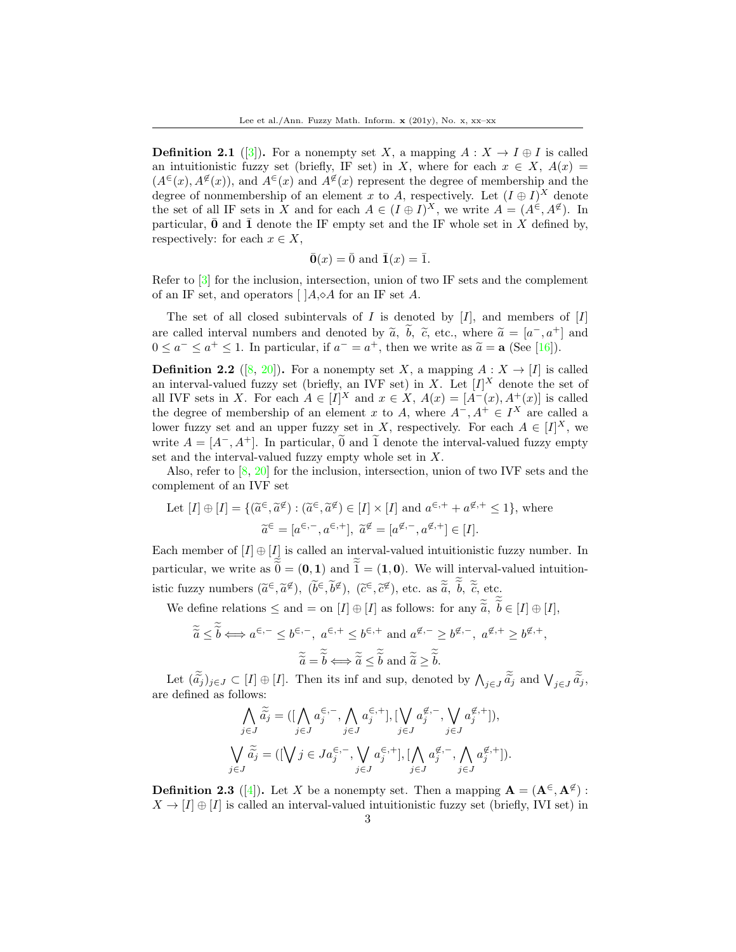**Definition 2.1** ([\[3\]](#page-37-1)). For a nonempty set X, a mapping  $A: X \to I \oplus I$  is called an intuitionistic fuzzy set (briefly, IF set) in X, where for each  $x \in X$ ,  $A(x) =$  $(A^{\infty}(x), A^{\notin}(x))$ , and  $A^{\infty}(x)$  and  $A^{\notin}(x)$  represent the degree of membership and the degree of nonmembership of an element x to A, respectively. Let  $(I \oplus I)^X$  denote the set of all IF sets in X and for each  $A \in (I \oplus I)^X$ , we write  $A = (A^{\in}, A^{\notin})$ . In particular,  $\bar{\mathbf{0}}$  and  $\bar{\mathbf{1}}$  denote the IF empty set and the IF whole set in X defined by, respectively: for each  $x \in X$ ,

$$
\bar{\mathbf{0}}(x) = \bar{0}
$$
 and  $\bar{\mathbf{1}}(x) = \bar{1}$ .

Refer to [\[3\]](#page-37-1) for the inclusion, intersection, union of two IF sets and the complement of an IF set, and operators  $\left[ \right] A, \diamond A$  for an IF set A.

The set of all closed subintervals of I is denoted by  $[I]$ , and members of  $[I]$ are called interval numbers and denoted by  $\tilde{a}$ ,  $\tilde{b}$ ,  $\tilde{c}$ , etc., where  $\tilde{a} = [a^-, a^+]$  and  $0 \le a^- \le a^+ \le 1$ . In particular, if  $a^- = a^+$ , then we write as  $\tilde{a} = a$ . (See [16])  $0 \le a^- \le a^+ \le 1$ . In particular, if  $a^- = a^+$ , then we write as  $\tilde{a} = \mathbf{a}$  (See [\[16\]](#page-37-12)).

**Definition 2.2** ([\[8,](#page-37-0) [20\]](#page-38-6)). For a nonempty set X, a mapping  $A: X \rightarrow [I]$  is called an interval-valued fuzzy set (briefly, an IVF set) in X. Let  $[I]^{X}$  denote the set of all IVF sets in X. For each  $A \in [I]^X$  and  $x \in X$ ,  $A(x) = [A^-(x), A^+(x)]$  is called the degree of membership of an element x to A, where  $A^-$ ,  $A^+ \in I^X$  are called a lower fuzzy set and an upper fuzzy set in X, respectively. For each  $A \in [I]^X$ , we write  $A = [A^-, A^+]$ . In particular,  $\tilde{0}$  and  $\tilde{1}$  denote the interval-valued fuzzy empty set and the interval-valued fuzzy empty whole set in X.

Also, refer to  $[8, 20]$  $[8, 20]$  $[8, 20]$  for the inclusion, intersection, union of two IVF sets and the complement of an IVF set

Let 
$$
[I] \oplus [I] = \{ (\tilde{a}^{\epsilon}, \tilde{a}^{\epsilon}) : (\tilde{a}^{\epsilon}, \tilde{a}^{\epsilon}) \in [I] \times [I] \text{ and } a^{\epsilon,+} + a^{\epsilon,+} \le 1 \}, \text{ where}
$$
  

$$
\tilde{a}^{\epsilon} = [a^{\epsilon,-}, a^{\epsilon,+}], \tilde{a}^{\epsilon} = [a^{\epsilon,-}, a^{\epsilon,+}] \in [I].
$$

Each member of  $[I] \oplus [I]$  is called an interval-valued intuitionistic fuzzy number. In particular, we write as  $\tilde{\theta} = (0, 1)$  and  $\tilde{\tilde{1}} = (1, 0)$ . We will interval-valued intuitionistic fuzzy numbers  $(\tilde{a}^{\in}, \tilde{a}^{\notin}), (\tilde{b}^{\in}, \tilde{b}^{\notin}), (\tilde{c}^{\in}, \tilde{c}^{\notin})$ , etc. as  $\tilde{a}, \tilde{b}, \tilde{c}$ , etc.  $\approx \tilde{c}$ 

We define relations  $\leq$  and  $=$  on  $[I] \oplus [I]$  as follows: for any  $\tilde{a}$ ,  $b \in [I] \oplus [I]$ ,

$$
\widetilde{\widetilde{a}} \leq \widetilde{\widetilde{b}} \Longleftrightarrow a^{\in,-} \leq b^{\in,-}, \ a^{\in,+} \leq b^{\in,+} \text{ and } a^{\notin,-} \geq b^{\notin,-}, \ a^{\notin,+} \geq b^{\notin,+},
$$

$$
\widetilde{\widetilde{a}} = \widetilde{\widetilde{b}} \Longleftrightarrow \widetilde{\widetilde{a}} \leq \widetilde{\widetilde{b}} \text{ and } \widetilde{\widetilde{a}} \geq \widetilde{\widetilde{b}}.
$$

Let  $(\tilde{a}_j)_{j\in J} \subset [I] \oplus [I]$ . Then its inf and sup, denoted by  $\bigwedge_{j\in J} \tilde{a}_j$  and  $\bigvee_{j\in J} \tilde{a}_j$ , are defined as follows:

$$
\bigwedge_{j\in J} \widetilde{a}_j = ([\bigwedge_{j\in J} a_j^{\in,-}, \bigwedge_{j\in J} a_j^{\in,+}], [\bigvee_{j\in J} a_j^{\notin,-}, \bigvee_{j\in J} a_j^{\notin,+}]),
$$
\n
$$
\bigvee_{j\in J} \widetilde{a}_j = ([\bigvee_{j\in J} j \in J a_j^{\in,-}, \bigvee_{j\in J} a_j^{\in,+}], [\bigwedge_{j\in J} a_j^{\notin,-}, \bigwedge_{j\in J} a_j^{\notin,+}]).
$$

**Definition 2.3** ([\[4\]](#page-37-2)). Let X be a nonempty set. Then a mapping  $\mathbf{A} = (\mathbf{A}^{\in}, \mathbf{A}^{\notin})$ :  $X \to [I] \oplus [I]$  is called an interval-valued intuitionistic fuzzy set (briefly, IVI set) in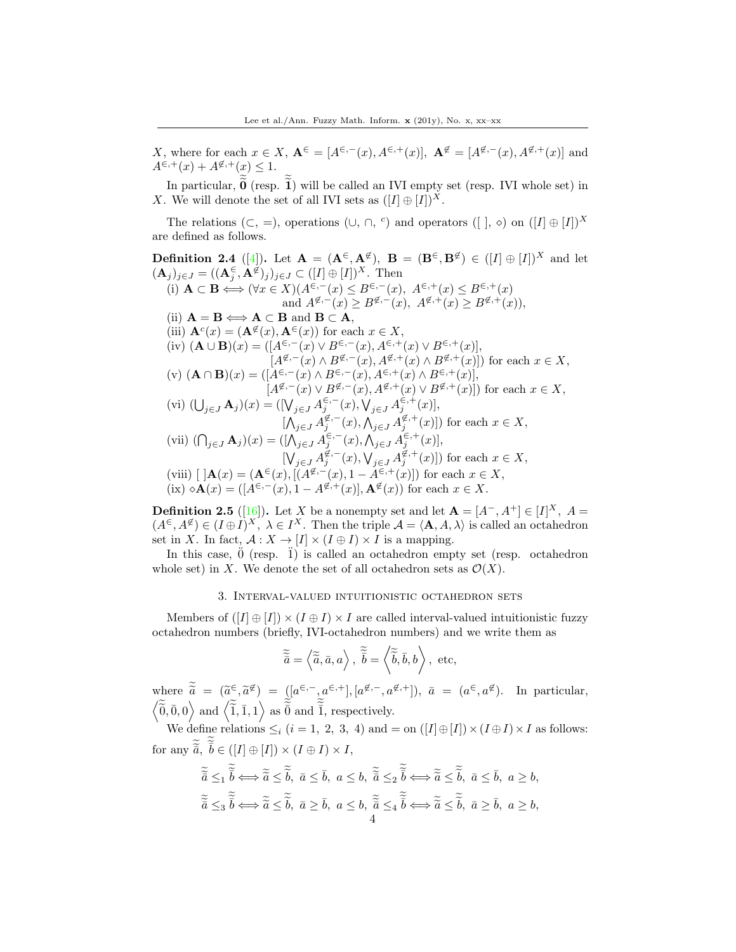X, where for each  $x \in X$ ,  $A^{\infty} = [A^{\infty,-}(x), A^{\infty,+}(x)], A^{\notinfty} = [A^{\notinfty,-}(x), A^{\notinfty,+}(x)]$  and  $A^{\in, +}(x) + A^{\notin, +}(x) \leq 1.$ 

In particular,  $\mathbf{0}$  (resp. 1) will be called an IVI empty set (resp. IVI whole set) in X. We will denote the set of all IVI sets as  $([I] \oplus [I])^X$ .

The relations  $(C, =)$ , operations  $(U, \cap, {}^c)$  and operators  $([ , \circ)$  on  $([I] \oplus [I])^X$ are defined as follows.

**Definition 2.4** ([\[4\]](#page-37-2)). Let  $\mathbf{A} = (\mathbf{A}^{\in}, \mathbf{A}^{\notin})$ ,  $\mathbf{B} = (\mathbf{B}^{\in}, \mathbf{B}^{\notin}) \in ([I] \oplus [I])^X$  and let  $(\mathbf{A}_j)_{j\in J} = ((\mathbf{A}_j^{\in}, \mathbf{A}^{\notin})_j)_{j\in J} \subset ([I] \oplus [I])^X$ . Then (i)  $\mathbf{A} \subset \mathbf{B} \Longleftrightarrow (\forall x \in X)(A^{\in,-}(x) \leq B^{\in,-}(x), A^{\in,+}(x) \leq B^{\in,+}(x))$ and  $A^{\not\in,-}(x) \ge B^{\not\in,-}(x)$ ,  $A^{\not\in,+}(x) \ge B^{\not\in,+}(x)$ , (ii)  $A = B \Longleftrightarrow A \subset B$  and  $B \subset A$ , (iii)  $\mathbf{A}^{c}(x) = (\mathbf{A}^{\notin}(x), \mathbf{A}^{\in}(x))$  for each  $x \in X$ , (iv)  $(\mathbf{A} \cup \mathbf{B})(x) = ([A^{\in,-}(x) \vee B^{\in,-}(x), A^{\in,+}(x) \vee B^{\in,+}(x)],$  $[A^{\notin,-}(x) \wedge B^{\notin,-}(x), A^{\notin,+}(x) \wedge B^{\notin,+}(x)]$  for each  $x \in X$ , (v)  $(**A** ∩ **B**)(x) = ([A<sup>∈</sup>, – (x) ∧ B<sup>∈</sup>, – (x), A<sup>∈</sup>, + (x) ∧ B<sup>∈</sup>, + (x)],$  $[A^{\notin,-}(x) \vee B^{\notin,-}(x), A^{\notin,+}(x) \vee B^{\notin,+}(x)]$  for each  $x \in X$ , (vi)  $(\bigcup_{j\in J} A_j)(x) = ([\bigvee_{j\in J} A_j^{\in,-}(x), \bigvee_{j\in J} A_j^{\in,+}(x)],$  $[\bigwedge_{j\in J} A_j^{\not\in,-}(x), \bigwedge_{j\in J} A_j^{\not\in,+}(x)]$  for each  $x \in X$ , (vii)  $(\bigcap_{j\in J} A_j)(x) = ([\bigwedge_{j\in J} A_j^{\in,-}(x), \bigwedge_{j\in J} A_j^{\in,+}(x)],$  $[\bigvee_{j\in J} A_j^{\not\in,-}(x),\bigvee_{j\in J} A_j^{\not\in,+}(x)]$  for each  $x\in X$ , (viii)  $[A(x) = (A^{\epsilon}(x), [(A^{\epsilon} - (x), 1 - A^{\epsilon,+}(x)])$  for each  $x \in X$ , (ix)  $\circ \mathbf{A}(x) = ([A^{\in,-}(x), 1 - A^{\notin,+}(x)], \mathbf{A}^{\notin}(x))$  for each  $x \in X$ .

**Definition 2.5** ([\[16\]](#page-37-12)). Let X be a nonempty set and let  $A = [A^-, A^+] \in [I]^X$ ,  $A =$  $(A^{\epsilon}, A^{\epsilon}) \in (I \oplus I)^{X}, \ \lambda \in I^{X}$ . Then the triple  $\mathcal{A} = \langle \mathbf{A}, A, \lambda \rangle$  is called an octahedron set in X. In fact,  $\mathcal{A}: X \to [I] \times (I \oplus I) \times I$  is a mapping.

In this case,  $\ddot{0}$  (resp.  $\ddot{1}$ ) is called an octahedron empty set (resp. octahedron whole set) in X. We denote the set of all octahedron sets as  $\mathcal{O}(X)$ .

## 3. Interval-valued intuitionistic octahedron sets

Members of  $([I] \oplus [I]) \times (I \oplus I) \times I$  are called interval-valued intuitionistic fuzzy octahedron numbers (briefly, IVI-octahedron numbers) and we write them as

$$
\widetilde{\tilde{\vec{a}}} = \langle \widetilde{\tilde{a}}, \bar{a}, a \rangle, \ \widetilde{\tilde{b}} = \langle \widetilde{\tilde{b}}, \bar{b}, b \rangle, \ \text{etc},
$$

where  $\tilde{\tilde{a}} = (\tilde{a}^{\epsilon}, \tilde{a}^{\epsilon}) = ([a^{\epsilon}, -, a^{\epsilon,+}], [a^{\epsilon}, -, a^{\epsilon,+}]), \ \bar{a} = (a^{\epsilon}, a^{\epsilon}).$  In particular,  $\langle \tilde{\overline{0}}, \overline{0}, 0 \rangle$  and  $\langle \tilde{\overline{1}}, \overline{1}, 1 \rangle$  as  $\tilde{\overline{0}}$  and  $\tilde{\overline{1}}$ , respectively.

We define relations  $\leq_i (i = 1, 2, 3, 4)$  and  $=$  on  $([I] \oplus [I]) \times (I \oplus I) \times I$  as follows: for any  $\tilde{\vec{a}}, \ \tilde{\vec{b}} \in ([I] \oplus [I]) \times (I \oplus I) \times I$ ,

$$
\begin{aligned}\n\widetilde{\tilde{a}} \leq_1 \widetilde{\tilde{b}} &\Longleftrightarrow \widetilde{\tilde{a}} \leq \widetilde{\tilde{b}}, \ \bar{a} \leq \bar{b}, \ a \leq b, \ \widetilde{\tilde{a}} \leq_2 \widetilde{\tilde{b}} &\Longleftrightarrow \widetilde{\tilde{a}} \leq \widetilde{\tilde{b}}, \ \bar{a} \leq \bar{b}, \ a \geq b, \\
\widetilde{\tilde{a}} \leq_3 \widetilde{\tilde{b}} &\Longleftrightarrow \widetilde{\tilde{a}} \leq \widetilde{\tilde{b}}, \ \bar{a} \geq \bar{b}, \ a \leq b, \ \widetilde{\tilde{a}} \leq_4 \widetilde{\tilde{b}} &\Longleftrightarrow \widetilde{\tilde{a}} \leq \widetilde{\tilde{b}}, \ \bar{a} \geq \bar{b}, \ a \geq b,\n\end{aligned}
$$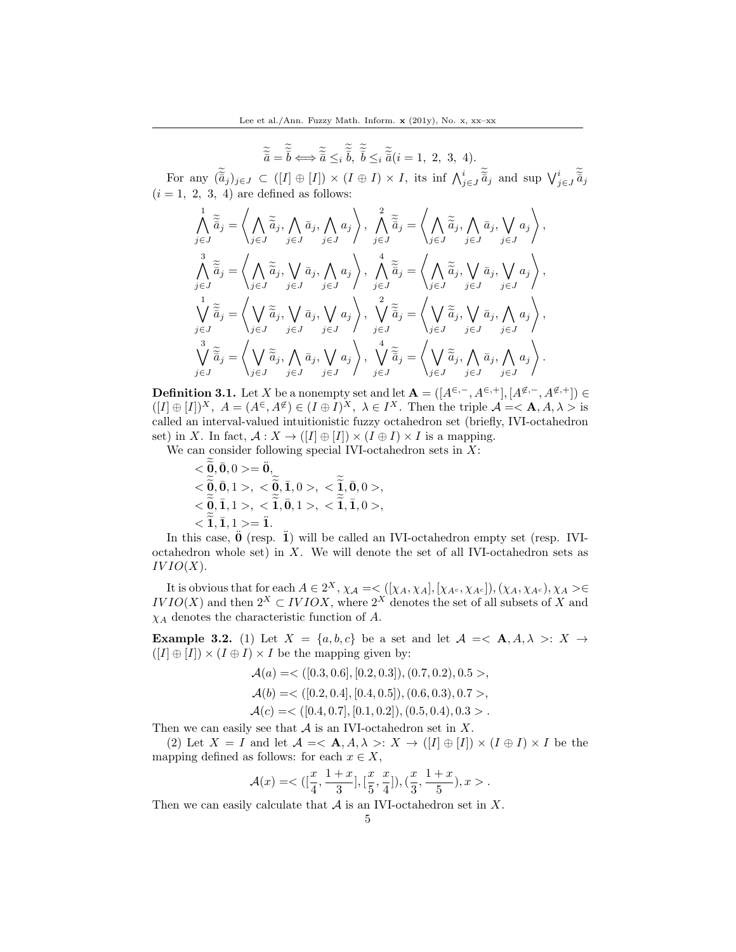$$
\widetilde{\tilde{\vec{a}}} = \widetilde{\tilde{\vec{b}}} \Longleftrightarrow \widetilde{\tilde{\vec{a}}} \leq_i \widetilde{\tilde{\vec{b}}}, \widetilde{\tilde{\vec{b}}} \leq_i \widetilde{\tilde{\vec{a}}} (i = 1, 2, 3, 4).
$$

For any  $(\tilde{\vec{a}}_j)_{j\in J} \subset ([I] \oplus [I]) \times (I \oplus I) \times I$ , its inf  $\bigwedge_{j\in J}^i \tilde{\vec{a}}_j$  and sup  $\bigvee_{j\in J}^i \tilde{\vec{a}}_j$  $(i = 1, 2, 3, 4)$  are defined as follows:

$$
\begin{aligned}\n\bigwedge_{j\in J} \widetilde{\tilde{a}}_{j} &= \left\langle \bigwedge_{j\in J} \widetilde{\tilde{a}}_{j}, \bigwedge_{j\in J} \bar{a}_{j}, \bigwedge_{j\in J} a_{j} \right\rangle, \\
\bigwedge_{j\in J} \widetilde{\tilde{a}}_{j} &= \left\langle \bigwedge_{j\in J} \widetilde{\tilde{a}}_{j}, \bigwedge_{j\in J} a_{j} \right\rangle, \\
\bigwedge_{j\in J} \widetilde{\tilde{a}}_{j} &= \left\langle \bigwedge_{j\in J} \widetilde{\tilde{a}}_{j}, \bigvee_{j\in J} \bar{a}_{j}, \bigwedge_{j\in J} a_{j} \right\rangle, \\
\bigwedge_{j\in J} \widetilde{\tilde{a}}_{j} &= \left\langle \bigwedge_{j\in J} \widetilde{\tilde{a}}_{j}, \bigvee_{j\in J} \bar{a}_{j}, \bigwedge_{j\in J} a_{j} \right\rangle, \\
\bigwedge_{j\in J} \widetilde{\tilde{a}}_{j} &= \left\langle \bigvee_{j\in J} \widetilde{\tilde{a}}_{j}, \bigvee_{j\in J} \bar{a}_{j}, \bigvee_{j\in J} a_{j} \right\rangle, \\
\bigvee_{j\in J} \widetilde{\tilde{a}}_{j} &= \left\langle \bigvee_{j\in J} \widetilde{\tilde{a}}_{j}, \bigvee_{j\in J} \bar{a}_{j}, \bigvee_{j\in J} a_{j} \right\rangle, \\
\bigvee_{j\in J} \widetilde{\tilde{a}}_{j} &= \left\langle \bigvee_{j\in J} \widetilde{\tilde{a}}_{j}, \bigwedge_{j\in J} \bar{a}_{j}, \bigvee_{j\in J} a_{j} \right\rangle, \\
\bigvee_{j\in J} \widetilde{\tilde{a}}_{j} &= \left\langle \bigvee_{j\in J} \widetilde{\tilde{a}}_{j}, \bigwedge_{j\in J} \bar{a}_{j}, \bigvee_{j\in J} a_{j} \right\rangle, \\
\bigvee_{j\in J} \widetilde{\tilde{a}}_{j} &= \left\langle \bigvee_{j\in J} \wid
$$

**Definition 3.1.** Let X be a nonempty set and let  $\mathbf{A} = ([A^{\in,-}, A^{\in,+}], [A^{\notin,-}, A^{\notin,+}]) \in$  $([I] \oplus [I])^X$ ,  $A = (A^{\epsilon}, A^{\epsilon}) \in (I \oplus I)^X$ ,  $\lambda \in I^X$ . Then the triple  $\mathcal{A} = \langle \mathbf{A}, A, \lambda \rangle$  is called an interval-valued intuitionistic fuzzy octahedron set (briefly, IVI-octahedron set) in X. In fact,  $\mathcal{A}: X \to ([I] \oplus [I]) \times (I \oplus I) \times I$  is a mapping.

We can consider following special IVI-octahedron sets in  $X$ :

 $<\!\widetilde{\mathbf{0}},\bar{\mathbf{0}},0>=\ddot{\mathbf{0}},\bar{\mathbf{0}}$  $<\!\!\widetilde{\mathbf{0}}, \bar{\mathbf{0}}, 1>, \; <\!\!\widetilde{\mathbf{0}}, \bar{\mathbf{1}}, 0>, \; <\!\!\widetilde{\mathbf{1}}, \bar{\mathbf{0}}, 0>, \;$  $<\tilde{\mathbf{Q}}, \bar{\mathbf{1}}, 1>, \leq \widetilde{\mathbf{1}}, \bar{\mathbf{0}}, 1>, \leq \widetilde{\mathbf{1}}, \bar{\mathbf{1}}, 0>,$  $\langle \tilde{1}, \bar{1}, 1 \rangle = \tilde{1}.$ 

In this case,  $\ddot{\mathbf{0}}$  (resp.  $\ddot{\mathbf{I}}$ ) will be called an IVI-octahedron empty set (resp. IVIoctahedron whole set) in X. We will denote the set of all IVI-octahedron sets as  $IVIO(X).$ 

It is obvious that for each  $A \in 2^X$ ,  $\chi_A = \langle (x_A, x_A], [x_A, x_A, x_B], (x_A, x_A, x_A), x_A \rangle \in$  $IVIO(X)$  and then  $2^X \subset IVIOX$ , where  $2^X$  denotes the set of all subsets of X and  $\chi_A$  denotes the characteristic function of A.

<span id="page-4-0"></span>**Example 3.2.** (1) Let  $X = \{a, b, c\}$  be a set and let  $\mathcal{A} = \langle \mathbf{A}, A, \lambda \rangle : X \rightarrow$  $([I] \oplus [I]) \times (I \oplus I) \times I$  be the mapping given by:

> $\mathcal{A}(a) = \langle (0.3, 0.6], [0.2, 0.3]), (0.7, 0.2), 0.5 \rangle,$  $\mathcal{A}(b) = \langle [0.2, 0.4], [0.4, 0.5], (0.6, 0.3), 0.7 \rangle$

 $\mathcal{A}(c) = \langle [0.4, 0.7], [0.1, 0.2], (0.5, 0.4), 0.3 \rangle$ .

Then we can easily see that  $A$  is an IVI-octahedron set in  $X$ .

(2) Let  $X = I$  and let  $\mathcal{A} = \langle \mathbf{A}, A, \lambda \rangle : X \to ([I] \oplus [I]) \times (I \oplus I) \times I$  be the mapping defined as follows: for each  $x \in X$ ,

$$
\mathcal A(x)=<([\frac{x}{4},\frac{1+x}{3}],[\frac{x}{5},\frac{x}{4}]),(\frac{x}{3},\frac{1+x}{5}),x>.
$$

Then we can easily calculate that  $A$  is an IVI-octahedron set in  $X$ .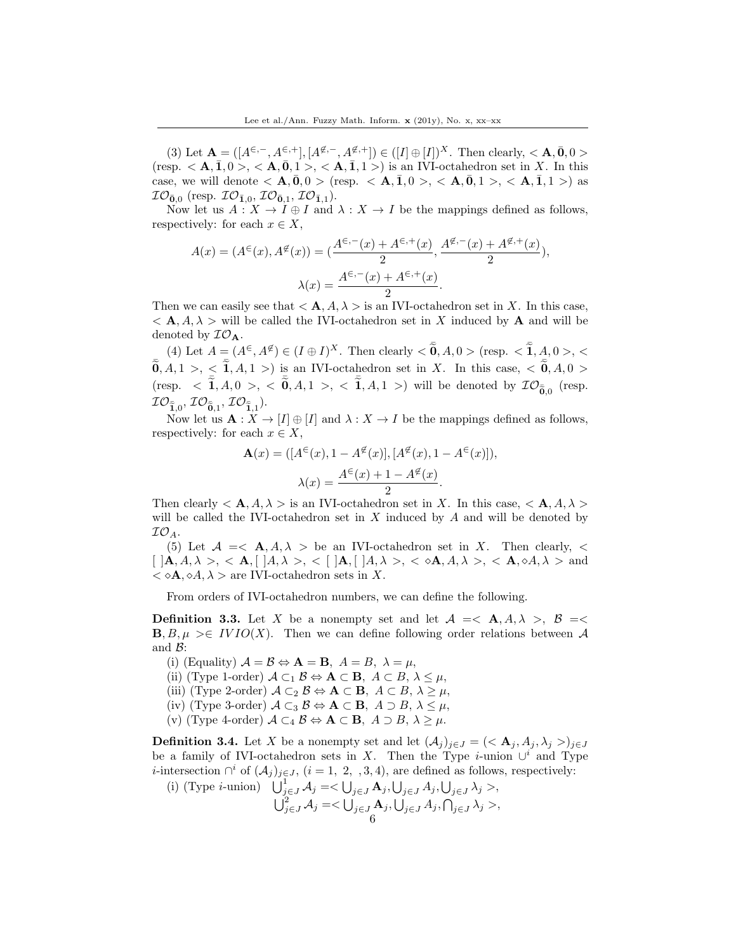(3) Let  $\mathbf{A} = ([A^{\in,-}, A^{\in,+}], [A^{\notin,-}, A^{\notin,+}]) \in ([I] \oplus [I])^X$ . Then clearly,  $\lt A, \bar{0}, 0 >$ (resp.  $\langle \mathbf{A}, \mathbf{I}, 0 \rangle$ ,  $\langle \mathbf{A}, \mathbf{0}, 1 \rangle$ ,  $\langle \mathbf{A}, \mathbf{I}, 1 \rangle$ ) is an IVI-octahedron set in X. In this case, we will denote  $\langle \mathbf{A}, \mathbf{0}, 0 \rangle$  (resp.  $\langle \mathbf{A}, \mathbf{1}, 0 \rangle$ ,  $\langle \mathbf{A}, \mathbf{0}, 1 \rangle$ ,  $\langle \mathbf{A}, \mathbf{1}, 1 \rangle$ ) as  $I\mathcal{O}_{\bar{\mathbf{0}},0}$  (resp.  $I\mathcal{O}_{\bar{\mathbf{1}},0}$ ,  $I\mathcal{O}_{\bar{\mathbf{0}},1}$ ,  $I\mathcal{O}_{\bar{\mathbf{1}},1}$ ).

Now let us  $A: X \to I \oplus I$  and  $\lambda: X \to I$  be the mappings defined as follows, respectively: for each  $x \in X$ ,

$$
A(x) = (A^{\in}(x), A^{\notin}(x)) = (\frac{A^{\in,-}(x) + A^{\in,+}(x)}{2}, \frac{A^{\notin,-}(x) + A^{\notin,+}(x)}{2}),
$$

$$
\lambda(x) = \frac{A^{\in,-}(x) + A^{\in,+}(x)}{2}.
$$

Then we can easily see that  $\langle A, A, \lambda \rangle$  is an IVI-octahedron set in X. In this case,  $\langle A, A, \lambda \rangle$  will be called the IVI-octahedron set in X induced by A and will be denoted by  $\mathcal{IO}_{\mathbf{A}}$ .

(4) Let  $A = (A^{\epsilon}, A^{\notin}) \in (I \oplus I)^{X}$ . Then clearly  $< \tilde{\mathbf{0}}, A, 0 >$  (resp.  $< \tilde{\mathbf{1}}, A, 0 >$ ,  $<$  $\overline{0}, A, 1 > 0 \leq \overline{1}, A, 1 > 0$  is an IVI-octahedron set in X. In this case,  $\langle 0, A, 0 \rangle$ (resp.  $\langle \tilde{\mathbf{I}}, A, 0 \rangle$ ,  $\langle \tilde{\mathbf{0}}, A, 1 \rangle$ ,  $\langle \tilde{\mathbf{I}}, A, 1 \rangle$ ) will be denoted by  $\mathcal{IO}_{\tilde{\mathbf{0}},0}$  (resp.  $\mathcal{IO}_{\bar{\tilde{\mathbf{I}}},0}, \mathcal{IO}_{\bar{\tilde{\mathbf{0}}},1}, \mathcal{IO}_{\bar{\tilde{\mathbf{I}}},1}).$ 

Now let us  $\mathbf{A}: X \to [I] \oplus [I]$  and  $\lambda: X \to I$  be the mappings defined as follows, respectively: for each  $x \in X$ ,

$$
\mathbf{A}(x) = ([A^{\in}(x), 1 - A^{\notin}(x)], [A^{\notin}(x), 1 - A^{\in}(x)]),
$$

$$
\lambda(x) = \frac{A^{\in}(x) + 1 - A^{\notin}(x)}{2}.
$$

Then clearly  $\langle A, A, \lambda \rangle$  is an IVI-octahedron set in X. In this case,  $\langle A, A, \lambda \rangle$ will be called the IVI-octahedron set in  $X$  induced by  $A$  and will be denoted by  $\mathcal{IO}_A$ .

(5) Let  $\mathcal{A} = \langle \mathbf{A}, A, \lambda \rangle$  be an IVI-octahedron set in X. Then clearly,  $\langle \mathbf{A}, \mathbf{A}, \mathbf{A} \rangle$  $[$   $]$ **A**, *A*,  $\lambda$  >, < **A**,  $[$   $]$ *A*,  $\lambda$  >, < [  $]$ **A**,  $[$   $]$ *A*,  $\lambda$  >, <  $\diamond$ **A**, *A*,  $\lambda$  >, < **A**,  $\diamond$ *A*,  $\lambda$  > and  $\langle \, \diamond A, \diamond A, \lambda \rangle$  are IVI-octahedron sets in X.

From orders of IVI-octahedron numbers, we can define the following.

<span id="page-5-0"></span>**Definition 3.3.** Let X be a nonempty set and let  $A = \langle A, A, \lambda \rangle$ ,  $B = \langle A, A, \lambda \rangle$  $\mathbf{B}, B, \mu \geq \in IVIO(X)$ . Then we can define following order relations between A and  $\mathcal{B}$ :

(i) (Equality)  $\mathcal{A} = \mathcal{B} \Leftrightarrow A = B, A = B, \lambda = \mu$ ,

(ii) (Type 1-order)  $\mathcal{A} \subset A \mathcal{B} \Leftrightarrow A \subset B$ ,  $A \subset B$ ,  $\lambda \leq \mu$ ,

- (iii) (Type 2-order)  $\mathcal{A} \subset_2 \mathcal{B} \Leftrightarrow A \subset \mathbf{B}, A \subset B, \lambda \geq \mu$ ,
- (iv) (Type 3-order)  $A \subset_3 \mathcal{B} \Leftrightarrow A \subset \mathbf{B}, A \supset B, \lambda \leq \mu$ ,
- (v) (Type 4-order)  $\mathcal{A} \subset_4 \mathcal{B} \Leftrightarrow A \subset \mathbf{B}, A \supset B, \lambda \geq \mu$ .

<span id="page-5-1"></span>**Definition 3.4.** Let X be a nonempty set and let  $(A_j)_{j\in J} = \{ \langle A_j, A_j, \lambda_j \rangle_{j\in J} \}$ be a family of IVI-octahedron sets in X. Then the Type *i*-union  $\cup^{i}$  and Type *i*-intersection  $\bigcap^{i}$  of  $(\mathcal{A}_{j})_{j\in J}$ ,  $(i = 1, 2, 3, 4)$ , are defined as follows, respectively:

(i) (Type *i*-union)  $\bigcup_{j\in J}^1 A_j = \bigcup_{j\in J} A_j, \bigcup_{j\in J} A_j, \bigcup_{j\in J} \lambda_j >$ ,  $\bigcup_{j\in J}^2\mathcal{A}_j=<\bigcup_{j\in J}\mathbf{A}_j,\bigcup_{j\in J}A_j,\bigcap_{j\in J}\lambda_j>,$ 6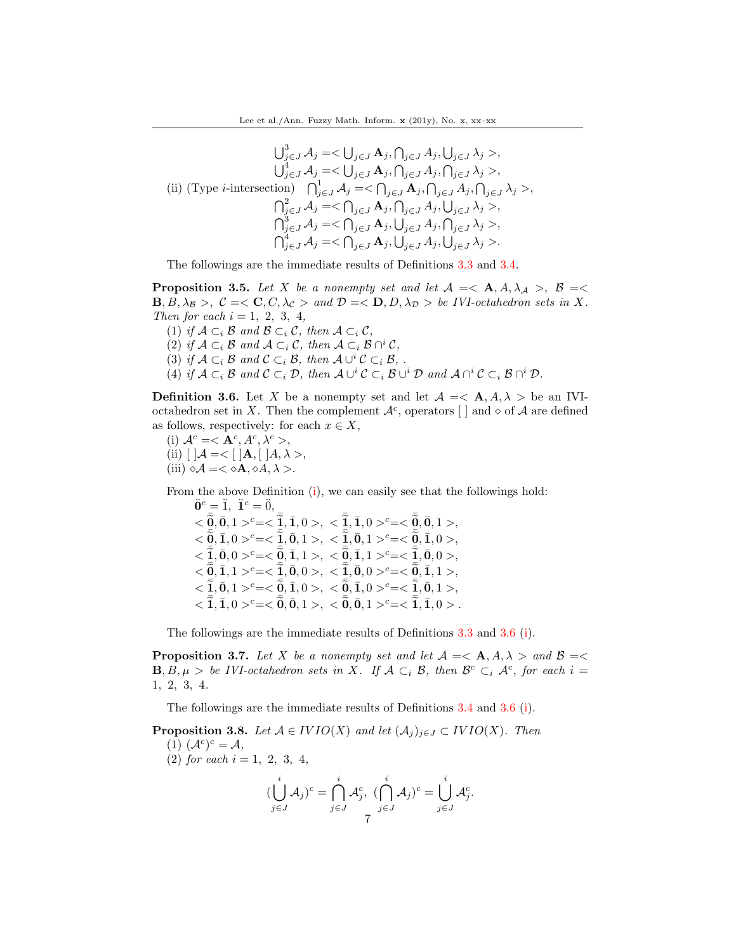$$
\bigcup_{j \in J}^{3} A_{j} = \langle \bigcup_{j \in J} A_{j}, \bigcap_{j \in J} A_{j}, \bigcup_{j \in J} \lambda_{j} \rangle,
$$
  
\n
$$
\bigcup_{j \in J}^{4} A_{j} = \langle \bigcup_{j \in J} A_{j}, \bigcap_{j \in J} A_{j}, \bigcup_{j \in J} \lambda_{j} \rangle,
$$
  
\n(ii) (Type *i*-intersection) 
$$
\bigcap_{j \in J}^{1} A_{j} = \langle \bigcap_{j \in J} A_{j}, \bigcap_{j \in J} A_{j}, \bigcap_{j \in J} \lambda_{j} \rangle,
$$
  
\n
$$
\bigcap_{j \in J}^{2} A_{j} = \langle \bigcap_{j \in J} A_{j}, \bigcap_{j \in J} A_{j}, \bigcup_{j \in J} \lambda_{j} \rangle,
$$
  
\n
$$
\bigcap_{j \in J}^{3} A_{j} = \langle \bigcap_{j \in J} A_{j}, \bigcup_{j \in J} A_{j}, \bigcap_{j \in J} \lambda_{j} \rangle,
$$
  
\n
$$
\bigcap_{j \in J}^{4} A_{j} = \langle \bigcap_{j \in J} A_{j}, \bigcup_{j \in J} A_{j}, \bigcup_{j \in J} \lambda_{j} \rangle.
$$

The followings are the immediate results of Definitions [3.3](#page-5-0) and [3.4.](#page-5-1)

**Proposition 3.5.** Let X be a nonempty set and let  $A = \langle A, A, \lambda_A \rangle$ ,  $B = \langle A, A, \lambda_B \rangle$  $\mathbf{B}, B, \lambda_B >, \mathcal{C} = <\mathbf{C}, C, \lambda_C > \text{and } \mathcal{D} = <\mathbf{D}, D, \lambda_D > \text{be } IVI\text{-octahedron sets in } X.$ Then for each  $i = 1, 2, 3, 4,$ 

(1) if  $A \subset_i B$  and  $B \subset_i C$ , then  $A \subset_i C$ , (2) if  $A \subset_i \mathcal{B}$  and  $A \subset_i \mathcal{C}$ , then  $A \subset_i \mathcal{B} \cap^i \mathcal{C}$ , (3) if  $A \subset_i B$  and  $C \subset_i B$ , then  $A \cup^i C \subset_i B$ , . (4) if  $\mathcal{A} \subset_i \mathcal{B}$  and  $\mathcal{C} \subset_i \mathcal{D}$ , then  $\mathcal{A} \cup^i \mathcal{C} \subset_i \mathcal{B} \cup^i \mathcal{D}$  and  $\mathcal{A} \cap^i \mathcal{C} \subset_i \mathcal{B} \cap^i \mathcal{D}$ .

<span id="page-6-0"></span>**Definition 3.6.** Let X be a nonempty set and let  $\mathcal{A} = \langle \mathbf{A}, A, \lambda \rangle$  be an IVIoctahedron set in X. Then the complement  $\mathcal{A}^c$ , operators  $\Box$  and  $\diamond$  of  $\mathcal A$  are defined as follows, respectively: for each  $x \in X$ ,

(i)  $\mathcal{A}^c = \langle \mathbf{A}^c, A^c, \lambda^c \rangle$ (ii)  $[ ] \mathcal{A} = < [ ] A , [ ] A , \lambda >, ]$ (iii)  $\diamond \mathcal{A} = \langle \diamond \mathbf{A}, \diamond A, \lambda \rangle$ .

From the above Definition (i), we can easily see that the followings hold:

 $\ddot{\mathbf{0}}^c = \ddot{1}, \; \ddot{\mathbf{1}}^c = \ddot{0},$  $<\!\!\tilde{\bar{Q}},\!\!\tilde{\bar{Q}},\!\!\tilde{\bar{Q}},\!\!\tilde{\bar{1}}\,>\!\!c=\!<\!\!\tilde{\bar{Z}},\!\!\tilde{\bar{1}},0>,<\!\!\tilde{\bar{Z}},\!\!\tilde{\bar{1}},0>\!\!c=\!<\!\tilde{\bar{Q}},\!\!\tilde{\bar{Q}},1>,\!\!\!\!\tilde{\bar{Q}},\bar{1},1>,$  $<\!\!\bar{\widetilde{\mathbf{Q}}}, \bar{\mathbf{I}}, 0>\!\!\!{}^c=\!<\!\!\bar{\widetilde{\mathbf{Z}}}, \bar{\mathbf{0}}, 1>\!,\; <\!\!\bar{\widetilde{\mathbf{Z}}}, \bar{\mathbf{0}}, 1>\!\!\!{}^c=\!<\!\bar{\widetilde{\mathbf{Q}}}, \bar{\mathbf{I}}, 0>\!,$  $<\!\!\tilde{\tilde{2}},\!\!\tilde{0},0>\!\!\!^c=\!<\!\tilde{\tilde{2}},\bar{1},1>,<\!\!\tilde{\tilde{Q}},\bar{1},1>\!\!\!^c=\!<\!\tilde{\tilde{2}},\bar{0},0>,$  $<\!\!\tilde{\vec{\theta}},\vec{1},1>\!\!\varepsilon=\!<\!\tilde{\vec{1}},\vec{0},0>\!,\;<\!\tilde{\vec{2}},\vec{0},0>\!\!\varepsilon=\!<\!\tilde{\vec{\theta}},\vec{1},1>\!,\;$  $<\!\!\tilde{\bar{2}},\!\!\tilde{0},1>\!\!\textrm{^c}=\!<\!\tilde{\bar{2}},\bar{1},0>,\;<\!\tilde{\bar{2}},\bar{1},0>\!\!\textrm{^c}=\!<\!\tilde{\bar{2}},\bar{0},1>,$  $<\tilde{1}, \tilde{1}, 0>^c=<\tilde{0}, \tilde{0}, 1>, <\tilde{0}, \tilde{0}, 1>^c=<\tilde{1}, \tilde{1}, 0>.$ 

The followings are the immediate results of Definitions [3.3](#page-5-0) and [3.6](#page-6-0) (i).

**Proposition 3.7.** Let X be a nonempty set and let  $\mathcal{A} = \langle \mathbf{A}, A, \lambda \rangle$  and  $\mathcal{B} = \langle \mathbf{A}, A, \lambda \rangle$  $\mathbf{B}, B, \mu > be$  IVI-octahedron sets in X. If  $\mathcal{A} \subset_i \mathcal{B}$ , then  $\mathcal{B}^c \subset_i \mathcal{A}^c$ , for each  $i =$ 1, 2, 3, 4.

The followings are the immediate results of Definitions [3.4](#page-5-1) and [3.6](#page-6-0) (i).

<span id="page-6-1"></span>**Proposition 3.8.** Let  $A \in IVIO(X)$  and let  $(A_j)_{j \in J} \subset IVIO(X)$ . Then (1)  $(\mathcal{A}^c)^c = \mathcal{A},$ (2) for each  $i = 1, 2, 3, 4,$  $\begin{pmatrix} i \\ j \end{pmatrix}$ j∈J  $\mathcal{A}_j)^c = \bigcap^i$ j∈J  $\mathcal{A}_{j}^{c},\ (\bigcap^{i}% \mathcal{A}_{j}^{c},\ \bigcap^{i} \mathcal{A}_{j}^{c})$ j∈J  $\mathcal{A}_j)^c=\bigcup^i\bigcup$ j∈J  $\mathcal{A}_{j}^{c}$ . 7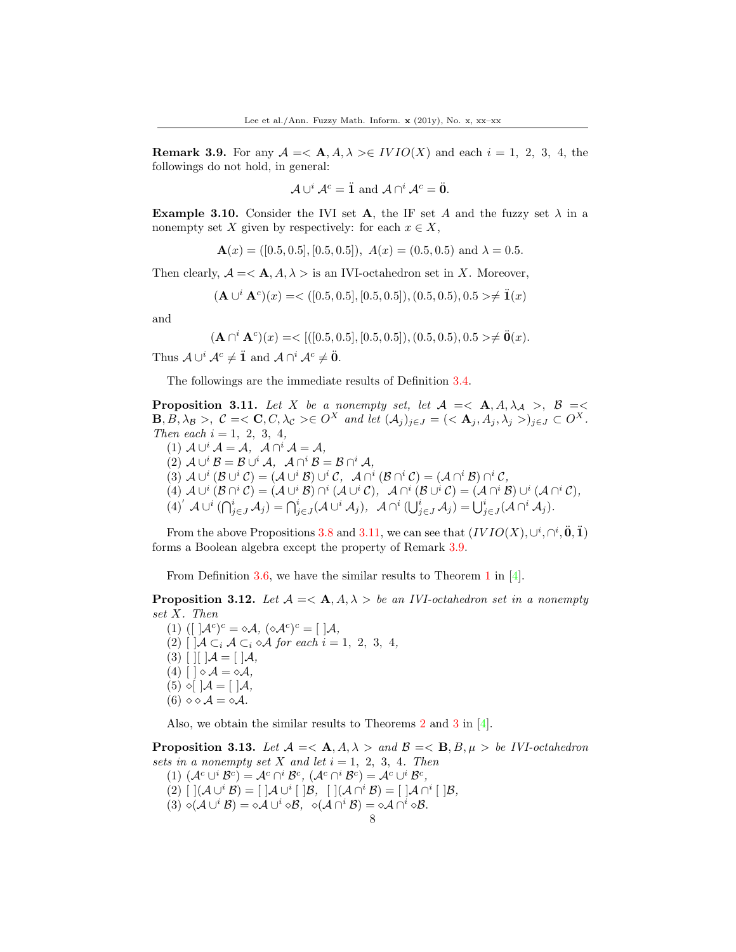<span id="page-7-1"></span>**Remark 3.9.** For any  $A = \langle A, A, \lambda \rangle \in IVIO(X)$  and each  $i = 1, 2, 3, 4$ , the followings do not hold, in general:

$$
\mathcal{A} \cup \iota^i \mathcal{A}^c = \mathbf{I} \text{ and } \mathcal{A} \cap \iota^i \mathcal{A}^c = \mathbf{0}.
$$

**Example 3.10.** Consider the IVI set **A**, the IF set A and the fuzzy set  $\lambda$  in a nonempty set X given by respectively: for each  $x \in X$ ,

$$
\mathbf{A}(x) = ([0.5, 0.5], [0.5, 0.5]), A(x) = (0.5, 0.5)
$$
 and  $\lambda = 0.5$ .

Then clearly,  $A = \langle \mathbf{A}, A, \lambda \rangle$  is an IVI-octahedron set in X. Moreover,

$$
(\mathbf{A} \cup {}^{i} \mathbf{A}^{c})(x) = \langle [0.5, 0.5], [0.5, 0.5], (0.5, 0.5), 0.5 \rangle \neq \mathbf{I}(x)
$$

and

$$
(\mathbf{A} \cap {}^{i} \mathbf{A}^{c})(x) = \langle [(0.5, 0.5], [0.5, 0.5]), (0.5, 0.5), 0.5 \rangle \neq \ddot{\mathbf{0}}(x).
$$

Thus  $\mathcal{A} \cup^{i} \mathcal{A}^{c} \neq \mathbf{\ddot{1}}$  and  $\mathcal{A} \cap^{i} \mathcal{A}^{c} \neq \mathbf{\ddot{0}}$ .

The followings are the immediate results of Definition [3.4.](#page-5-1)

<span id="page-7-0"></span>**Proposition 3.11.** Let X be a nonempty set, let  $A \leq A, A, \lambda_A > B$ .  $\mathbf{B}, \mathbf{B}, \lambda_{\mathcal{B}}>, \mathcal{C}=<\mathbf{C}, \mathcal{C}, \lambda_{\mathcal{C}}>\in O^X$  and let  $(\mathcal{A}_i)_{i\in J}=(<\mathbf{A}_i, A_i, \lambda_i>)_{i\in J}\subset O^X.$ Then each  $i = 1, 2, 3, 4$ ,

(1)  $A \cup^{i} A = A$ ,  $A \cap^{i} A = A$ , (2)  $\mathcal{A} \cup^i \mathcal{B} = \mathcal{B} \cup^i \mathcal{A}, \ \mathcal{A} \cap^i \mathcal{B} = \mathcal{B} \cap^i \mathcal{A},$ (3)  $A\cup^{i}(\mathcal{B}\cup^{i}\mathcal{C})=(\mathcal{A}\cup^{i}\mathcal{B})\cup^{i}\mathcal{C},\ \ \mathcal{A}\cap^{i}(\mathcal{B}\cap^{i}\mathcal{C})=(\mathcal{A}\cap^{i}\mathcal{B})\cap^{i}\mathcal{C},$ (4)  $A\cup^{i}(\mathcal{B}\cap^{i}\mathcal{C})=(A\cup^{i}\mathcal{B})\cap^{i}(\mathcal{A}\cup^{i}\mathcal{C}),$   $A\cap^{i}(\mathcal{B}\cup^{i}\mathcal{C})=(\mathcal{A}\cap^{i}\mathcal{B})\cup^{i}(\mathcal{A}\cap^{i}\mathcal{C}),$  $(4)^{'} A \cup^{i} (\bigcap_{j\in J}^{i} A_{j}) = \bigcap_{j\in J}^{i} (A \cup^{i} A_{j}), \quad A \cap^{i} (\bigcup_{j\in J}^{i} A_{j}) = \bigcup_{j\in J}^{i} (A \cap^{i} A_{j}).$ 

From the above Propositions [3.8](#page-6-1) and [3.11,](#page-7-0) we can see that  $(IVIO(X), \cup^{i}, \cap^{i}, 0, 1)$ forms a Boolean algebra except the property of Remark [3.9.](#page-7-1)

From Definition [3.6,](#page-6-0) we have the similar results to Theorem 1 in  $[4]$ .

**Proposition 3.12.** Let  $A = \langle A, A \rangle$  be an IVI-octahedron set in a nonempty set X. Then

(1)  $([ \, ]\mathcal{A}^c)^c = \diamond \mathcal{A}, \, (\diamond \mathcal{A}^c)^c = [ \, ]\mathcal{A},$ (2)  $\bigcup \mathcal{A} \subset_i \mathcal{A} \subset_i \diamond \mathcal{A}$  for each  $i = 1, 2, 3, 4$ ,  $(3)$  [ ][ ] $\mathcal{A} = [$  ] $\mathcal{A},$ (4)  $\lceil \cdot \rceil \diamond \mathcal{A} = \diamond \mathcal{A},$  $(5) \diamond [ ]\mathcal{A} = [ ]\mathcal{A},$ (6)  $\diamond \diamond A = \diamond A$ .

Also, we obtain the similar results to Theorems 2 and 3 in [\[4\]](#page-37-2).

**Proposition 3.13.** Let  $\mathcal{A} = \langle \mathbf{A}, A, \lambda \rangle$  and  $\mathcal{B} = \langle \mathbf{B}, B, \mu \rangle$  be IVI-octahedron sets in a nonempty set X and let  $i = 1, 2, 3, 4$ . Then

(1)  $(\mathcal{A}^c \cup^i \mathcal{B}^c) = \mathcal{A}^c \cap^i \mathcal{B}^c$ ,  $(\mathcal{A}^c \cap^i \mathcal{B}^c) = \mathcal{A}^c \cup^i \mathcal{B}^c$ ,

(2)  $[\;](\mathcal{A}\cup^{i}\mathcal{B})=[\;]\mathcal{A}\cup^{i}[\;]\mathcal{B},\; [\;](\mathcal{A}\cap^{i}\mathcal{B})=[\;]\mathcal{A}\cap^{i}[\;]\mathcal{B},$ 

(3)  $\diamond (A \cup^i B) = \diamond A \cup^i \diamond B, \ \diamond (A \cap^i B) = \diamond A \cap^i \diamond B.$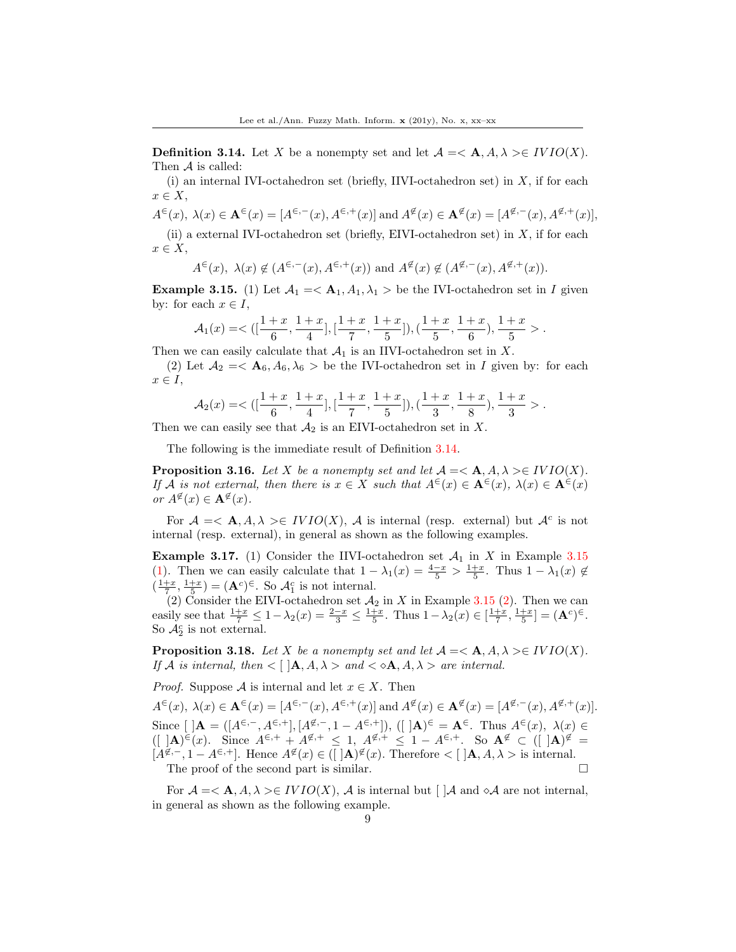<span id="page-8-0"></span>**Definition 3.14.** Let X be a nonempty set and let  $\mathcal{A} = \langle \mathbf{A}, A, \lambda \rangle \in \text{IVIO}(X)$ . Then A is called:

(i) an internal IVI-octahedron set (briefly, IIVI-octahedron set) in  $X$ , if for each  $x \in X$ ,

$$
A^{\in}(x), \ \lambda(x) \in \mathbf{A}^{\in}(x) = [A^{\in,-}(x), A^{\in,+}(x)] \text{ and } A^{\notin}(x) \in \mathbf{A}^{\notin}(x) = [A^{\notin,-}(x), A^{\notin,+}(x)],
$$

(ii) a external IVI-octahedron set (briefly, EIVI-octahedron set) in  $X$ , if for each  $x \in X$ ,

$$
A^{\in}(x), \lambda(x) \notin (A^{\in,-}(x), A^{\in,+}(x))
$$
 and  $A^{\notin}(x) \notin (A^{\notin,-}(x), A^{\notin,+}(x)).$ 

<span id="page-8-1"></span>**Example 3.15.** (1) Let  $A_1 = \langle A_1, A_1, \lambda_1 \rangle$  be the IVI-octahedron set in I given by: for each  $x \in I$ ,

$$
\mathcal{A}_1(x)=<([\frac{1+x}{6},\frac{1+x}{4}],[\frac{1+x}{7},\frac{1+x}{5}]),(\frac{1+x}{5},\frac{1+x}{6}),\frac{1+x}{5}>.
$$

Then we can easily calculate that  $\mathcal{A}_1$  is an IIVI-octahedron set in X.

(2) Let  $A_2 = \langle \mathbf{A}_6, A_6, \lambda_6 \rangle$  be the IVI-octahedron set in I given by: for each  $x \in I$ ,

$$
\mathcal{A}_2(x) = \langle \left( \left[ \frac{1+x}{6}, \frac{1+x}{4} \right], \left[ \frac{1+x}{7}, \frac{1+x}{5} \right], \left( \frac{1+x}{3}, \frac{1+x}{8} \right), \frac{1+x}{3} \rangle.
$$

Then we can easily see that  $\mathcal{A}_2$  is an EIVI-octahedron set in X.

The following is the immediate result of Definition [3.14.](#page-8-0)

**Proposition 3.16.** Let X be a nonempty set and let  $A = \langle A, A, \lambda \rangle \in IVIO(X)$ . If A is not external, then there is  $x \in X$  such that  $A^{\infty}(x) \in \mathbf{A}^{\infty}(x)$ ,  $\lambda(x) \in \mathbf{A}^{\infty}(x)$ or  $A^{\not\in}(x) \in \mathbf{A}^{\not\in}(x)$ .

For  $A = \langle A, A, \lambda \rangle \in IVIO(X)$ , A is internal (resp. external) but  $A^c$  is not internal (resp. external), in general as shown as the following examples.

**Example 3.17.** (1) Consider the IIVI-octahedron set  $\mathcal{A}_1$  in X in Example [3.15](#page-8-1) (1). Then we can easily calculate that  $1 - \lambda_1(x) = \frac{4-x}{5} > \frac{1+x}{5}$ . Thus  $1 - \lambda_1(x) \notin$  $\left(\frac{1+x}{7}, \frac{1+x}{5}\right) = (\mathbf{A}^c)^{\epsilon}$ . So  $\mathcal{A}_1^c$  is not internal.

(2) Consider the EIVI-octahedron set  $\mathcal{A}_2$  in X in Example [3.15](#page-8-1) (2). Then we can easily see that  $\frac{1+x}{7} \leq 1 - \lambda_2(x) = \frac{2-x}{3} \leq \frac{1+x}{5}$ . Thus  $1 - \lambda_2(x) \in [\frac{1+x}{7}, \frac{1+x}{5}] = (\mathbf{A}^c)^{\infty}$ . So  $\mathcal{A}_2^c$  is not external.

**Proposition 3.18.** Let X be a nonempty set and let  $A = \langle A, A, \lambda \rangle \in IVIO(X)$ . If A is internal, then  $\langle \cdot | \mathbf{A}, A, \lambda \rangle$  and  $\langle \cdot \infty \mathbf{A}, A, \lambda \rangle$  are internal.

*Proof.* Suppose A is internal and let  $x \in X$ . Then

 $A^{\infty}(x), \lambda(x) \in \mathbf{A}^{\infty}(x) = [A^{\infty,-}(x), A^{\infty,+}(x)]$  and  $A^{\notinfty}(x) \in \mathbf{A}^{\notinfty}(x) = [A^{\notin,-}(x), A^{\notin,+}(x)].$ Since  $[ |A = ([A^{\epsilon,-}, A^{\epsilon,+}], [A^{\epsilon,-}, 1 - A^{\epsilon,+}]), ([ |A|)^{\epsilon} = A^{\epsilon}$ . Thus  $A^{\epsilon}(x), \lambda(x) \in$  $([ |A|)^{\epsilon}(x)$ . Since  $A^{\epsilon,+} + A^{\epsilon,+} \leq 1, A^{\epsilon,+} \leq 1 - A^{\epsilon,+}$ . So  $A^{\epsilon} \subset (|A|)^{\epsilon} =$  $[A^{\notin,-}, 1 - A^{\in,+}]$ . Hence  $A^{\notin}(x) \in (\mathcal{A}^{\notin}(x))$ . Therefore  $\lt [\mathcal{A}, A, \lambda \gt \mathcal{A}]$  is internal. The proof of the second part is similar.

For  $A = \langle A, A, \lambda \rangle \in IVIO(X)$ , A is internal but  $\vert A \rangle$  and  $\delta A$  are not internal, in general as shown as the following example.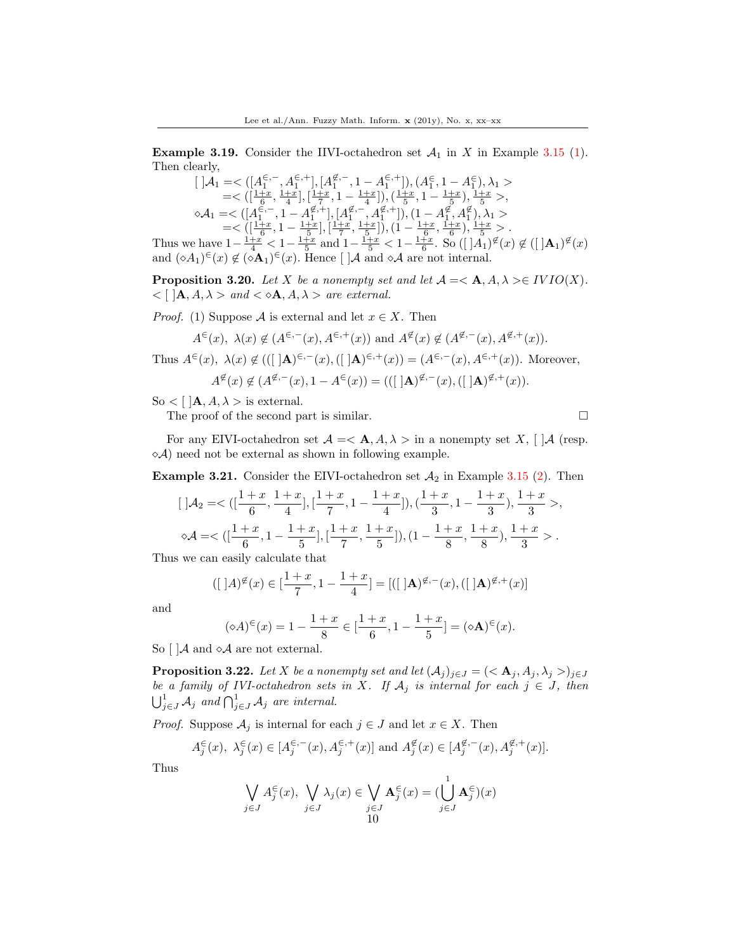**Example 3.19.** Consider the IIVI-octahedron set  $A_1$  in X in Example [3.15](#page-8-1) (1). Then clearly,

$$
\begin{array}{l} [\ ] {\cal A}_1 = < \big( [A^{\in,-}_{1},A^{\in,+}_{1}], [A^{\not\in,-}_{1},1-A^{\in,+}_{1}]\big), (A^{\in}_{1},1-A^{\in}_{1}), \lambda_1 > \\ = < \big( [\frac{1+x}{6},\frac{1+x}{4}], [\frac{1+x}{7},1-\frac{1+x}{4}]\big), (\frac{1+x}{5},1-\frac{1+x}{5}), \frac{1+x}{5} > , \\ \diamond {\cal A}_1 = < \big( [A^{\in,-}_{1},1-A^{\not\in,+}_{1}], [A^{\not\in,-}_{1},A^{\not\in,+}_{1}]\big), (1-A^{\not\in,-}_{1},A^{\not\in}) , \lambda_1 > \\ = < \big( [\frac{1+x}{6},1-\frac{1+x}{5}], [\frac{1+x}{7},\frac{1+x}{5}]\big), (1-\frac{1+x}{6},\frac{1+x}{6}), \frac{1+x}{5} > . \\ = < \frac{1+x}{1+x}, 1-\frac{1+x}{1+x}, \frac{1+x}{1+x}, \frac{1+x}{6}, \frac{1+x}{6}, \frac{1+x}{1+x}, \frac{1+x}{1+x} \big), \frac{1+x}{1+x} < . \end{array}
$$

Thus we have  $1-\frac{1+x}{4} < 1-\frac{1+x}{5}$  and  $1-\frac{1+x}{5} < 1-\frac{1+x}{6}$ . So  $([A_1)^{\notin}(x) \notin ([A_1)^{\notin}(x)]$ and  $(\diamond A_1) \in (x) \notin (\diamond A_1) \in (x)$ . Hence  $\lceil \, \vert \mathcal{A} \rangle$  and  $\diamond \mathcal{A}$  are not internal.

**Proposition 3.20.** Let X be a nonempty set and let  $A = \langle A, A, \lambda \rangle \in IVIO(X)$ .  $\langle \cdot | A, A, \lambda \rangle$  and  $\langle \cdot | A, A, \lambda \rangle$  are external.

*Proof.* (1) Suppose A is external and let  $x \in X$ . Then

$$
A^{\in}(x), \lambda(x) \notin (A^{\in,-}(x), A^{\in,+}(x))
$$
 and  $A^{\notin}(x) \notin (A^{\notin,-}(x), A^{\notin,+}(x)).$ 

Thus  $A^{\infty}(x)$ ,  $\lambda(x) \notin (([\,]{{\bf A}})^{\infty,-}(x),([\,]{{\bf A}})^{\infty,+}(x)) = (A^{\infty,-}(x),A^{\infty,+}(x))$ . Moreover,

$$
A^{\notin}(x) \notin (A^{\notin,-}(x), 1 - A^{\in}(x)) = ((\lfloor A)^{\notin,-}(x), (\lfloor A)^{\notin,+}(x) \rfloor).
$$

So  $\langle \cdot | A, A, \lambda \rangle$  is external.

The proof of the second part is similar.  $\Box$ 

For any EIVI-octahedron set  $\mathcal{A} = \langle \mathbf{A}, A, \lambda \rangle$  in a nonempty set X,  $\mathcal{A}$  (resp.  $\Diamond A$ ) need not be external as shown in following example.

**Example 3.21.** Consider the EIVI-octahedron set  $A_2$  in Example [3.15](#page-8-1) (2). Then

$$
[ \ ] \mathcal{A}_2=<([\frac{1+x}{6},\frac{1+x}{4}],[\frac{1+x}{7},1-\frac{1+x}{4}]),(\frac{1+x}{3},1-\frac{1+x}{3}),\frac{1+x}{3}>, \\ \circ \mathcal{A}=<([\frac{1+x}{6},1-\frac{1+x}{5}],[\frac{1+x}{7},\frac{1+x}{5}]),(1-\frac{1+x}{8},\frac{1+x}{8}),\frac{1+x}{3}>.
$$

Thus we can easily calculate that

$$
([ | A)^{\notin}(x) \in [\frac{1+x}{7}, 1 - \frac{1+x}{4}] = [([ | A)^{\notin,-}(x), ([ | A)^{\notin,+}(x)]
$$

and

$$
(\diamond A)^{\in}(x) = 1 - \frac{1+x}{8} \in [\frac{1+x}{6}, 1 - \frac{1+x}{5}] = (\diamond A)^{\in}(x).
$$

So  $\left[\right]$  and  $\circ$  are not external.

**Proposition 3.22.** Let X be a nonempty set and let  $(A_j)_{j\in J} = \{ \langle A_j, A_j, \lambda_j \rangle_{j\in J} \}$ be a family of IVI-octahedron sets in X. If  $\mathcal{A}_j$  is internal for each  $j \in J$ , then  $\bigcup_{j\in J}^1 A_j$  and  $\bigcap_{j\in J}^1 A_j$  are internal.

*Proof.* Suppose  $A_j$  is internal for each  $j \in J$  and let  $x \in X$ . Then

$$
A_j^{\in}(x), \lambda_j^{\in}(x) \in [A_j^{\in,-}(x), A_j^{\in,+}(x)] \text{ and } A_j^{\notin}(x) \in [A_j^{\notin,-}(x), A_j^{\notin,+}(x)].
$$

Thus

$$
\bigvee_{j\in J}A_j^{\in}(x),\ \bigvee_{j\in J}\lambda_j(x)\in \bigvee_{\substack{j\in J\\10}}\mathbf{A}_j^{\in}(x)=(\bigcup_{j\in J}^1\mathbf{A}_j^{\in})(x)
$$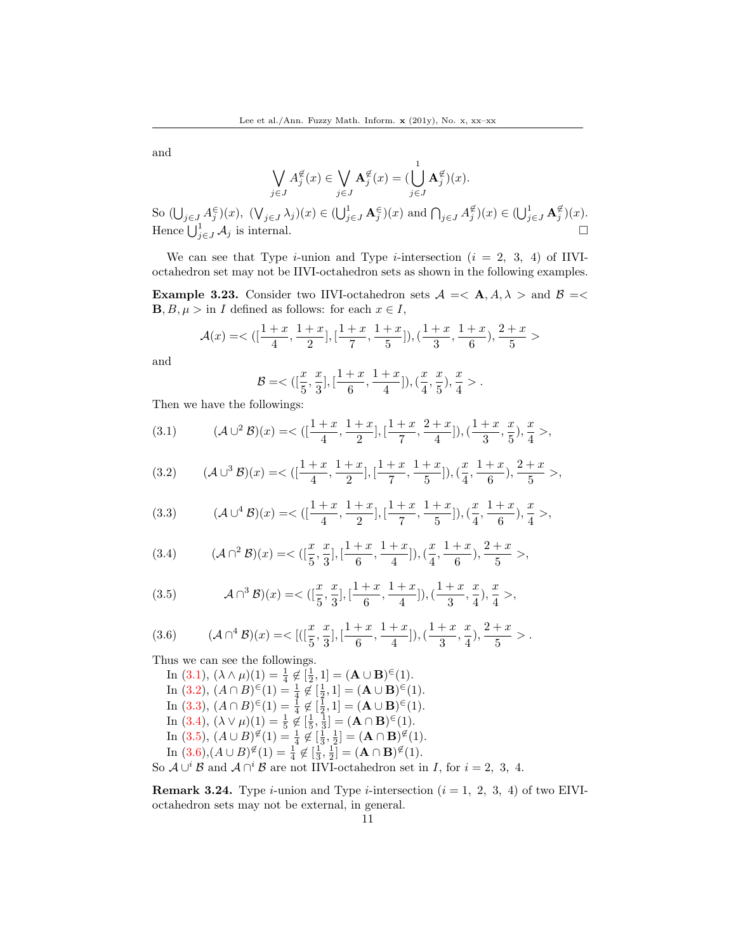and

$$
\bigvee_{j\in J}A_j^{\notin}(x)\in \bigvee_{j\in J}\mathbf{A}_j^{\notin}(x)=(\bigcup_{j\in J}\mathbf{A}_j^{\notin})(x).
$$
  
So 
$$
(\bigcup_{j\in J}A_j^{\in})(x),\ (\bigvee_{j\in J}\lambda_j)(x)\in (\bigcup_{j\in J}^1\mathbf{A}_j^{\in})(x)\ \text{and}\ \bigcap_{j\in J}A_j^{\notin})(x)\in (\bigcup_{j\in J}^1\mathbf{A}_j^{\notin})(x).
$$
  
Hence 
$$
\bigcup_{j\in J}^1\mathcal{A}_j
$$
 is internal.

We can see that Type *i*-union and Type *i*-intersection  $(i = 2, 3, 4)$  of IIVIoctahedron set may not be IIVI-octahedron sets as shown in the following examples.

**Example 3.23.** Consider two IIVI-octahedron sets  $A = \langle A, A \rangle$  and  $B = \langle A, A \rangle$  $\mathbf{B}, B, \mu > \text{in } I$  defined as follows: for each  $x \in I$ ,

$$
\mathcal{A}(x)=<([\frac{1+x}{4},\frac{1+x}{2}],[\frac{1+x}{7},\frac{1+x}{5}]),(\frac{1+x}{3},\frac{1+x}{6}),\frac{2+x}{5}>
$$

and

$$
\mathcal{B} = <([\frac{x}{5}, \frac{x}{3}], [\frac{1+x}{6}, \frac{1+x}{4}]), (\frac{x}{4}, \frac{x}{5}), \frac{x}{4}>.
$$

Then we have the followings:

$$
(3.1) \qquad (\mathcal{A}\cup^2 \mathcal{B})(x) = \langle \left( \frac{1+x}{4}, \frac{1+x}{2} \right], \left[ \frac{1+x}{7}, \frac{2+x}{4} \right], \left( \frac{1+x}{3}, \frac{x}{5} \right), \frac{x}{4} \rangle,
$$

$$
(3.2) \qquad (\mathcal{A}\cup^{3}\mathcal{B})(x)=<([\frac{1+x}{4},\frac{1+x}{2}],[\frac{1+x}{7},\frac{1+x}{5}]),(\frac{x}{4},\frac{1+x}{6}),\frac{2+x}{5}>,
$$

$$
(3.3) \qquad (\mathcal{A} \cup \Delta^4 \mathcal{B})(x) = \langle \left( \frac{1+x}{4}, \frac{1+x}{2} \right], \left[ \frac{1+x}{7}, \frac{1+x}{5} \right], \left( \frac{x}{4}, \frac{1+x}{6} \right), \frac{x}{4} \rangle,
$$

$$
(3.4) \qquad (\mathcal{A}\cap^2 \mathcal{B})(x)=<([\frac{x}{5},\frac{x}{3}],[\frac{1+x}{6},\frac{1+x}{4}]),(\frac{x}{4},\frac{1+x}{6}),\frac{2+x}{5}>,
$$

(3.5) 
$$
\mathcal{A} \cap {}^{3} \mathcal{B} (x) = \langle \left( \left[ \frac{x}{5}, \frac{x}{3} \right], \left[ \frac{1+x}{6}, \frac{1+x}{4} \right], \left( \frac{1+x}{3}, \frac{x}{4} \right), \frac{x}{4} \rangle,
$$

$$
(3.6) \qquad (\mathcal{A} \cap \Delta^4 \mathcal{B})(x) = \langle [(\frac{x}{5}, \frac{x}{3}], [\frac{1+x}{6}, \frac{1+x}{4}]), (\frac{1+x}{3}, \frac{x}{4}), \frac{2+x}{5} \rangle.
$$

Thus we can see the followings.

In (3.1),  $(\lambda \wedge \mu)(1) = \frac{1}{4} \notin [\frac{1}{2}, 1] = (\mathbf{A} \cup \mathbf{B})^{\in}(1)$ . In (3.2),  $(A \cap B) \in (1) = \frac{1}{4} \notin [\frac{1}{2}, 1] = (\mathbf{A} \cup \mathbf{B}) \in (1)$ . In (3.3),  $(A \cap B) \in (1) = \frac{1}{4} \notin [\frac{1}{2}, 1] = (\mathbf{A} \cup \mathbf{B}) \in (1)$ . In (3.4),  $(\lambda \vee \mu)(1) = \frac{1}{5} \notin [\frac{1}{5}, \frac{1}{3}] = (\mathbf{A} \cap \mathbf{B})^{\in}(1)$ . In (3.5),  $(A \cup B)^{\not\in}(1) = \frac{1}{4} \notin [\frac{1}{3}, \frac{1}{2}] = (\mathbf{A} \cap \mathbf{B})^{\not\in}(1).$ In  $(3.6),(A \cup B)$ <sup>∉</sup> $(1) = \frac{1}{4}$  ∉  $[\frac{1}{3},\frac{1}{2}] = (\mathbf{A} \cap \mathbf{B})$ <sup>∉</sup> $(1)$ . So  $\mathcal{A} \cup^{i} \mathcal{B}$  and  $\mathcal{A} \cap^{i} \mathcal{B}$  are not IIVI-octahedron set in I, for  $i = 2, 3, 4$ .

**Remark 3.24.** Type *i*-union and Type *i*-intersection  $(i = 1, 2, 3, 4)$  of two EIVIoctahedron sets may not be external, in general.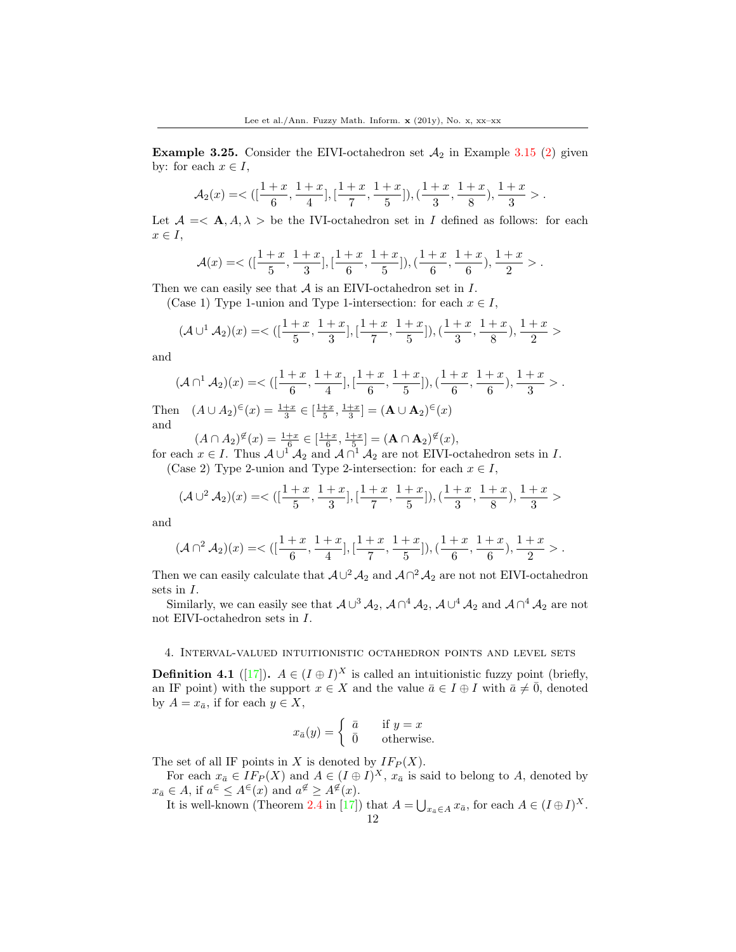**Example 3.25.** Consider the EIVI-octahedron set  $A_2$  in Example [3.15](#page-8-1) (2) given by: for each  $x \in I$ ,

$$
\mathcal{A}_2(x)=<([\frac{1+x}{6},\frac{1+x}{4}],[\frac{1+x}{7},\frac{1+x}{5}]),(\frac{1+x}{3},\frac{1+x}{8}),\frac{1+x}{3}>.
$$

Let  $\mathcal{A} = \langle \mathbf{A}, A, \lambda \rangle$  be the IVI-octahedron set in I defined as follows: for each  $x \in I$ ,

$$
\mathcal A(x)=<( [\frac{1+x}{5},\frac{1+x}{3}],[\frac{1+x}{6},\frac{1+x}{5}]),(\frac{1+x}{6},\frac{1+x}{6}),\frac{1+x}{2}>.
$$

Then we can easily see that  $A$  is an EIVI-octahedron set in  $I$ .

(Case 1) Type 1-union and Type 1-intersection: for each  $x \in I$ ,

$$
(\mathcal{A} \cup \{1} \mathcal{A}_2)(x) = \langle \left( \left[ \frac{1+x}{5}, \frac{1+x}{3} \right], \left[ \frac{1+x}{7}, \frac{1+x}{5} \right], \left( \frac{1+x}{3}, \frac{1+x}{8} \right), \frac{1+x}{2} \rangle
$$

and

$$
(\mathcal{A}\cap^{1}\mathcal{A}_{2})(x)=<([\frac{1+x}{6},\frac{1+x}{4}],[\frac{1+x}{6},\frac{1+x}{5}]),(\frac{1+x}{6},\frac{1+x}{6}),\frac{1+x}{3}>.
$$

Then  $(A \cup A_2)^{\epsilon}(x) = \frac{1+x}{3} \in \left[\frac{1+x}{5}, \frac{1+x}{3}\right] = (\mathbf{A} \cup \mathbf{A}_2)^{\epsilon}(x)$ and

 $(A \cap A_2)^{\notin}(x) = \frac{1+x}{6} \in \left[\frac{1+x}{6}, \frac{1+x}{5}\right] = (\mathbf{A} \cap \mathbf{A}_2)^{\notin}(x),$ 

for each  $x \in I$ . Thus  $A \cup$ <sup>1</sup>  $A_2$  and  $A \cap$ <sup>1</sup>  $A_2$  are not EIVI-octahedron sets in I. (Case 2) Type 2-union and Type 2-intersection: for each  $x \in I$ ,

$$
(\mathcal{A} \cup ^2 \mathcal{A}_2)(x)=<([\frac{1+x}{5},\frac{1+x}{3}],[\frac{1+x}{7},\frac{1+x}{5}]), (\frac{1+x}{3},\frac{1+x}{8}), \frac{1+x}{3}>
$$

and

$$
(\mathcal{A}\cap^2\mathcal{A}_2)(x)=<([\frac{1+x}{6},\frac{1+x}{4}],[\frac{1+x}{7},\frac{1+x}{5}]),(\frac{1+x}{6},\frac{1+x}{6}),\frac{1+x}{2}>.
$$

Then we can easily calculate that  $\mathcal{A} \cup^2 \mathcal{A}_2$  and  $\mathcal{A} \cap^2 \mathcal{A}_2$  are not not EIVI-octahedron sets in I.

Similarly, we can easily see that  $A\cup^3 \mathcal{A}_2$ ,  $A\cap^4 \mathcal{A}_2$ ,  $A\cup^4 \mathcal{A}_2$  and  $A\cap^4 \mathcal{A}_2$  are not not EIVI-octahedron sets in I.

## 4. Interval-valued intuitionistic octahedron points and level sets

**Definition 4.1** ([\[17\]](#page-37-15)).  $A \in (I \oplus I)^X$  is called an intuitionistic fuzzy point (briefly, an IF point) with the support  $x \in X$  and the value  $\bar{a} \in I \oplus I$  with  $\bar{a} \neq \bar{0}$ , denoted by  $A = x_{\bar{a}}$ , if for each  $y \in X$ ,

$$
x_{\bar{a}}(y) = \begin{cases} \bar{a} & \text{if } y = x \\ 0 & \text{otherwise.} \end{cases}
$$

The set of all IF points in X is denoted by  $IF_P(X)$ .

For each  $x_{\bar{a}} \in I F_P(X)$  and  $A \in (I \oplus I)^X$ ,  $x_{\bar{a}}$  is said to belong to A, denoted by  $x_{\bar{a}} \in A$ , if  $a^{\in} \leq A^{\in}(x)$  and  $a^{\notin} \geq A^{\notin}(x)$ .

It is well-known (Theorem 2.4 in [\[17\]](#page-37-15)) that  $A = \bigcup_{x_a \in A} x_{\bar{a}}$ , for each  $A \in (I \oplus I)^X$ .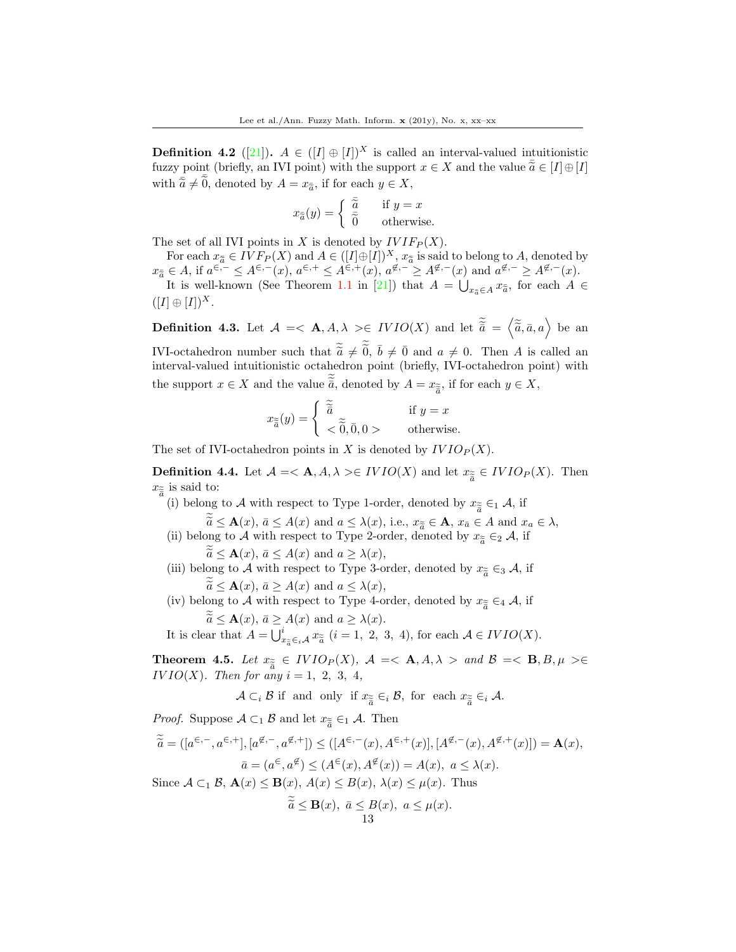**Definition 4.2** ([\[21\]](#page-38-7)).  $A \in (I \oplus I)^{X}$  is called an interval-valued intuitionistic fuzzy point (briefly, an IVI point) with the support  $x \in X$  and the value  $\tilde{a} \in [I] \oplus [I]$ with  $\overline{\tilde{a}} \neq \overline{\tilde{0}}$ , denoted by  $A = x_{\tilde{a}}$ , if for each  $y \in X$ ,

$$
x_{\tilde{a}}(y) = \begin{cases} \frac{\overline{\tilde{a}}}{\tilde{0}} & \text{if } y = x \\ 0 & \text{otherwise.} \end{cases}
$$

The set of all IVI points in X is denoted by  $IVIF_P(X)$ .

For each  $x_{\tilde{a}} \in IVF_{P}(X)$  and  $A \in ([I] \oplus [I])^{X}, x_{\tilde{a}}$  is said to belong to A, denoted by<br> $\subset A$  if  $\alpha \in (-\infty)$ ,  $\alpha \in (-\infty)$ ,  $\alpha \in (-\infty)$ ,  $\alpha \notin (-\infty)$ ,  $\alpha \in (-\infty)$ ,  $\alpha \notin (-\infty)$  $x_{\tilde{a}} \in A$ , if  $a^{\epsilon,-} \leq A^{\epsilon,-}(x)$ ,  $a^{\epsilon,+} \leq A^{\epsilon,+}(x)$ ,  $a^{\epsilon,-} \geq A^{\epsilon,-}(x)$  and  $a^{\epsilon,-} \geq A^{\epsilon,-}(x)$ .<br>
It is well known (See Theorem 1.1 in [21]) that  $A = \Box$  and  $x_{\tilde{a}}$  for each  $A$ .

It is well-known (See Theorem 1.1 in [\[21\]](#page-38-7)) that  $A = \bigcup_{x_{\tilde{a}} \in A} x_{\tilde{a}}$ , for each  $A \in$  $([I] \oplus [I])^X$ .

**Definition 4.3.** Let  $\mathcal{A} = \langle \mathbf{A}, A, \lambda \rangle \in IVIO(X)$  and let  $\tilde{\tilde{a}} = \langle \tilde{\tilde{a}}, \bar{a}, a \rangle$  be an IVI-octahedron number such that  $\tilde{\tilde{a}} \neq \tilde{0}$ ,  $\bar{b} \neq \bar{0}$  and  $a \neq 0$ . Then A is called an interval valued intuitionistic octahedron point (briefly IVI octahedron point) with interval-valued intuitionistic octahedron point (briefly, IVI-octahedron point) with the support  $x \in X$  and the value  $\tilde{\tilde{a}}$ , denoted by  $A = x_{\tilde{\tilde{a}}}$ , if for each  $y \in X$ ,

$$
x_{\widetilde{\widetilde{a}}}(y) = \begin{cases} \widetilde{\widetilde{a}} & \text{if } y = x \\ < \widetilde{0}, 0, 0 > \end{cases}
$$
 otherwise.

The set of IVI-octahedron points in X is denoted by  $IVIO_P(X)$ .

**Definition 4.4.** Let  $A = \langle A, A, \lambda \rangle \in IVIO(X)$  and let  $x_{\tilde{\tilde{a}}} \in IVIO_P(X)$ . Then  $x_{\tilde{a}}$  is said to:  $x_{\tilde{\tilde{a}}}$  is said to:<br>(i) belong

- (i) belong to A with respect to Type 1-order, denoted by  $x_{\tilde{\tilde{a}}} \in_1 \mathcal{A}$ , if
- $\widetilde{a} \leq \mathbf{A}(x), \, \bar{a} \leq A(x)$  and  $a \leq \lambda(x),$  i.e.,  $x_{\widetilde{a}} \in \mathbf{A}, x_{\bar{a}} \in A$  and  $x_a \in \lambda$ ,<br>and to A with respect to Type 2-order, denoted by  $x \in \mathbb{R}$ . (ii) belong to A with respect to Type 2-order, denoted by  $x_{\widetilde{a}} \in_2 \mathcal{A}$ , if

 $\widetilde{a} \leq \mathbf{A}(x), \, \bar{a} \leq A(x) \text{ and } a \geq \lambda(x),$ 

- (iii) belong to A with respect to Type 3-order, denoted by  $x_{\tilde{a}} \in A$ , if  $\widetilde{a} \leq \mathbf{A}(x), \, \overline{a} \geq A(x) \text{ and } a \leq \lambda(x),$ <br>ong to A with respect to Type 4.0
- (iv) belong to A with respect to Type 4-order, denoted by  $x_{\tilde{\tilde{a}}} \in A$ , if  $\widetilde{\widetilde{a}} \leq \mathbf{A}(x), \, \bar{a} \geq A(x) \text{ and } a \geq \lambda(x).$

It is clear that  $A = \bigcup_{x_{\tilde{a}} \in i}^{i} A x_{\tilde{a}} (i = 1, 2, 3, 4)$ , for each  $A \in IVIO(X)$ .

**Theorem 4.5.** Let  $x_{\tilde{e}} \in IVIO_P(X)$ ,  $\mathcal{A} = \langle \mathbf{A}, A, \lambda \rangle$  and  $\mathcal{B} = \langle \mathbf{B}, B, \mu \rangle \in$ <br> $\frac{IVIO(Y)}{T}$ . Then for any  $i = 1, 2, 3, 4$ .  $IVIO(X)$ . Then for any  $i = 1, 2, 3, 4$ ,

 $\mathcal{A} \subset_i \mathcal{B}$  if and only if  $x_{\widetilde{\tilde{a}}} \in_i \mathcal{B}$ , for each  $x_{\widetilde{\tilde{a}}} \in_i \mathcal{A}$ .

*Proof.* Suppose  $A \subset_1 \mathcal{B}$  and let  $x_{\widetilde{\overline{a}}} \in_1 \mathcal{A}$ . Then

$$
\widetilde{\widetilde{a}} = ([a^{\in,-}, a^{\in,+}], [a^{\notin,-}, a^{\notin,+}]) \leq ([A^{\in,-}(x), A^{\in,+}(x)], [A^{\notin,-}(x), A^{\notin,+}(x)]) = \mathbf{A}(x),
$$

$$
\bar{a} = (a^{\in}, a^{\notin}) \leq (A^{\in}(x), A^{\notin}(x)) = A(x), \ a \leq \lambda(x).
$$
Since  $A \subset \mathcal{B}$ ,  $\mathbf{A}(x) \leq \mathbf{B}(x)$ ,  $A(x) \leq B(x)$ ,  $\lambda(x) \leq \mu(x)$ . Thus

Since  $A \subset_1 \mathcal{B}$ ,  $\mathbf{A}(x) \leq \mathbf{B}(x)$ ,  $A(x) \leq B(x)$ ,  $\lambda(x) \leq \mu(x)$ . Thus

$$
\widetilde{a} \le \mathbf{B}(x), \ \bar{a} \le B(x), \ a \le \mu(x).
$$
13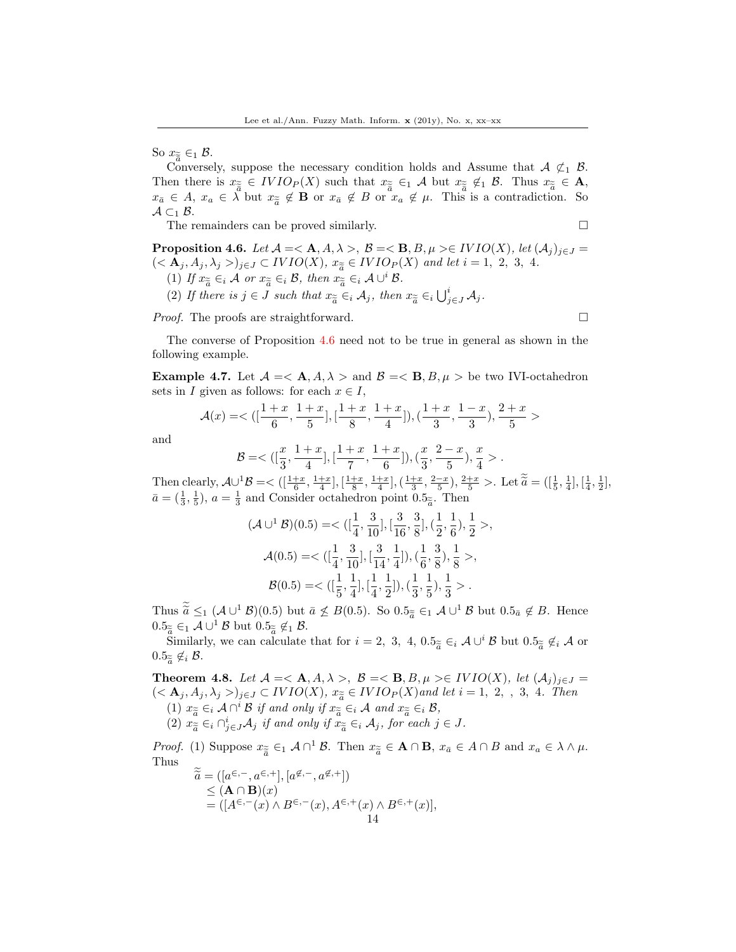So  $x_{\widetilde{\widetilde{a}}} \in_1 \mathcal{B}$ .<br>Converse

Conversely, suppose the necessary condition holds and Assume that  $A \nsubseteq_1 B$ . Then there is  $x_{\tilde{a}} \in IVIO_P(X)$  such that  $x_{\tilde{a}} \in A$  but  $x_{\tilde{a}} \notin I$  B. Thus  $x_{\tilde{a}} \in A$ ,<br> $x \in A$ ,  $x \in \tilde{A}$  but  $x \notin B$  or  $x \notin B$  or  $x \notin A$ . This is a controllation. So  $x_{\bar{a}} \in A$ ,  $x_a \in \lambda$  but  $x_{\tilde{a}} \notin \mathbf{B}$  or  $x_{\bar{a}} \notin B$  or  $x_a \notin \mu$ . This is a contradiction. So  $A \subset B$  $\mathcal{A} \subset_1 \mathcal{B}$ .

The remainders can be proved similarly.  $\square$ 

<span id="page-13-0"></span>**Proposition 4.6.** Let  $\mathcal{A} = \langle \mathbf{A}, A, \lambda \rangle$ ,  $\mathcal{B} = \langle \mathbf{B}, B, \mu \rangle \in \text{IVIO}(X)$ , let  $(A_j)_{j \in J} =$  $(**A**<sub>j</sub>, A<sub>j</sub>, A<sub>j</sub>>)<sub>j\in J</sub> \subset IVIO(X), x_{\widetilde{a}} \in IVIO_P(X)$  and let  $i = 1, 2, 3, 4$ .<br>(1) If  $x_{\widetilde{a}} \in A$  or  $x_{\widetilde{a}} \in B$ , then  $x_{\widetilde{a}} \in A + i^i B$ .

- (1) If  $x_{\widetilde{a}} \in_i \mathcal{A}$  or  $x_{\widetilde{a}} \in_i \mathcal{B}$ , then  $x_{\widetilde{a}} \in_i \mathcal{A} \cup^i \mathcal{B}$ .<br>
(2) If  $\mathcal{U} \subset \mathcal{I}$
- (2) If there is  $j \in J$  such that  $x_{\widetilde{a}} \in_i \mathcal{A}_j$ , then  $x_{\widetilde{a}} \in_i \bigcup_{j \in J}^i \mathcal{A}_j$ .

Proof. The proofs are straightforward.

The converse of Proposition [4.6](#page-13-0) need not to be true in general as shown in the following example.

**Example 4.7.** Let  $\mathcal{A} = \langle \mathbf{A}, A, \lambda \rangle$  and  $\mathcal{B} = \langle \mathbf{B}, B, \mu \rangle$  be two IVI-octahedron sets in I given as follows: for each  $x \in I$ ,

$$
\mathcal{A}(x) = \langle \left( \left[ \frac{1+x}{6}, \frac{1+x}{5} \right], \left[ \frac{1+x}{8}, \frac{1+x}{4} \right] \right), \left( \frac{1+x}{3}, \frac{1-x}{3} \right), \frac{2+x}{5} \rangle
$$

and

$$
\mathcal{B} = \langle \left( \left[ \frac{x}{3}, \frac{1+x}{4} \right], \left[ \frac{1+x}{7}, \frac{1+x}{6} \right] \right), \left( \frac{x}{3}, \frac{2-x}{5} \right), \frac{x}{4} \rangle.
$$

Then clearly,  $\mathcal{A} \cup^1 \mathcal{B} = \big\langle \left[ \frac{1+x}{6}, \frac{1+x}{4} \right], \left[ \frac{1+x}{8}, \frac{1+x}{4} \right], \left( \frac{1+x}{3}, \frac{2-x}{5} \right), \frac{2+x}{5} \big\rangle$ . Let  $\tilde{\tilde{a}} = \left( \left[ \frac{1}{5}, \frac{1}{4} \right], \left[ \frac{1}{4}, \frac{1}{2} \right], \frac{1+x}{4} \right]$  $\bar{a} = (\frac{1}{3}, \frac{1}{5}), a = \frac{1}{3}$  and Consider octahedron point  $0.5_{\tilde{a}}$ . Then

$$
(\mathcal{A} \cup^{1} \mathcal{B})(0.5) = \langle \left( \frac{1}{4}, \frac{3}{10} \right], \left[ \frac{3}{16}, \frac{3}{8} \right], \left( \frac{1}{2}, \frac{1}{6} \right), \frac{1}{2} \rangle,
$$
  

$$
\mathcal{A}(0.5) = \langle \left( \frac{1}{4}, \frac{3}{10} \right], \left[ \frac{3}{14}, \frac{1}{4} \right], \left( \frac{1}{6}, \frac{3}{8} \right), \frac{1}{8} \rangle,
$$
  

$$
\mathcal{B}(0.5) = \langle \left( \frac{1}{5}, \frac{1}{4} \right], \left[ \frac{1}{4}, \frac{1}{2} \right], \left( \frac{1}{3}, \frac{1}{5} \right), \frac{1}{3} \rangle.
$$

Thus  $\tilde{a} \leq_1 (\mathcal{A} \cup^1 \mathcal{B})(0.5)$  but  $\bar{a} \nleq B(0.5)$ . So  $0.5_{\tilde{a}} \in_1 \mathcal{A} \cup^1 \mathcal{B}$  but  $0.5_{\bar{a}} \notin B$ . Hence  $0.5_{\widetilde{a}} \in_{1} \mathcal{A} \cup^{1} \mathcal{B}$  but  $0.5_{\widetilde{a}} \notin_{1} \mathcal{B}$ .<br>Similarly, we can calculate

Similarly, we can calculate that for  $i = 2, 3, 4, 0.5_{\widetilde{a}} \in_i \mathcal{A} \cup^i \mathcal{B}$  but  $0.5_{\widetilde{a}} \notin_i \mathcal{A}$  or  $0.5_{\widetilde{\tilde{a}}} \notin_{i} \mathcal{B}.$ 

**Theorem 4.8.** Let  $\mathcal{A} = \langle \mathbf{A}, A, \lambda \rangle$ ,  $\mathcal{B} = \langle \mathbf{B}, B, \mu \rangle \in \mathit{IVIO}(X)$ , let  $(A_i)_{i \in J} =$  $(**A**<sub>j</sub>, A<sub>j</sub>, A<sub>j</sub>>)<sub>j\in J</sub> \subset IVIO(X), x_{\widetilde{a}} \in IVIO<sub>P</sub>(X)$  and let  $i = 1, 2, 3, 4$ . Then (1)  $x_{\widetilde{a}} \in_i \mathcal{A} \cap^i \mathcal{B}$  if and only if  $x_{\widetilde{a}} \in_i \mathcal{A}$  and  $x_{\widetilde{a}} \in_i \mathcal{B}$ ,<br>(2)  $x_{\widetilde{a}} \in \Omega^i$ , A, if and only if  $x_{\widetilde{a}} \in \mathcal{A}$ , for each is (2)  $x_{\widetilde{a}} \in_{i} \cap_{j \in J}^{i} \mathcal{A}_{j}$  if and only if  $x_{\widetilde{a}} \in_{i} \mathcal{A}_{j}$ , for each  $j \in J$ .

*Proof.* (1) Suppose  $x_{\tilde{\tilde{a}}} \in A \cap B$   $\tilde{x}_{\tilde{a}} \in A \cap B$ ,  $x_{\tilde{a}} \in A \cap B$  and  $x_a \in \lambda \wedge \mu$ .<br>Thus Thus

$$
\widetilde{\widetilde{a}} = ([a^{\in,-}, a^{\in,+}], [a^{\notin,-}, a^{\notin,+}]) \leq (\mathbf{A} \cap \mathbf{B})(x) = ([A^{\in,-}(x) \wedge B^{\in,-}(x), A^{\in,+}(x) \wedge B^{\in,+}(x)], 14
$$

$$
\Box
$$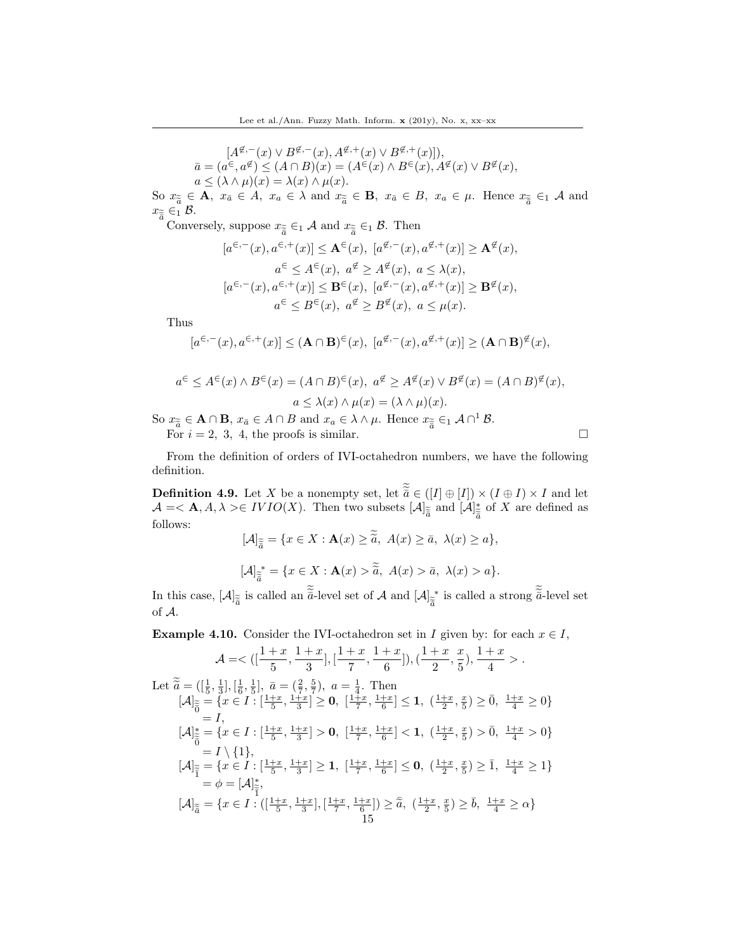$[A^{\not \in,-}(x) \vee B^{\not \in,-}(x), A^{\not \in,+}(x) \vee B^{\not \in,+}(x)]$ ),  $\bar{a} = (a^{\in}, a^{\notin}) \leq (A \cap B)(x) = (A^{\infty}(x) \wedge B^{\infty}(x), A^{\notin}(x) \vee B^{\notin}(x)),$  $a \le (\lambda \wedge \mu)(x) = \lambda(x) \wedge \mu(x).$ 

So  $x_{\widetilde{a}} \in \mathbf{A}$ ,  $x_{\bar{a}} \in A$ ,  $x_a \in \lambda$  and  $x_{\widetilde{a}} \in \mathbf{B}$ ,  $x_{\bar{a}} \in B$ ,  $x_a \in \mu$ . Hence  $x_{\widetilde{\overline{a}}} \in_1 \mathcal{A}$  and  $x_{\widetilde{a}} \in_1 \mathcal{B}$  $x_{\widetilde{\bar{a}}}\in_1 \mathcal{B}.$ Conve

Conversely, suppose  $x_{\widetilde{\tilde{a}}} \in A$  and  $x_{\widetilde{\tilde{a}}} \in A$ . Then

$$
[a^{\in,-}(x), a^{\in,+}(x)] \leq \mathbf{A}^{\in}(x), [a^{\notin,-}(x), a^{\notin,+}(x)] \geq \mathbf{A}^{\notin}(x),
$$
  
\n
$$
a^{\in} \leq A^{\in}(x), a^{\notin} \geq A^{\notin}(x), a \leq \lambda(x),
$$
  
\n
$$
[a^{\in,-}(x), a^{\in,+}(x)] \leq \mathbf{B}^{\in}(x), [a^{\notin,-}(x), a^{\notin,+}(x)] \geq \mathbf{B}^{\notin}(x),
$$
  
\n
$$
a^{\in} \leq B^{\in}(x), a^{\notin} \geq B^{\notin}(x), a \leq \mu(x).
$$

Thus

$$
[a^{\in,-}(x), a^{\in,+}(x)] \leq (\mathbf{A} \cap \mathbf{B})^{\in}(x), \ [a^{\notin,-}(x), a^{\notin,+}(x)] \geq (\mathbf{A} \cap \mathbf{B})^{\notin}(x),
$$

$$
a^{\in} \le A^{\in}(x) \wedge B^{\in}(x) = (A \cap B)^{\in}(x), \ a^{\notin} \ge A^{\notin}(x) \vee B^{\notin}(x) = (A \cap B)^{\notin}(x),
$$

$$
a \le \lambda(x) \wedge \mu(x) = (\lambda \wedge \mu)(x).
$$

So  $x_{\tilde{a}} \in \mathbf{A} \cap \mathbf{B}$ ,  $x_{\tilde{a}} \in A \cap B$  and  $x_a \in \lambda \wedge \mu$ . Hence  $x_{\tilde{\tilde{a}}} \in_1 \mathcal{A} \cap^1 \mathcal{B}$ .<br>For  $i = 2, 3, 4$ , the proofs is similar.

For  $i = 2, 3, 4$ , the proofs is similar.

From the definition of orders of IVI-octahedron numbers, we have the following definition.

<span id="page-14-0"></span>**Definition 4.9.** Let X be a nonempty set, let  $\tilde{a} \in ([I] \oplus [I]) \times (I \oplus I) \times I$  and let  $\mathcal{A} = \langle \mathbf{A}, A, \lambda \rangle \in IVIO(X)$ . Then two subsets  $[\mathcal{A}]_{\tilde{\tilde{a}}}$  and  $[\mathcal{A}]_{\tilde{\tilde{a}}}^*$  $\bar{a}$ of  $X$  are defined as follows:

$$
[\mathcal{A}]_{\widetilde{\widetilde{a}}} = \{x \in X : \mathbf{A}(x) \ge \widetilde{\widetilde{a}}, \ A(x) \ge \overline{a}, \ \lambda(x) \ge a\},
$$

$$
[\mathcal{A}]_{\widetilde{\widetilde{a}}}^* = \{x \in X : \mathbf{A}(x) > \widetilde{\widetilde{a}}, \ A(x) > \overline{a}, \ \lambda(x) > a\}.
$$

In this case,  $[\mathcal{A}]_{\tilde{\tilde{a}}}$  is called an  $\tilde{\tilde{a}}$ -level set of  $\mathcal{A}$  and  $[\mathcal{A}]_{\tilde{\tilde{a}}}^{*}$  $\tilde{\bar{a}}$ <sup>\*</sup> is called a strong  $\bar{\bar{a}}$ -level set of A.

**Example 4.10.** Consider the IVI-octahedron set in I given by: for each  $x \in I$ ,

$$
\mathcal{A} = \langle \left( [\frac{1+x}{5}, \frac{1+x}{3}], [\frac{1+x}{7}, \frac{1+x}{6}]), (\frac{1+x}{2}, \frac{x}{5}), \frac{1+x}{4} \rangle \right.
$$
\n
$$
\text{Let } \tilde{\tilde{a}} = ([\frac{1}{5}, \frac{1}{3}], [\frac{1}{6}, \frac{1}{5}], \bar{a} = (\frac{2}{7}, \frac{5}{7}), a = \frac{1}{4}. \text{ Then}
$$
\n
$$
[\mathcal{A}]_{\tilde{\tilde{0}}} = \{x \in I : [\frac{1+x}{5}, \frac{1+x}{3}] \ge 0, [\frac{1+x}{7}, \frac{1+x}{6}] \le 1, (\frac{1+x}{2}, \frac{x}{5}) \ge \bar{0}, \frac{1+x}{4} \ge 0\}
$$
\n
$$
= I,
$$
\n
$$
[\mathcal{A}]_{\tilde{\tilde{0}}}^{*} = \{x \in I : [\frac{1+x}{5}, \frac{1+x}{3}] > 0, [\frac{1+x}{7}, \frac{1+x}{6}] < 1, (\frac{1+x}{2}, \frac{x}{5}) > \bar{0}, \frac{1+x}{4} > 0\}
$$
\n
$$
= I \setminus \{1\},
$$
\n
$$
[\mathcal{A}]_{\tilde{\tilde{1}}}^{*} = \{x \in I : [\frac{1+x}{5}, \frac{1+x}{3}] \ge 1, [\frac{1+x}{7}, \frac{1+x}{6}] \le 0, (\frac{1+x}{2}, \frac{x}{5}) \ge \bar{1}, \frac{1+x}{4} \ge 1\}
$$
\n
$$
= \phi = [\mathcal{A}]_{\tilde{\tilde{1}}}^{*},
$$
\n
$$
[\mathcal{A}]_{\tilde{\tilde{a}}} = \{x \in I : ([\frac{1+x}{5}, \frac{1+x}{3}], [\frac{1+x}{7}, \frac{1+x}{6}]) \ge \bar{\tilde{a}}, (\frac{1+x}{2}, \frac{x}{5}) \ge \bar{b}, \frac{1+x}{4} \ge \alpha\}
$$
\n
$$
15
$$

$$
\Box
$$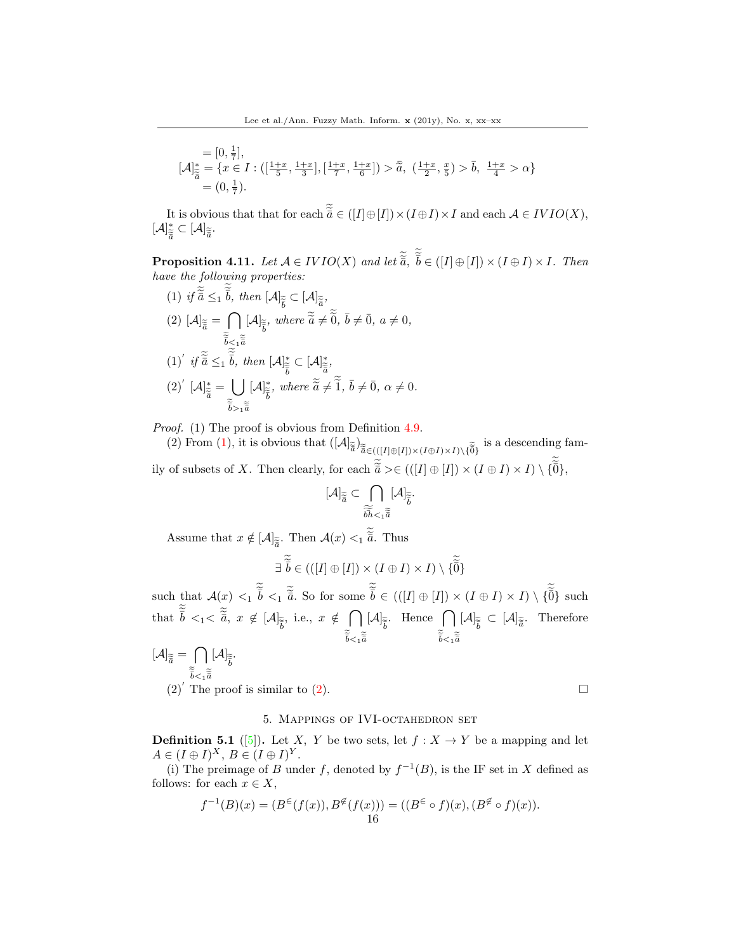$$
= [0, \frac{1}{7}],
$$
  
\n
$$
[\mathcal{A}]_{\tilde{\tilde{a}}}^* = \{x \in I : ([\frac{1+x}{5}, \frac{1+x}{3}], [\frac{1+x}{7}, \frac{1+x}{6}]) > \tilde{\tilde{a}}, (\frac{1+x}{2}, \frac{x}{5}) > \tilde{b}, \frac{1+x}{4} > \alpha\}
$$
  
\n
$$
= (0, \frac{1}{7}).
$$

It is obvious that that for each  $\widetilde{\widetilde{\overline{a}}} \in ([I] \oplus [I]) \times (I \oplus I) \times I$  and each  $\mathcal{A} \in IVIO(X),$  $[\mathcal{A}]_{\approx}^{*}$  $\frac{\dot{\widetilde{\mathbf{z}}}}{\widetilde{\bar{a}}} \subset [\mathcal{A}]_{\widetilde{\bar{a}}}$ .

**Proposition 4.11.** Let  $A \in VIO(X)$  and let  $\tilde{\tilde{a}}$ ,  $\tilde{b} \in ([I] \oplus [I]) \times (I \oplus I) \times I$ . Then have the following properties:

(1) if 
$$
\tilde{\vec{a}} \leq 1
$$
  $\bar{b}$ , then  $[\mathcal{A}]_{\tilde{\vec{b}}} \subset [\mathcal{A}]_{\tilde{\vec{a}}},$   
\n(2)  $[\mathcal{A}]_{\tilde{\vec{a}}} = \bigcap_{\tilde{\vec{b}} < 1} [\mathcal{A}]_{\tilde{\vec{b}}}, where \tilde{\vec{a}} \neq \tilde{\vec{0}}, \bar{b} \neq \bar{0}, a \neq 0,$   
\n $\tilde{\vec{b}} \leq 1 \tilde{\vec{b}}.$  then  $[\mathcal{A}]_{\tilde{\vec{b}}}^* \subset [\mathcal{A}]_{\tilde{\vec{a}}}^*$ ,  
\n(1)' if  $\tilde{\vec{a}} \leq 1 \tilde{\vec{b}}$ , then  $[\mathcal{A}]_{\tilde{\vec{b}}}^* \subset [\mathcal{A}]_{\tilde{\vec{a}}}^*$ ,  
\n(2)'  $[\mathcal{A}]_{\tilde{\vec{a}}}^* = \bigcup_{\tilde{\vec{b}} > 1} [\mathcal{A}]_{\tilde{\vec{b}}}^*$ , where  $\tilde{\vec{a}} \neq \tilde{\vec{1}}, \bar{b} \neq \bar{0}, \alpha \neq 0.$ 

Proof. (1) The proof is obvious from Definition [4.9.](#page-14-0)

(2) From (1), it is obvious that  $([A]_{\widetilde{\widetilde{a}}} \times_{\widetilde{\widetilde{a}} \in (([I] \oplus [I]) \times (I \oplus I) \times I) \setminus {\{\widetilde{\widetilde{0}}\}}$  is a descending family of subsets of X. Then clearly, for each  $\widetilde{\tilde{a}} \geq \in (([I] \oplus [I]) \times (I \oplus I) \times I) \setminus {\{\widetilde{\tilde{0}}\}}$ ,

$$
[\mathcal{A}]_{\widetilde{\widetilde{a}}} \subset \bigcap_{\widetilde{\widetilde{bh}}<_1 \widetilde{\widetilde{a}}} [\mathcal{A}]_{\widetilde{\widetilde{b}}}.
$$

Assume that  $x \notin [\mathcal{A}]_{\tilde{\vec{a}}}$ . Then  $\mathcal{A}(x) <_1 \tilde{\vec{a}}$ . Thus

$$
\exists \; \widetilde{\bar{\tilde{b}}} \in (((I] \oplus [I]) \times (I \oplus I) \times I) \setminus \{ \widetilde{\tilde{\tilde{0}}} \}
$$

such that  $\mathcal{A}(x) \leq 1 \, \overline{b} \leq 1 \, \overline{\widetilde{a}}$ . So for some  $\overline{b} \in (((I \oplus [I]) \times (I \oplus I) \times I) \setminus {\widetilde{0}}$  such that  $\tilde{\bar{b}} \lt_1 < \tilde{\bar{a}}, x \notin [\mathcal{A}]_{\tilde{\bar{b}}},$  i.e.,  $x \notin \bigcap_{\tilde{\bar{b}}}$  $\tilde{\bar{b}} < 1$  $\tilde{\bar{a}}$  $[\mathcal{A}]_{\widetilde{\vec{b}}}$ . Hence  $\bigcap_{z}$  $\tilde{\bar{b}} < 1$  $\tilde{\bar{a}}$  $[\mathcal{A}]_{\widetilde{\tilde{b}}} \subset [\mathcal{A}]_{\widetilde{\tilde{a}}}$ . Therefore

$$
[\mathcal{A}]_{\tilde{\tilde{a}}} = \bigcap_{\tilde{\tilde{b}} < 1 \tilde{\tilde{a}} \\
(2) \text{ The proof is similar to } (2).
$$

## 5. Mappings of IVI-octahedron set

**Definition 5.1** ([\[5\]](#page-37-16)). Let X, Y be two sets, let  $f: X \to Y$  be a mapping and let  $A \in (I \oplus I)^X$ ,  $B \in (I \oplus I)^Y$ .

(i) The preimage of B under f, denoted by  $f^{-1}(B)$ , is the IF set in X defined as follows: for each  $x \in X$ ,

$$
f^{-1}(B)(x) = (B^{\in}(f(x)), B^{\notin}(f(x))) = ((B^{\in} \circ f)(x), (B^{\notin} \circ f)(x)).
$$
  
16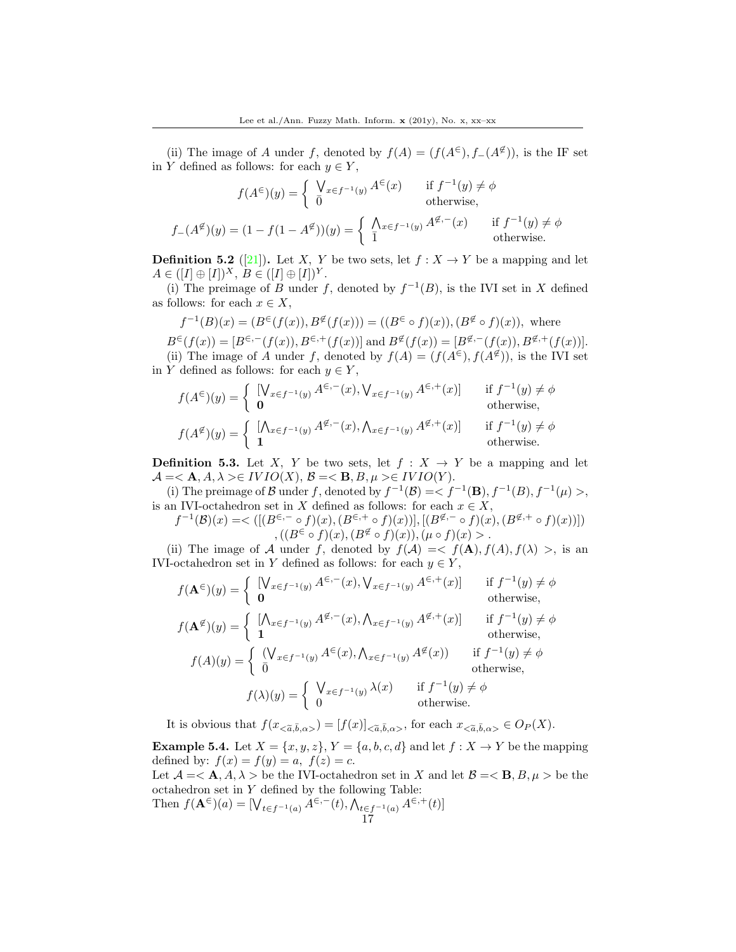(ii) The image of A under f, denoted by  $f(A) = (f(A^{\epsilon}), f_-(A^{\epsilon}))$ , is the IF set in Y defined as follows: for each  $y \in Y$ ,

$$
f(A^{\epsilon})(y) = \begin{cases} \n\int_{x \in f^{-1}(y)} A^{\epsilon}(x) & \text{if } f^{-1}(y) \neq \phi \\ \n0 & \text{otherwise,} \n\end{cases}
$$
  
\n
$$
f_{-}(A^{\notin})(y) = (1 - f(1 - A^{\notin}))(y) = \begin{cases} \n\int_{x \in f^{-1}(y)} A^{\notin,-}(x) & \text{if } f^{-1}(y) \neq \phi \\ \n\overline{1} & \text{otherwise.} \n\end{cases}
$$

**Definition 5.2** ([\[21\]](#page-38-7)). Let X, Y be two sets, let  $f: X \to Y$  be a mapping and let  $A \in ([I] \oplus [I])^X, B \in ([I] \oplus [I])^Y.$ 

(i) The preimage of B under f, denoted by  $f^{-1}(B)$ , is the IVI set in X defined as follows: for each  $x \in X$ ,

$$
f^{-1}(B)(x) = (B^{\in}(f(x)), B^{\notin}(f(x))) = ((B^{\in} \circ f)(x)), (B^{\notin} \circ f)(x)),
$$
 where  
\n
$$
B^{\in}(f(x)) = [B^{\in}-(f(x)), B^{\in}+(f(x))] \text{ and } B^{\notin}(f(x)) = [B^{\notin}-(f(x)), B^{\notin}+(f(x))].
$$
\n(ii) The image of A under f, denoted by  $f(A) = (f(A^{\in}), f(A^{\notin}))$ , is the IVI set  
\nin Y defined as follows: for each  $y \in Y$ ,

$$
f(A^{\epsilon})(y) = \begin{cases} [\bigvee_{x \in f^{-1}(y)} A^{\epsilon,-}(x), \bigvee_{x \in f^{-1}(y)} A^{\epsilon,+}(x)] & \text{if } f^{-1}(y) \neq \phi \\ \mathbf{0} & \text{otherwise,} \end{cases}
$$
  

$$
f(A^{\notin})(y) = \begin{cases} [\bigwedge_{x \in f^{-1}(y)} A^{\notin,-}(x), \bigwedge_{x \in f^{-1}(y)} A^{\notin,+}(x)] & \text{if } f^{-1}(y) \neq \phi \\ \mathbf{1} & \text{otherwise.} \end{cases}
$$

<span id="page-16-1"></span>**Definition 5.3.** Let X, Y be two sets, let  $f : X \rightarrow Y$  be a mapping and let  $A = \langle A, A, \lambda \rangle \in IVIO(X), B = \langle B, B, \mu \rangle \in IVIO(Y).$ 

(i) The preimage of B under f, denoted by  $f^{-1}(\mathcal{B}) = \langle f^{-1}(\mathbf{B}), f^{-1}(B), f^{-1}(\mu) \rangle$ , is an IVI-octahedron set in X defined as follows: for each  $x \in X$ ,

$$
f^{-1}(\mathcal{B})(x) = \langle \left[ (B^{\in,-} \circ f)(x), (B^{\in,+} \circ f)(x) \right], \left[ (B^{\notin,-} \circ f)(x), (B^{\notin,+} \circ f)(x) \right] \rangle
$$
  

$$
, \left( (B^{\in} \circ f)(x), (B^{\notin} \circ f)(x) \right), (\mu \circ f)(x) > .
$$

(ii) The image of A under f, denoted by  $f(A) = \langle f(A), f(A), f(\lambda) \rangle$ , is an IVI-octahedron set in Y defined as follows: for each  $y \in Y$ ,

$$
f(\mathbf{A}^{\epsilon})(y) = \begin{cases} [\bigvee_{x \in f^{-1}(y)} A^{\epsilon,-}(x), \bigvee_{x \in f^{-1}(y)} A^{\epsilon,+}(x)] & \text{if } f^{-1}(y) \neq \phi \\ \mathbf{0} & \text{otherwise,} \end{cases}
$$
  
\n
$$
f(\mathbf{A}^{\notin})(y) = \begin{cases} [\bigwedge_{x \in f^{-1}(y)} A^{\notin,-}(x), \bigwedge_{x \in f^{-1}(y)} A^{\notin,+}(x)] & \text{if } f^{-1}(y) \neq \phi \\ \mathbf{1} & \text{otherwise,} \end{cases}
$$
  
\n
$$
f(A)(y) = \begin{cases} (\bigvee_{x \in f^{-1}(y)} A^{\epsilon}(x), \bigwedge_{x \in f^{-1}(y)} A^{\notin}(x)) & \text{if } f^{-1}(y) \neq \phi \\ \mathbf{0} & \text{otherwise,} \end{cases}
$$
  
\n
$$
f(\lambda)(y) = \begin{cases} \bigvee_{x \in f^{-1}(y)} \lambda(x) & \text{if } f^{-1}(y) \neq \phi \\ \mathbf{0} & \text{otherwise.} \end{cases}
$$

It is obvious that  $f(x_{\langle \alpha,\bar{b},\alpha\rangle}) = [f(x)]_{\langle \alpha,\bar{b},\alpha\rangle}$ , for each  $x_{\langle \alpha,\bar{b},\alpha\rangle} \in O_P(X)$ .

<span id="page-16-0"></span>**Example 5.4.** Let  $X = \{x, y, z\}$ ,  $Y = \{a, b, c, d\}$  and let  $f : X \rightarrow Y$  be the mapping defined by:  $f(x) = f(y) = a, f(z) = c$ .

Let  $\mathcal{A} = \langle \mathbf{A}, A, \lambda \rangle$  be the IVI-octahedron set in X and let  $\mathcal{B} = \langle \mathbf{B}, B, \mu \rangle$  be the octahedron set in  $Y$  defined by the following Table: Then  $f(\mathbf{A}^{\in})(a) = [\bigvee_{t \in f^{-1}(a)} A^{\in,-}(t), \bigwedge_{t \in f^{-1}(a)} A^{\in,+}(t)]$ 

$$
17\,
$$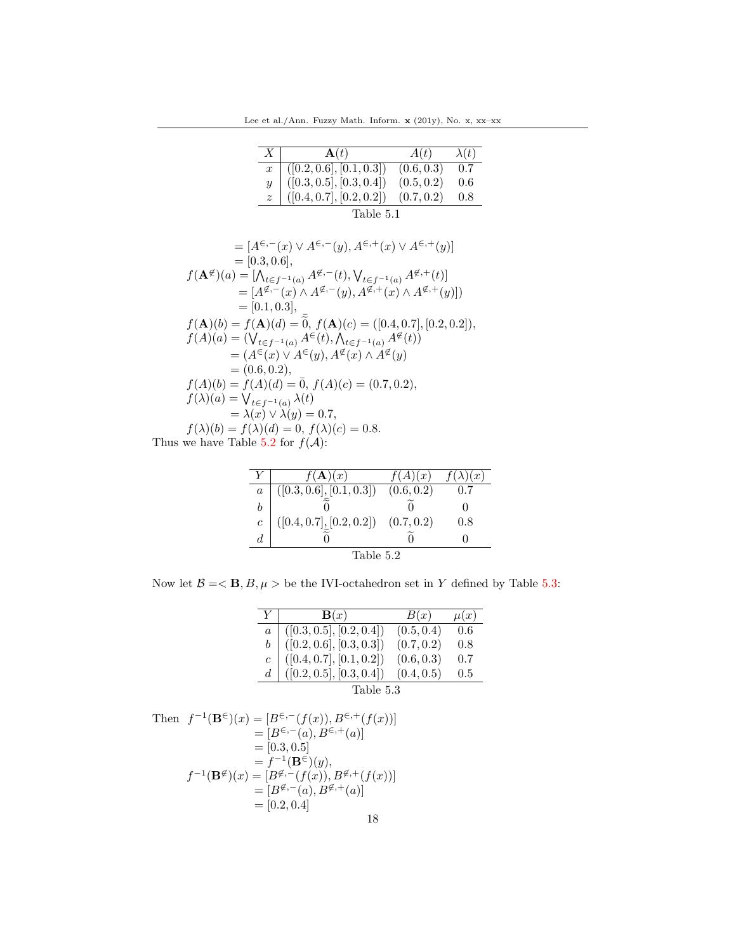Lee et al./Ann. Fuzzy Math. Inform.  $\mathbf x$  (201y), No. x, xx–xx

| X                | $\mathbf{A}(t)$                                                                                                                                                      | A(t)       | $\lambda(t)$ |  |
|------------------|----------------------------------------------------------------------------------------------------------------------------------------------------------------------|------------|--------------|--|
| $\boldsymbol{x}$ |                                                                                                                                                                      | (0.6, 0.3) | 0.7          |  |
|                  |                                                                                                                                                                      | (0.5, 0.2) | 0.6          |  |
|                  | $\begin{array}{ l} \hline \left([0.2, 0.6], [0.1, 0.3]\right) \ \hline \left([0.3, 0.5], [0.3, 0.4]\right) \ \hline \left([0.4, 0.7], [0.2, 0.2]\right) \end{array}$ | (0.7, 0.2) | 0.8          |  |
|                  |                                                                                                                                                                      |            |              |  |

Table 5.1

$$
= [A^{\epsilon,-}(x) \vee A^{\epsilon,-}(y), A^{\epsilon,+}(x) \vee A^{\epsilon,+}(y)]
$$
  
\n
$$
= [0.3, 0.6],
$$
  
\n
$$
f(\mathbf{A}^{\notin})(a) = [\bigwedge_{t \in f^{-1}(a)} A^{\notin,-}(t), \bigvee_{t \in f^{-1}(a)} A^{\notin,+}(t)]
$$
  
\n
$$
= [A^{\notin,-}(x) \wedge A^{\notin,-}(y), A^{\notin,+}(x) \wedge A^{\notin,+}(y)]
$$
  
\n
$$
= [0.1, 0.3],
$$
  
\n
$$
f(\mathbf{A})(b) = f(\mathbf{A})(d) = \tilde{0}, f(\mathbf{A})(c) = ([0.4, 0.7], [0.2, 0.2]),
$$
  
\n
$$
f(A)(a) = (\bigvee_{t \in f^{-1}(a)} A^{\in}(t), \bigwedge_{t \in f^{-1}(a)} A^{\notin}(t))
$$
  
\n
$$
= (A^{\in}(x) \vee A^{\in}(y), A^{\notin}(x) \wedge A^{\notin}(y))
$$
  
\n
$$
= (0.6, 0.2),
$$
  
\n
$$
f(A)(b) = f(A)(d) = \bar{0}, f(A)(c) = (0.7, 0.2),
$$
  
\n
$$
f(\lambda)(a) = \bigvee_{t \in f^{-1}(a)} \lambda(t)
$$
  
\n
$$
= \lambda(x) \vee \lambda(y) = 0.7,
$$
  
\n
$$
f(\lambda)(b) = f(\lambda)(d) = 0, f(\lambda)(c) = 0.8.
$$
  
\nThus we have Table 5.2 for  $f(A)$ :

|                  | $f(\mathbf{A})(x)$                      | f(A)(x)    | $\left(x\right)$ |
|------------------|-----------------------------------------|------------|------------------|
| $\boldsymbol{a}$ | ([0.3, 0.6], [0.1, 0.3])                | (0.6, 0.2) | 0.7              |
| b                |                                         |            |                  |
| $\overline{c}$   | $([0.4, 0.7], [0.2, 0.2])$ $(0.7, 0.2)$ |            | $0.8\,$          |
| d.               |                                         |            |                  |
| Table 5.2        |                                         |            |                  |

Now let  $\mathcal{B}=<\mathbf{B}, B, \mu>$  be the IVI-octahedron set in  $Y$  defined by Table 5.3:

| $Y+$      | $\mathbf{B}(x)$                                                                                                                                               | B(x)       | $\mu(x)$ |  |
|-----------|---------------------------------------------------------------------------------------------------------------------------------------------------------------|------------|----------|--|
|           |                                                                                                                                                               | (0.5, 0.4) | 0.6      |  |
|           |                                                                                                                                                               | (0.7, 0.2) | 0.8      |  |
|           |                                                                                                                                                               | (0.6, 0.3) | 0.7      |  |
|           | $\begin{array}{c c} a & ([0.3, 0.5], [0.2, 0.4]) \\ b & ([0.2, 0.6], [0.3, 0.3]) \\ c & ([0.4, 0.7], [0.1, 0.2]) \\ d & ([0.2, 0.5], [0.3, 0.4]) \end{array}$ | (0.4, 0.5) | 0.5      |  |
| Table 5.3 |                                                                                                                                                               |            |          |  |

Then 
$$
f^{-1}(\mathbf{B}^{\in})(x) = [B^{\in,-}(f(x)), B^{\in,+}(f(x))]
$$
  
\n $= [B^{\in,-}(a), B^{\in,+}(a)]$   
\n $= [0.3, 0.5]$   
\n $= f^{-1}(\mathbf{B}^{\in})(y),$   
\n $f^{-1}(\mathbf{B}^{\notin})(x) = [B^{\notin,-}(f(x)), B^{\notin,+}(f(x))]$   
\n $= [B^{\notin,-}(a), B^{\notin,+}(a)]$   
\n $= [0.2, 0.4]$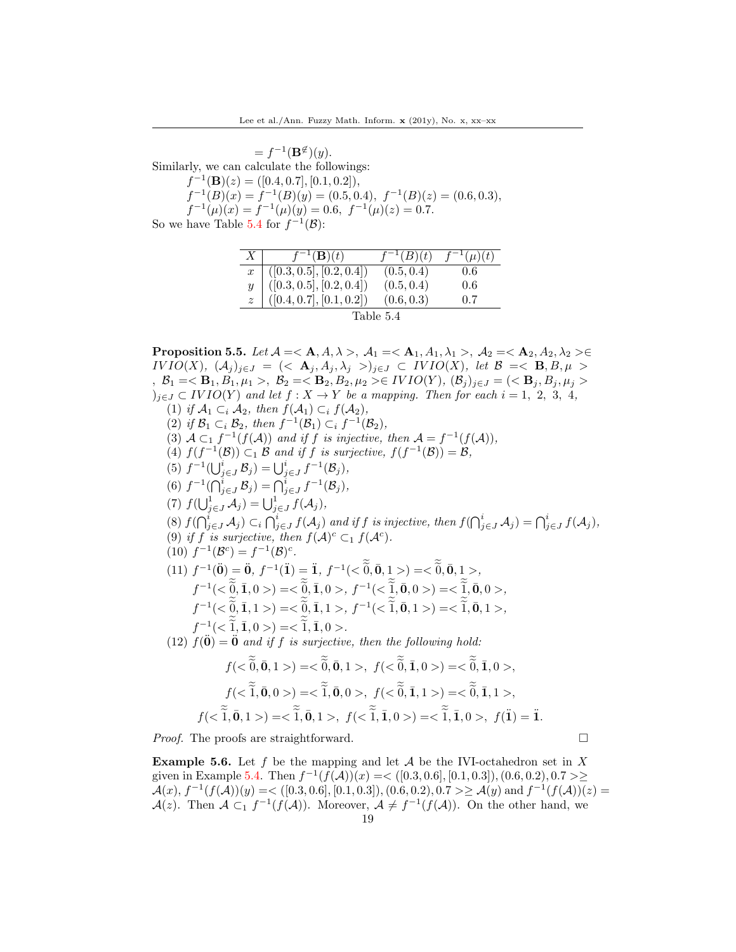$=f^{-1}(\mathbf{B}^{\not\in})(y).$ Similarly, we can calculate the followings:  $f^{-1}(\mathbf{B})(z) = ([0.4, 0.7], [0.1, 0.2]),$  $f^{-1}(B)(x) = f^{-1}(B)(y) = (0.5, 0.4), f^{-1}(B)(z) = (0.6, 0.3),$  $f^{-1}(\mu)(x) = f^{-1}(\mu)(y) = 0.6, f^{-1}(\mu)(z) = 0.7.$ So we have Table 5.4 for  $f^{-1}(\mathcal{B})$ :

| X <sub>1</sub>   | $\overline{f^{-1}}(\mathbf{B})(t)$                                                     | $\overline{f^{-1}}(B)(t)$ | $\overline{f}^{-1}(\mu)(t)$ |  |
|------------------|----------------------------------------------------------------------------------------|---------------------------|-----------------------------|--|
| $\boldsymbol{x}$ |                                                                                        | (0.5, 0.4)                | 0.6                         |  |
|                  |                                                                                        | (0.5, 0.4)                | 0.6                         |  |
|                  | $[(0.3, 0.5], [0.2, 0.4])$<br>$([0.3, 0.5], [0.2, 0.4])$<br>$([0.4, 0.7], [0.1, 0.2])$ | (0.6, 0.3)                | 0.7                         |  |
| Table 5.4        |                                                                                        |                           |                             |  |

<span id="page-18-0"></span>Proposition 5.5. Let  $\mathcal{A} = \langle \mathbf{A}, A, \lambda \rangle$ ,  $\mathcal{A}_1 = \langle \mathbf{A}_1, A_1, \lambda_1 \rangle$ ,  $\mathcal{A}_2 = \langle \mathbf{A}_2, A_2, \lambda_2 \rangle \in$ IVIO(X),  $(A_i)_{i\in J} = \{ \langle A_i, A_i, \lambda_i \rangle \}_{i\in J} \subset IVIO(X)$ , let  $\mathcal{B} = \langle B, B, \mu \rangle$ ,  $\mathcal{B}_1 = \langle \mathbf{B}_1, B_1, \mu_1 \rangle$ ,  $\mathcal{B}_2 = \langle \mathbf{B}_2, B_2, \mu_2 \rangle \in IVIO(Y), (\mathcal{B}_j)_{j \in J} = \langle \langle \mathbf{B}_j, B_j, \mu_j \rangle$  $j_{i\in J} \subset IVIO(Y)$  and let  $f: X \to Y$  be a mapping. Then for each  $i = 1, 2, 3, 4$ , (1) if  $\mathcal{A}_1 \subset_i \mathcal{A}_2$ , then  $f(\mathcal{A}_1) \subset_i f(\mathcal{A}_2)$ , (2) if  $\mathcal{B}_1 \subset_i \mathcal{B}_2$ , then  $f^{-1}(\mathcal{B}_1) \subset_i f^{-1}(\mathcal{B}_2)$ , (3)  $A \subset_1 f^{-1}(f(A))$  and if f is injective, then  $A = f^{-1}(f(A))$ , (4)  $f(f^{-1}(\mathcal{B})) \subset_1 \mathcal{B}$  and if f is surjective,  $f(f^{-1}(\mathcal{B})) = \mathcal{B}$ , (5)  $f^{-1}(\bigcup_{j\in J}^{i} \mathcal{B}_j) = \bigcup_{j\in J}^{i} f^{-1}(\mathcal{B}_j),$ (6)  $f^{-1}(\bigcap_{j\in J}^i \mathcal{B}_j) = \bigcap_{j\in J}^i f^{-1}(\mathcal{B}_j),$ (7)  $f(\bigcup_{j\in J}^1 \mathcal{A}_j) = \bigcup_{j\in J}^1 f(\mathcal{A}_j),$ (8)  $f(\bigcap_{j\in J}^i A_j) \subset_i \bigcap_{j\in J}^i f(A_j)$  and if f is injective, then  $f(\bigcap_{j\in J}^i A_j) = \bigcap_{j\in J}^i f(A_j)$ , (9) if f is surjective, then  $f(\mathcal{A})^c \subset_1 f(\mathcal{A}^c)$ . (10)  $f^{-1}(\mathcal{B}^c) = f^{-1}(\mathcal{B})^c$ . (11)  $f^{-1}(\mathbf{0}) = \mathbf{0}$ ,  $f^{-1}(\mathbf{1}) = \mathbf{1}$ ,  $f^{-1}(< \mathbf{0}, \mathbf{0}, \mathbf{1} >) = < \mathbf{0}, \mathbf{0}, \mathbf{1} >$ ,  $f^{-1}(<\{0,1,0>\}=<\{0,1,0>,f^{-1}(<\{1,0,0>\}=<\{1,0,0>,f^{-1}(<\{1,0,0>\}=<\{1,0,0>,f^{-1}(<\{1,0,0>\}=<\{1,0,0>\}=<\{1,0,0>\}$  $f^{-1}(<\{0,1,1>\}=<\{0,1,1>,f^{-1}(<\tilde{1},0,1>\}=<\tilde{1},0,1>,$  $f^{-1}(<\tilde{1}, \bar{1}, 0>) = <\tilde{1}, \bar{1}, 0>.$ (12)  $f(\ddot{\mathbf{0}}) = \ddot{\mathbf{0}}$  and if f is surjective, then the following hold:  $f(<\tilde{0}, \bar{0}, 1>) = <\tilde{0}, \bar{0}, 1>, f(<\tilde{0}, \bar{1}, 0>) = <\tilde{0}, \bar{1}, 0>,$  $f(<\tilde{1}, \bar{0}, 0>) = <\tilde{1}, \bar{0}, 0>, f(<\tilde{0}, \bar{1}, 1>) = <\tilde{0}, \bar{1}, 1>,$  $f(<\tilde{1}, \bar{0}, 1>) = <\tilde{1}, \bar{0}, 1>, f(<\tilde{1}, \bar{1}, 0>) = <\tilde{1}, \bar{1}, 0>, f(\tilde{1}) = \tilde{1}.$ 

*Proof.* The proofs are straightforward.  $\square$ 

**Example 5.6.** Let f be the mapping and let  $A$  be the IVI-octahedron set in X given in Example [5.4.](#page-16-0) Then  $f^{-1}(f(A))(x) = \langle [0.3, 0.6], [0.1, 0.3], (0.6, 0.2), 0.7 \rangle$  $\mathcal{A}(x), f^{-1}(f(\mathcal{A}))(y) = \langle (0.3, 0.6], [0.1, 0.3]), (0.6, 0.2), 0.7 \rangle \geq \mathcal{A}(y) \text{ and } f^{-1}(f(\mathcal{A}))(z) =$  $\mathcal{A}(z)$ . Then  $\mathcal{A} \subset_1 f^{-1}(f(\mathcal{A}))$ . Moreover,  $\mathcal{A} \neq f^{-1}(f(\mathcal{A}))$ . On the other hand, we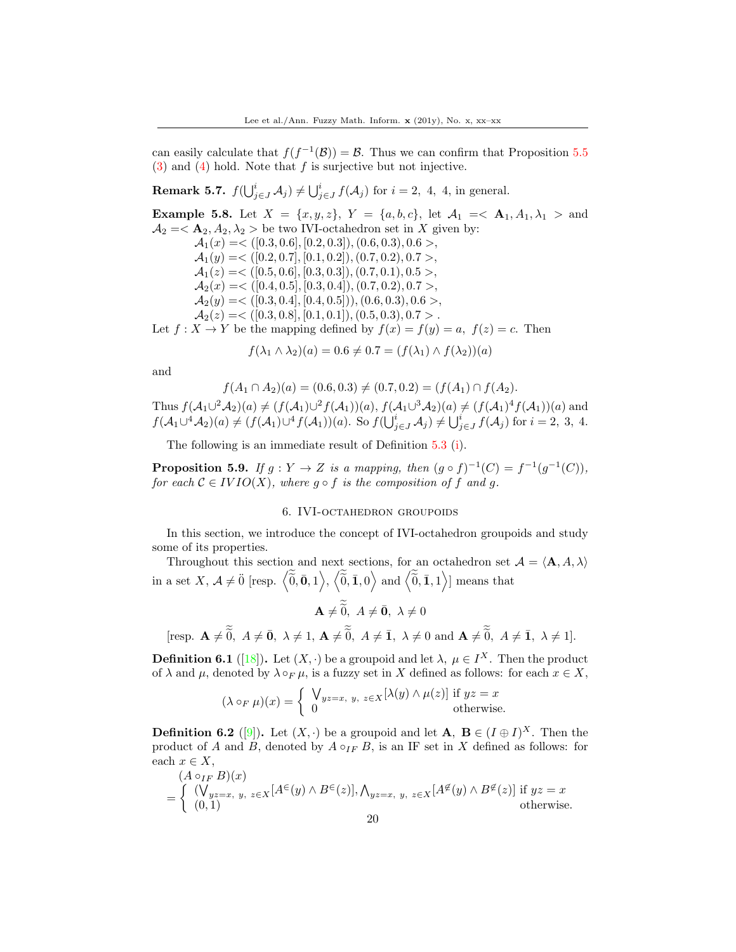can easily calculate that  $f(f^{-1}(\mathcal{B})) = \mathcal{B}$ . Thus we can confirm that Proposition [5.5](#page-18-0) (3) and (4) hold. Note that f is surjective but not injective.

**Remark 5.7.**  $f(\bigcup_{j\in J}^{i} A_j) \neq \bigcup_{j\in J}^{i} f(A_j)$  for  $i = 2, 4, 4$ , in general.

**Example 5.8.** Let  $X = \{x, y, z\}$ ,  $Y = \{a, b, c\}$ , let  $\mathcal{A}_1 = \{A_1, A_1, \lambda_1 > \text{and } A_1 = \emptyset\}$  $A_2 = \langle A_2, A_2, \lambda_2 \rangle$  be two IVI-octahedron set in X given by:  $\mathcal{A}_1(x) = \langle [0.3, 0.6], [0.2, 0.3], (0.6, 0.3), 0.6 \rangle$  $\mathcal{A}_1(y) = \langle [0.2, 0.7], [0.1, 0.2], (0.7, 0.2), 0.7 \rangle,$  $\mathcal{A}_1(z) = \langle [0.5, 0.6], [0.3, 0.3], (0.7, 0.1), 0.5 \rangle,$  $\mathcal{A}_2(x) = \langle [0.4, 0.5], [0.3, 0.4], (0.7, 0.2), 0.7 \rangle,$  $\mathcal{A}_2(y) = \langle [0.3, 0.4], [0.4, 0.5]), (0.6, 0.3), 0.6 \rangle,$  $A_2(z) = \langle [0.3, 0.8], [0.1, 0.1], (0.5, 0.3), 0.7 \rangle$ . Let  $f: X \to Y$  be the mapping defined by  $f(x) = f(y) = a$ ,  $f(z) = c$ . Then

$$
f(\lambda_1 \wedge \lambda_2)(a) = 0.6 \neq 0.7 = (f(\lambda_1) \wedge f(\lambda_2))(a)
$$

and

$$
f(A_1 \cap A_2)(a) = (0.6, 0.3) \neq (0.7, 0.2) = (f(A_1) \cap f(A_2).
$$

Thus  $f(A_1 \cup 2A_2)(a) \neq (f(A_1) \cup 2f(A_1))(a), f(A_1 \cup 3A_2)(a) \neq (f(A_1)^4 f(A_1))(a)$  and  $f(A_1 \cup A_2)(a) \neq (f(A_1) \cup A_2 f(A_1))(a)$ . So  $f(\bigcup_{j \in J}^i A_j) \neq \bigcup_{j \in J}^i f(A_j)$  for  $i = 2, 3, 4$ .

The following is an immediate result of Definition [5.3](#page-16-1) (i).

**Proposition 5.9.** If  $g: Y \to Z$  is a mapping, then  $(g \circ f)^{-1}(C) = f^{-1}(g^{-1}(C))$ , for each  $C \in IVIO(X)$ , where  $g \circ f$  is the composition of f and g.

### 6. IVI-octahedron groupoids

In this section, we introduce the concept of IVI-octahedron groupoids and study some of its properties.

Throughout this section and next sections, for an octahedron set  $\mathcal{A} = \langle \mathbf{A}, A, \lambda \rangle$ in a set X,  $\mathcal{A} \neq \emptyset$  [resp.  $\left\langle \widetilde{\overline{0}}, \overline{\mathbf{0}}, 1 \right\rangle$ ,  $\left\langle \widetilde{\overline{0}}, \overline{\mathbf{1}}, 0 \right\rangle$  and  $\left\langle \widetilde{\overline{0}}, \overline{\mathbf{1}}, 1 \right\rangle$ ] means that

 $\mathbf{A} \neq \widetilde{0}, A \neq \overline{0}, \lambda \neq 0$ 

[resp.  $\mathbf{A} \neq \tilde{0}$ ,  $A \neq \bar{\mathbf{0}}$ ,  $\lambda \neq 1$ ,  $\mathbf{A} \neq \tilde{0}$ ,  $A \neq \bar{\mathbf{1}}$ ,  $\lambda \neq 0$  and  $\mathbf{A} \neq \tilde{0}$ ,  $A \neq \bar{\mathbf{1}}$ ,  $\lambda \neq 1$ ].

<span id="page-19-0"></span>**Definition 6.1** ([\[18\]](#page-37-17)). Let  $(X, \cdot)$  be a groupoid and let  $\lambda, \mu \in I^X$ . Then the product of  $\lambda$  and  $\mu$ , denoted by  $\lambda \circ_F \mu$ , is a fuzzy set in X defined as follows: for each  $x \in X$ ,

$$
(\lambda \circ_F \mu)(x) = \begin{cases} \bigvee_{yz=x, y, z \in X} [\lambda(y) \land \mu(z)] \text{ if } yz = x \\ 0 \text{ otherwise.} \end{cases}
$$

<span id="page-19-1"></span>**Definition 6.2** ([\[9\]](#page-37-18)). Let  $(X, \cdot)$  be a groupoid and let  $\mathbf{A}, \mathbf{B} \in (I \oplus I)^X$ . Then the product of A and B, denoted by  $A \circ_{IF} B$ , is an IF set in X defined as follows: for each  $x \in X$ ,

$$
= \begin{cases} (\mathcal{A} \circ_{IF} B)(x) \\ (\bigvee_{yz=x, y, z \in X} [A^{\in}(y) \wedge B^{\in}(z)], \bigwedge_{yz=x, y, z \in X} [A^{\notin}(y) \wedge B^{\notin}(z)] \text{ if } yz = x \\ (0,1) \end{cases}
$$
 otherwise.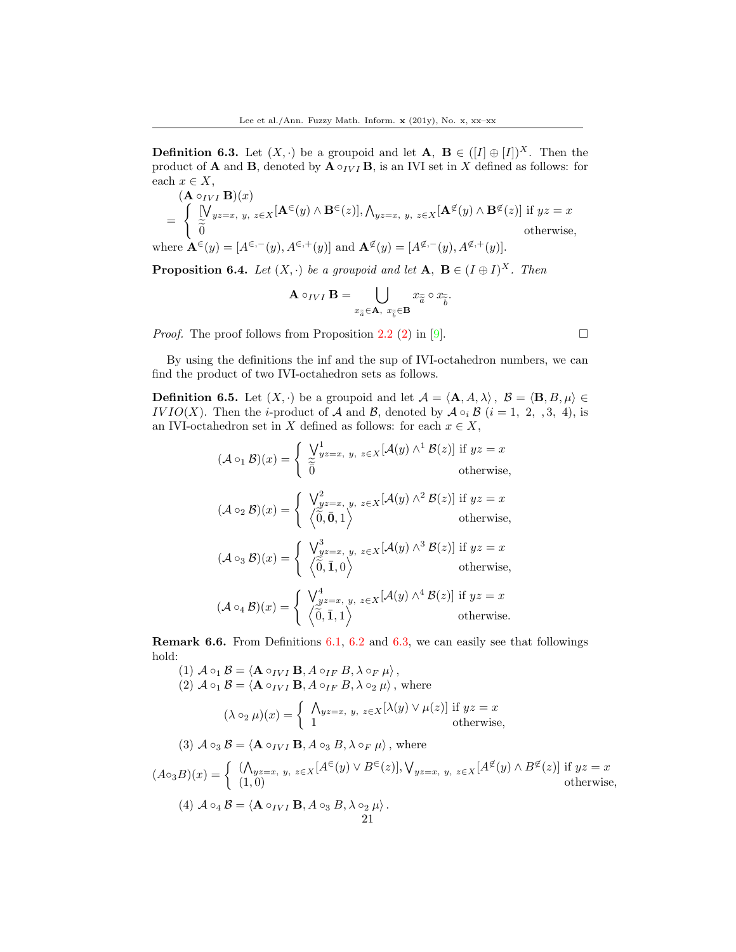<span id="page-20-0"></span>**Definition 6.3.** Let  $(X, \cdot)$  be a groupoid and let  $\mathbf{A}, \mathbf{B} \in (I \oplus I]^X$ . Then the product of **A** and **B**, denoted by  $\mathbf{A} \circ_{IV} \mathbf{B}$ , is an IVI set in X defined as follows: for each  $x \in X$ ,

$$
(\mathbf{A} \circ_{IVI} \mathbf{B})(x)
$$
  
= 
$$
\begin{cases} [\bigvee_{yz=x, y, z \in X} [\mathbf{A}^{\in}(y) \wedge \mathbf{B}^{\in}(z)], \bigwedge_{yz=x, y, z \in X} [\mathbf{A}^{\notin}(y) \wedge \mathbf{B}^{\notin}(z)] \text{ if } yz = x \\ \widetilde{0} & \text{otherwise,} \end{cases}
$$
  
where  $\mathbf{A}^{\in}(y) = [A^{\in,-}(y), A^{\in,+}(y)]$  and  $\mathbf{A}^{\notin}(y) = [A^{\notin,-}(y), A^{\notin,+}(y)].$ 

<span id="page-20-2"></span>**Proposition 6.4.** Let  $(X, \cdot)$  be a groupoid and let  $\mathbf{A}, \mathbf{B} \in (I \oplus I)^X$ . Then

$$
\mathbf{A} \circ_{IVI} \mathbf{B} = \bigcup_{x_{\widetilde{a}} \in \mathbf{A}, \ x_{\widetilde{b}} \in \mathbf{B}} x_{\widetilde{a}} \circ x_{\widetilde{b}}.
$$

*Proof.* The proof follows from Proposition 2.2 (2) in [\[9\]](#page-37-18).  $\Box$ 

By using the definitions the inf and the sup of IVI-octahedron numbers, we can find the product of two IVI-octahedron sets as follows.

<span id="page-20-1"></span>**Definition 6.5.** Let  $(X, \cdot)$  be a groupoid and let  $\mathcal{A} = \langle \mathbf{A}, A, \lambda \rangle$ ,  $\mathcal{B} = \langle \mathbf{B}, B, \mu \rangle \in$ IV IO(X). Then the *i*-product of A and B, denoted by  $A \circ_i B$  (i = 1, 2, , 3, 4), is an IVI-octahedron set in X defined as follows: for each  $x \in X$ ,

$$
(\mathcal{A} \circ_1 \mathcal{B})(x) = \begin{cases} \n\bigvee_{y=z}^{1} y_{z=x}, \ y, \ z \in X \left[ \mathcal{A}(y) \land^1 \mathcal{B}(z) \right] \text{ if } yz = x \\
\text{ otherwise,} \\
(\mathcal{A} \circ_2 \mathcal{B})(x) = \begin{cases} \n\bigvee_{yz=x, \ y, \ z \in X}^{2} [\mathcal{A}(y) \land^2 \mathcal{B}(z)] \text{ if } yz = x \\
\langle \widetilde{0}, \mathbf{0}, 1 \rangle\n\end{cases} \text{ otherwise,} \\
(\mathcal{A} \circ_3 \mathcal{B})(x) = \begin{cases} \n\bigvee_{yz=x, \ y, \ z \in X}^{3} [\mathcal{A}(y) \land^3 \mathcal{B}(z)] \text{ if } yz = x \\
\langle \widetilde{0}, \mathbf{1}, 0 \rangle\n\end{cases} \text{ otherwise,} \\
(\mathcal{A} \circ_4 \mathcal{B})(x) = \begin{cases} \n\bigvee_{yz=x, \ y, \ z \in X}^{4} [\mathcal{A}(y) \land^4 \mathcal{B}(z)] \text{ if } yz = x \\
\langle \widetilde{0}, \mathbf{1}, 1 \rangle\n\end{cases} \text{ otherwise.}\n\end{cases}
$$

<span id="page-20-3"></span>Remark 6.6. From Definitions [6.1,](#page-19-0) [6.2](#page-19-1) and [6.3,](#page-20-0) we can easily see that followings hold:  $(1)$  4

(1) 
$$
\mathcal{A} \circ_1 \mathcal{B} = \langle \mathbf{A} \circ_{IVI} \mathbf{B}, A \circ_{IF} B, \lambda \circ_F \mu \rangle
$$
,  
\n(2)  $\mathcal{A} \circ_1 \mathcal{B} = \langle \mathbf{A} \circ_{IVI} \mathbf{B}, A \circ_{IF} B, \lambda \circ_2 \mu \rangle$ , where  
\n
$$
(\lambda \circ_2 \mu)(x) = \begin{cases} \Lambda_{yz=x, y, z \in X}[\lambda(y) \vee \mu(z)] \text{ if } yz = x \\ 1 \end{cases} \text{ otherwise,}
$$
\n(3)  $\mathcal{A} \circ_3 \mathcal{B} = \langle \mathbf{A} \circ_{IVI} \mathbf{B}, A \circ_3 B, \lambda \circ_F \mu \rangle$ , where  
\n
$$
(A \circ_3 B)(x) = \begin{cases} (\Lambda_{yz=x, y, z \in X}[A^{\in}(y) \vee B^{\in}(z)], \forall_{yz=x, y, z \in X}[A^{\notin}(y) \wedge B^{\notin}(z)] \text{ if } yz = x \\ (1,0) \end{cases} \text{ otherwise,}
$$
\n(4)  $\mathcal{A} \circ_4 \mathcal{B} = \langle \mathbf{A} \circ_{IVI} \mathbf{B}, A \circ_3 B, \lambda \circ_2 \mu \rangle$ .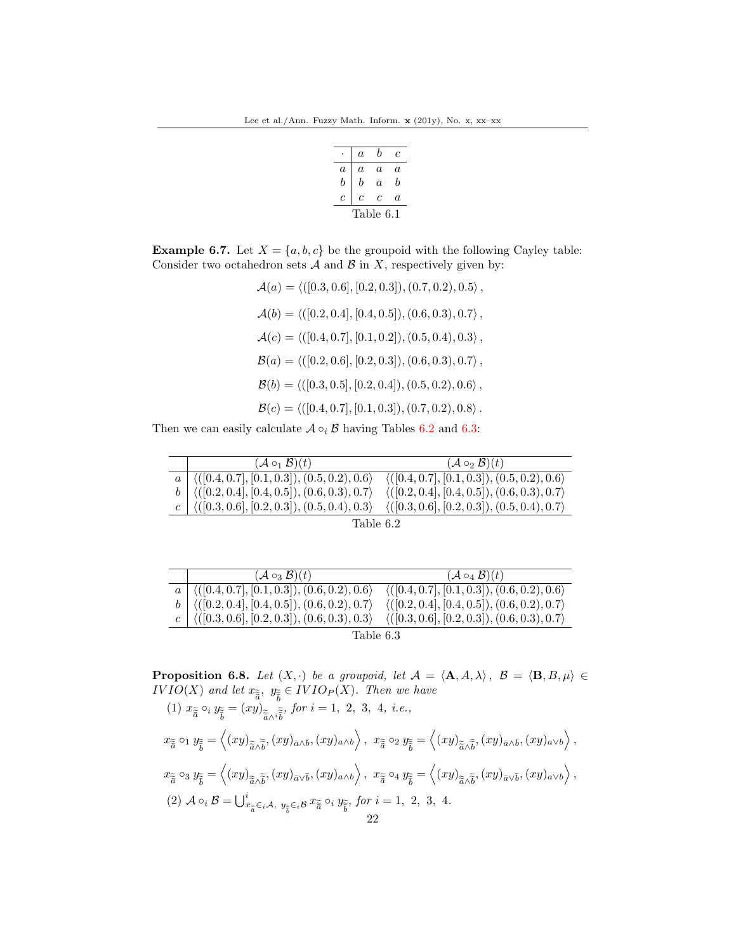|           | $\overline{a}$ | h  | с  |
|-----------|----------------|----|----|
| a         | a              | a. | a. |
| h         | b              | a  | h  |
| c         | с              | c  | a. |
| Table 6.1 |                |    |    |

<span id="page-21-0"></span>**Example 6.7.** Let  $X = \{a, b, c\}$  be the groupoid with the following Cayley table: Consider two octahedron sets  $A$  and  $B$  in  $X$ , respectively given by:

> $\mathcal{A}(a) = \langle (0.3, 0.6], [0.2, 0.3]), (0.7, 0.2), 0.5 \rangle$ ,  $\mathcal{A}(b) = \langle (0.2, 0.4], [0.4, 0.5]), (0.6, 0.3), 0.7 \rangle$ ,  $\mathcal{A}(c) = \langle (0.4, 0.7], [0.1, 0.2]), (0.5, 0.4), 0.3 \rangle$ ,  $\mathcal{B}(a) = \langle ([0.2, 0.6], [0.2, 0.3]), (0.6, 0.3), 0.7 \rangle,$  $\mathcal{B}(b) = \langle (0.3, 0.5], [0.2, 0.4]), (0.5, 0.2), 0.6 \rangle$ ,  $\mathcal{B}(c) = \langle (0.4, 0.7], [0.1, 0.3]), (0.7, 0.2), 0.8 \rangle$ .

Then we can easily calculate  $A \circ_i B$  having Tables 6.2 and 6.3:

| $({\cal A} \circ_1 {\cal B})(t)$                                   | $({\cal A}\circ_2{\cal B})(t)$                               |
|--------------------------------------------------------------------|--------------------------------------------------------------|
| $a \mid \langle (0.4, 0.7], [0.1, 0.3], (0.5, 0.2), 0.6 \rangle$   | $\langle (0.4, 0.7], [0.1, 0.3]), (0.5, 0.2), 0.6 \rangle$   |
| $b \mid \langle ([0.2, 0.4], [0.4, 0.5]), (0.6, 0.3), 0.7 \rangle$ | $\langle (0.2, 0.4], [0.4, 0.5]), (0.6, 0.3), 0.7 \rangle$   |
| $c$ $\langle ([0.3, 0.6], [0.2, 0.3]), (0.5, 0.4), 0.3 \rangle$    | $\langle ( [0.3, 0.6], [0.2, 0.3]), (0.5, 0.4), 0.7 \rangle$ |

Table 6.2

|           | $({\cal A}\circ_3{\cal B})(t)$                                             | $({\cal A}\circ_4{\cal B})(t)$                               |  |
|-----------|----------------------------------------------------------------------------|--------------------------------------------------------------|--|
|           | $\overline{a}$ $\langle ([0.4, 0.7], [0.1, 0.3]), (0.6, 0.2), 0.6 \rangle$ | $\langle ( [0.4, 0.7], [0.1, 0.3]), (0.6, 0.2), 0.6 \rangle$ |  |
|           | $b \mid \langle ([0.2, 0.4], [0.4, 0.5]), (0.6, 0.2), 0.7 \rangle$         | $\langle (0.2, 0.4], [0.4, 0.5]), (0.6, 0.2), 0.7 \rangle$   |  |
|           | $c$ $\langle ([0.3, 0.6], [0.2, 0.3]), (0.6, 0.3), 0.3 \rangle$            | $\langle ([0.3, 0.6], [0.2, 0.3]), (0.6, 0.3), 0.7 \rangle$  |  |
| Table 6.3 |                                                                            |                                                              |  |

**Proposition 6.8.** Let  $(X, \cdot)$  be a groupoid, let  $\mathcal{A} = \langle \mathbf{A}, A, \lambda \rangle$ ,  $\mathcal{B} = \langle \mathbf{B}, B, \mu \rangle \in$  $IVIO(X)$  and let  $x_{\tilde{\tilde{a}}}$ ,  $y_{\tilde{\tilde{b}}} \in IVIO_P(X)$ . Then we have (1)  $x_{\tilde{\tilde{a}}} \circ_i y_{\tilde{\tilde{b}}} = (xy)$  $\tilde{\tilde{a}} \wedge \tilde{\tilde{b}}$ , for  $i = 1, 2, 3, 4, i.e.,$  $x_{\widetilde{\widetilde{a}}} \circ_1 y_{\widetilde{\widetilde{b}}} = \left\langle (xy)_{\widetilde{\widetilde{a}} \wedge \widetilde{b}},(xy)_{\bar{a} \wedge \bar{b}},(xy)_{a \wedge b} \right\rangle, x_{\widetilde{\widetilde{a}}} \circ_2 y_{\widetilde{\widetilde{b}}} = \left\langle (xy)_{\widetilde{\widetilde{a}} \wedge \widetilde{b}},(xy)_{\bar{a} \wedge \bar{b}},(xy)_{a \vee b} \right\rangle,$  $x_{\widetilde{\widetilde{a}}} \circ_3 y_{\widetilde{\widetilde{b}}} = \left\langle (xy)_{\widetilde{\widetilde{a}} \wedge \widetilde{b}},(xy)_{\bar{a} \vee \bar{b}},(xy)_{a \wedge b} \right\rangle, x_{\widetilde{\widetilde{a}}} \circ_4 y_{\widetilde{\widetilde{b}}} = \left\langle (xy)_{\widetilde{\widetilde{a}} \wedge \widetilde{b}},(xy)_{\bar{a} \vee \bar{b}},(xy)_{a \vee b} \right\rangle,$ (2)  $\mathcal{A} \circ_i \mathcal{B} = \bigcup_{x_{\widetilde{\bar{a}}} \in_i \mathcal{A}, y_{\widetilde{\bar{b}}} \in_i \mathcal{B}} x_{\widetilde{\bar{a}}} \circ_i y_{\widetilde{\bar{b}}}, \text{ for } i = 1, 2, 3, 4.$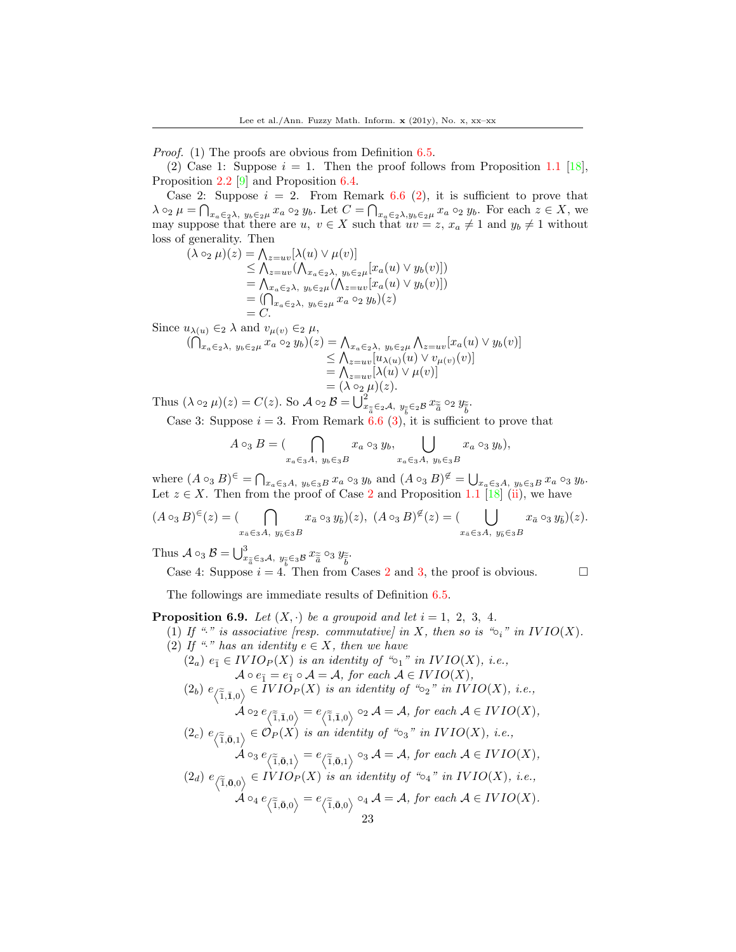Proof. (1) The proofs are obvious from Definition [6.5.](#page-20-1)

(2) Case 1: Suppose  $i = 1$ . Then the proof follows from Proposition 1.1 [\[18\]](#page-37-17), Proposition 2.2 [\[9\]](#page-37-18) and Proposition [6.4.](#page-20-2)

Case 2: Suppose  $i = 2$ . From Remark [6.6](#page-20-3) (2), it is sufficient to prove that  $\lambda \circ_2 \mu = \bigcap_{x_a \in_2 \lambda, y_b \in_2 \mu} x_a \circ_2 y_b$ . Let  $C = \bigcap_{x_a \in_2 \lambda, y_b \in_2 \mu} x_a \circ_2 y_b$ . For each  $z \in X$ , we may suppose that there are  $u, v \in X$  such that  $uv = z, x_a \neq 1$  and  $y_b \neq 1$  without loss of generality. Then

 $(\lambda \circ_2 \mu)(z) = \bigwedge_{z=uv} [\lambda(u) \vee \mu(v)]$  $\leq \bigwedge_{z=uv} (\bigwedge_{x_a \in_2 \lambda, y_b \in_2 \mu} [x_a(u) \vee y_b(v)]$  $= \bigwedge_{x_a \in 2\lambda, y_b \in 2\mu} (\bigwedge_{z=uv} [x_a(u) \vee y_b(v)])$  $=(\bigcap_{x_a\in_2\lambda,\ y_b\in_2\mu}x_a\circ_2 y_b)(z)$  $= C.$ 

Since  $u_{\lambda(u)} \in_2 \lambda$  and  $v_{\mu(v)} \in_2 \mu$ ,

$$
\begin{aligned} (\bigcap_{x_a \in_2 \lambda, y_b \in_2 \mu} x_a \circ_2 y_b)(z) &= \bigcap_{x_a \in_2 \lambda, y_b \in_2 \mu} \bigcap_{z = uv} [x_a(u) \vee y_b(v)] \\ &\leq \bigcap_{z = uv} [u_{\lambda(u)}(u) \vee v_{\mu(v)}(v)] \\ &= \bigcap_{z = uv} [\lambda(u) \vee \mu(v)] \\ &= (\lambda \circ_2 \mu)(z). \end{aligned}
$$

Thus  $(\lambda \circ_2 \mu)(z) = C(z)$ . So  $\mathcal{A} \circ_2 \mathcal{B} = \bigcup_{x_{\tilde{\tilde{a}}} \in 2\mathcal{A}, y_{\tilde{\tilde{b}}} \in 2\mathcal{B}} x_{\tilde{\tilde{a}}} \circ_2 y_{\tilde{\tilde{b}}}$ .

Case 3: Suppose  $i = 3$ . From Remark [6.6](#page-20-3) (3), it is sufficient to prove that

$$
A\circ_3 B = (\bigcap_{x_a\in_3 A, y_b\in_3 B} x_a\circ_3 y_b, \bigcup_{x_a\in_3 A, y_b\in_3 B} x_a\circ_3 y_b),
$$

where  $(A \circ_3 B)^{\epsilon} = \bigcap_{x_a \in A, y_b \in_3 B} x_a \circ_3 y_b$  and  $(A \circ_3 B)^{\epsilon} = \bigcup_{x_a \in A, y_b \in_3 B} x_a \circ_3 y_b$ . Let  $z \in X$ . Then from the proof of Case 2 and Proposition 1.1 [\[18\]](#page-37-17) (ii), we have

$$
(A\circ_3 B)^{\in}(z) = (\bigcap_{x_{\bar{a}}\in_3 A, y_{\bar{b}}\in_3 B} x_{\bar{a}}\circ_3 y_{\bar{b}})(z), (A\circ_3 B)^{\notin}(z) = (\bigcup_{x_{\bar{a}}\in_3 A, y_{\bar{b}}\in_3 B} x_{\bar{a}}\circ_3 y_{\bar{b}})(z).
$$

Thus  $\mathcal{A} \circ_3 \mathcal{B} = \bigcup_{x_{\tilde{\tilde{a}}} \in _3 \mathcal{A}, y_{\tilde{\tilde{b}}} \in _3 \mathcal{B}} x_{\tilde{\tilde{a}}} \circ_3 y_{\tilde{\tilde{b}}}$ 

Case 4: Suppose  $i = 4$ . Then from Cases 2 and 3, the proof is obvious.

The followings are immediate results of Definition [6.5.](#page-20-1)

# <span id="page-22-0"></span>**Proposition 6.9.** Let  $(X, \cdot)$  be a groupoid and let  $i = 1, 2, 3, 4$ .

- (1) If "." is associative [resp. commutative] in X, then so is " $\circ_i$ " in  $IVIO(X)$ .
- (2) If "<sup>\*</sup> has an identity  $e \in X$ , then we have
	- $(2<sub>a</sub>) e<sub>i</sub> \in IVIO<sub>P</sub>(X)$  is an identity of " $\circ<sub>1</sub>$ " in IVIO(X), i.e.,  $\mathcal{A} \circ e_{\mathbf{i}} = e_{\mathbf{i}} \circ \mathcal{A} = \mathcal{A}$ , for each  $\mathcal{A} \in IVIO(X)$ ,
	- $(2<sub>b</sub>) e_{\langle \widetilde{1},\bar{1},0\rangle} \in IVIO_P(X)$  is an identity of " $\circ_2$ " in  $IVIO(X)$ , i.e.,  $\mathcal{A} \circ_2 e_{\langle \widetilde{1},\bar{1},0\rangle} = e_{\langle \widetilde{1},\bar{1},0\rangle} \circ_2 \mathcal{A} = \mathcal{A}, \textit{for each } \mathcal{A} \in IVIO(X),$

$$
(2_c) e_{\langle \widetilde{1}, \overline{0}, 1 \rangle} \in \mathcal{O}_P(X) \text{ is an identity of "63" in } IVIO(X), \text{ i.e.,}
$$
  
\n
$$
\mathcal{A} \circ_3 e_{\langle \widetilde{1}, \overline{0}, 1 \rangle} = e_{\langle \widetilde{1}, \overline{0}, 1 \rangle} \circ_3 \mathcal{A} = \mathcal{A}, \text{ for each } \mathcal{A} \in IVIO(X),
$$
  
\n
$$
(2_d) e_{\langle \widetilde{1}, \overline{0}, 0 \rangle} \in IVIO_P(X) \text{ is an identity of "64" in } IVIO(X), \text{ i.e.,}
$$

$$
\mathcal{A} \circ_4 e_{\langle \widetilde{1}, \bar{\mathbf{0}}, 0 \rangle} = e_{\langle \widetilde{1}, \bar{\mathbf{0}}, 0 \rangle} \circ_4 \mathcal{A} = \mathcal{A}, \text{ for each } \mathcal{A} \in IVIO(X).
$$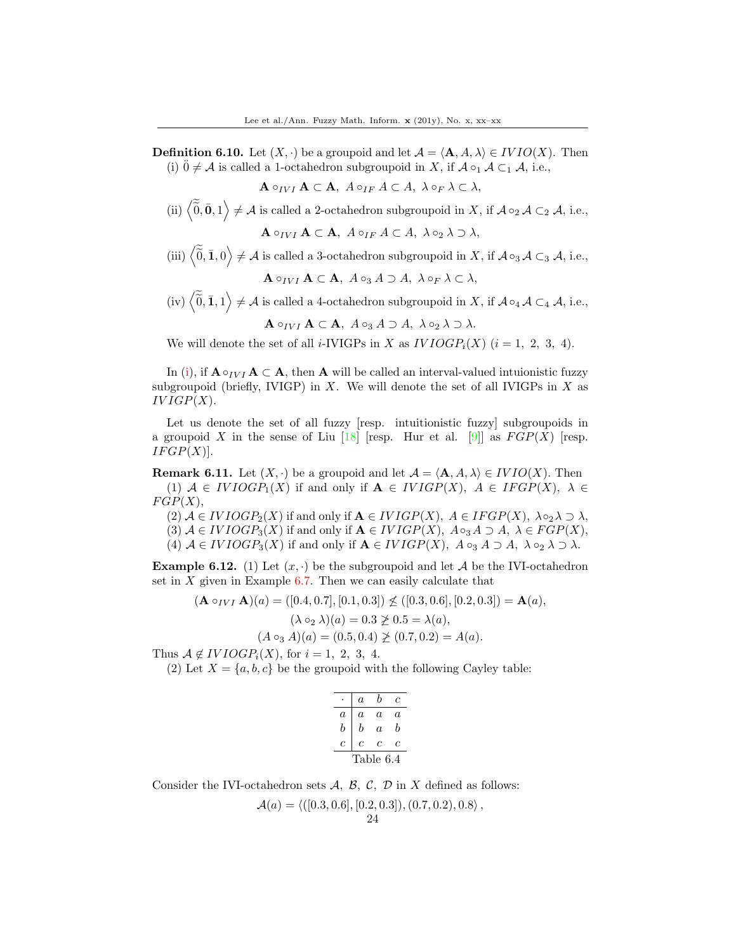<span id="page-23-0"></span>**Definition 6.10.** Let  $(X, \cdot)$  be a groupoid and let  $\mathcal{A} = \langle \mathbf{A}, A, \lambda \rangle \in IVIO(X)$ . Then (i)  $\ddot{0} \neq A$  is called a 1-octahedron subgroupoid in X, if  $A \circ_1 A \subset_1 A$ , i.e.,

$$
\mathbf{A} \circ_{IVI} \mathbf{A} \subset \mathbf{A}, \ A \circ_{IF} A \subset A, \ \lambda \circ_F \lambda \subset \lambda,
$$

(ii)  $\langle \widetilde{\overline{0}}, \overline{\mathbf{0}}, 1 \rangle \neq A$  is called a 2-octahedron subgroupoid in X, if  $A \circ_2 A \subset_2 A$ , i.e.,

 $\mathbf{A} \circ_{IVI} \mathbf{A} \subset \mathbf{A}, A \circ_{IF} A \subset A, \lambda \circ_2 \lambda \supset \lambda,$ 

(iii)  $\langle \widetilde{0}, \mathbf{I}, 0 \rangle \neq A$  is called a 3-octahedron subgroupoid in X, if  $A \circ_3 A \subset_3 A$ , i.e.,

$$
\mathbf{A} \circ_{IVI} \mathbf{A} \subset \mathbf{A}, \ A \circ_3 A \supset A, \ \lambda \circ_F \lambda \subset \lambda,
$$

(iv)  $\langle \vec{0}, \vec{1}, 1 \rangle \neq A$  is called a 4-octahedron subgroupoid in X, if  $A \circ_A A \subset_A A$ , i.e.,

 $\mathbf{A} \circ_{IVI} \mathbf{A} \subset \mathbf{A}, A \circ_3 A \supset A, \lambda \circ_2 \lambda \supset \lambda.$ 

We will denote the set of all *i*-IVIGPs in X as  $IVIOGP_i(X)$  ( $i = 1, 2, 3, 4$ ).

In (i), if  $\mathbf{A} \circ_{IVI} \mathbf{A} \subset \mathbf{A}$ , then  $\mathbf{A}$  will be called an interval-valued intuionistic fuzzy subgroupoid (briefly, IVIGP) in X. We will denote the set of all IVIGPs in X as  $IVIGP(X)$ .

Let us denote the set of all fuzzy [resp. intuitionistic fuzzy] subgroupoids in a groupoid X in the sense of Liu  $[18]$  [resp. Hur et al. [\[9\]](#page-37-18)] as  $FGP(X)$  [resp.  $IFGP(X)$ .

<span id="page-23-1"></span>**Remark 6.11.** Let  $(X, \cdot)$  be a groupoid and let  $\mathcal{A} = \langle \mathbf{A}, A, \lambda \rangle \in IVIO(X)$ . Then (1)  $A \in IVIOGP_1(X)$  if and only if  $A \in IVIGP(X)$ ,  $A \in IFGP(X)$ ,  $\lambda \in$  $FGP(X),$ 

(2)  $A \in IVIOGP_2(X)$  if and only if  $A \in IVIGP(X)$ ,  $A \in IFGP(X)$ ,  $\lambda \circ_2 \lambda \supset \lambda$ , (3)  $A \in IVIOGP_3(X)$  if and only if  $A \in IVIGP(X)$ ,  $A \circ_A A \supset A$ ,  $\lambda \in FGP(X)$ , (4)  $A \in IVIOGP_3(X)$  if and only if  $A \in IVIGP(X)$ ,  $A \circ_A A \supset A$ ,  $\lambda \circ_A \lambda \supset \lambda$ .

<span id="page-23-2"></span>**Example 6.12.** (1) Let  $(x, \cdot)$  be the subgroupoid and let A be the IVI-octahedron set in  $X$  given in Example [6.7.](#page-21-0) Then we can easily calculate that

$$
(\mathbf{A} \circ_{IVI} \mathbf{A})(a) = ([0.4, 0.7], [0.1, 0.3]) \nleq ([0.3, 0.6], [0.2, 0.3]) = \mathbf{A}(a),
$$
  
\n
$$
(\lambda \circ_2 \lambda)(a) = 0.3 \nleq 0.5 = \lambda(a),
$$
  
\n
$$
(A \circ_3 A)(a) = (0.5, 0.4) \nleq (0.7, 0.2) = A(a).
$$

Thus  $A \notin IVIOGP_i(X)$ , for  $i = 1, 2, 3, 4$ .

(2) Let  $X = \{a, b, c\}$  be the groupoid with the following Cayley table:

|           | $\overline{a}$ | h  | c  |  |
|-----------|----------------|----|----|--|
| a         | a              | a. | a. |  |
| h         | b              | a  | h  |  |
| c         | с              | c  | с  |  |
| Table 6.4 |                |    |    |  |

Consider the IVI-octahedron sets  $A, B, C, D$  in X defined as follows:

$$
\mathcal{A}(a) = \langle ([0.3, 0.6], [0.2, 0.3]), (0.7, 0.2), 0.8 \rangle,
$$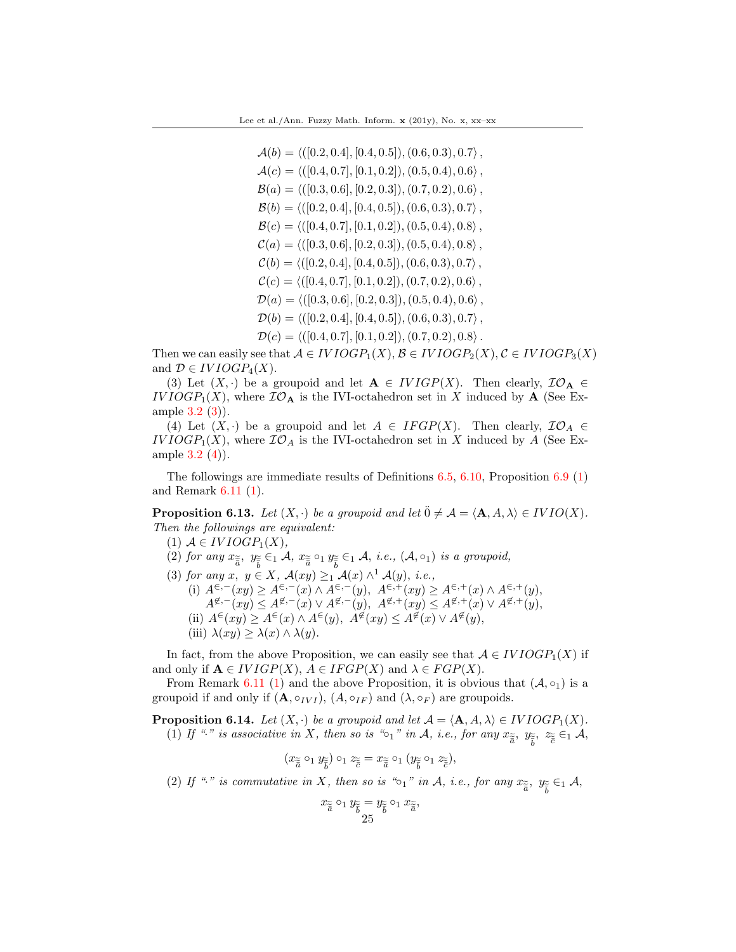$$
\mathcal{A}(b) = \langle ([0.2, 0.4], [0.4, 0.5]), (0.6, 0.3), 0.7 \rangle,
$$
  
\n
$$
\mathcal{A}(c) = \langle ([0.4, 0.7], [0.1, 0.2]), (0.5, 0.4), 0.6 \rangle,
$$
  
\n
$$
\mathcal{B}(a) = \langle ([0.3, 0.6], [0.2, 0.3]), (0.7, 0.2), 0.6 \rangle,
$$
  
\n
$$
\mathcal{B}(b) = \langle ([0.2, 0.4], [0.4, 0.5]), (0.6, 0.3), 0.7 \rangle,
$$
  
\n
$$
\mathcal{B}(c) = \langle ([0.4, 0.7], [0.1, 0.2]), (0.5, 0.4), 0.8 \rangle,
$$
  
\n
$$
\mathcal{C}(a) = \langle ([0.3, 0.6], [0.2, 0.3]), (0.5, 0.4), 0.8 \rangle,
$$
  
\n
$$
\mathcal{C}(b) = \langle ([0.2, 0.4], [0.4, 0.5]), (0.6, 0.3), 0.7 \rangle,
$$
  
\n
$$
\mathcal{C}(c) = \langle ([0.3, 0.6], [0.2, 0.3]), (0.5, 0.4), 0.6 \rangle,
$$
  
\n
$$
\mathcal{D}(a) = \langle ([0.2, 0.4], [0.4, 0.5]), (0.6, 0.3), 0.7 \rangle,
$$
  
\n
$$
\mathcal{D}(c) = \langle ([0.4, 0.7], [0.1, 0.2]), (0.7, 0.2), 0.8 \rangle.
$$

Then we can easily see that  $A \in IVIOGP_1(X), B \in IVIOGP_2(X), C \in IVIOGP_3(X)$ and  $\mathcal{D} \in IVIOGP_4(X)$ .

(3) Let  $(X, \cdot)$  be a groupoid and let  $\mathbf{A} \in IVIGP(X)$ . Then clearly,  $\mathcal{IO}_{\mathbf{A}} \in$  $IVIOGP_1(X)$ , where  $IO_A$  is the IVI-octahedron set in X induced by A (See Example [3.2](#page-4-0) (3)).

(4) Let  $(X, \cdot)$  be a groupoid and let  $A \in IFGP(X)$ . Then clearly,  $\mathcal{IO}_A \in$  $IVIOGP_1(X)$ , where  $IO_A$  is the IVI-octahedron set in X induced by A (See Example [3.2](#page-4-0) (4)).

The followings are immediate results of Definitions [6.5,](#page-20-1) [6.10,](#page-23-0) Proposition [6.9](#page-22-0) (1) and Remark [6.11](#page-23-1) (1).

<span id="page-24-0"></span>**Proposition 6.13.** Let  $(X, \cdot)$  be a groupoid and let  $\ddot{0} \neq A = \langle \mathbf{A}, A, \lambda \rangle \in IVIO(X)$ . Then the followings are equivalent:

- (1)  $A \in IVIOGP_1(X)$ ,
- (2) for any  $x_{\tilde{\tilde{a}}}$ ,  $y_{\tilde{\tilde{b}}} \in_1 \mathcal{A}$ ,  $x_{\tilde{\tilde{a}}} \circ_1 y_{\tilde{\tilde{b}}} \in_1 \mathcal{A}$ , *i.e.*,  $(\mathcal{A}, \circ_1)$  *is a groupoid,*
- (3) for any  $x, y \in X$ ,  $\mathcal{A}(xy) \geq_1 \mathcal{A}(x) \wedge^1 \mathcal{A}(y)$ , i.e.,
	- (i)  $A^{\epsilon,-}(xy) \geq A^{\epsilon,-}(x) \wedge A^{\epsilon,-}(y), A^{\epsilon,+}(xy) \geq A^{\epsilon,+}(x) \wedge A^{\epsilon,+}(y),$
	- $A^{\not\in,-}(xy) \leq A^{\not\in,-}(x) \vee A^{\not\in,-}(y), \ A^{\not\in,+}(xy) \leq A^{\not\in,+}(x) \vee A^{\not\in,+}(y),$
	- (ii)  $A^{\in}(xy) \geq A^{\in}(x) \wedge A^{\in}(y), \ \overline{A^{\notin}}(xy) \leq A^{\overline{\notin}}(x) \vee A^{\overline{\notin}}(y),$
	- (iii)  $\lambda(xy) \geq \lambda(x) \wedge \lambda(y)$ .

In fact, from the above Proposition, we can easily see that  $A \in IVIOGP_1(X)$  if and only if  $\mathbf{A} \in IVIGP(X)$ ,  $A \in IFGP(X)$  and  $\lambda \in FGP(X)$ .

From Remark [6.11](#page-23-1) (1) and the above Proposition, it is obvious that  $(A, \circ_1)$  is a groupoid if and only if  $(A, \circ_{IVI})$ ,  $(A, \circ_{IF})$  and  $(\lambda, \circ_F)$  are groupoids.

**Proposition 6.14.** Let  $(X, \cdot)$  be a groupoid and let  $\mathcal{A} = \langle \mathbf{A}, A, \lambda \rangle \in IVIOGP_1(X)$ . (1) If "." is associative in X, then so is " $\circ_1$ " in A, i.e., for any  $x_{\tilde{\tilde{a}}}$ ,  $y_{\tilde{\tilde{e}}}$ ,  $z_{\tilde{\tilde{e}}} \in_1 A$ ,

$$
(x_{\widetilde{\overline{a}}} \circ_1 y_{\widetilde{\overline{b}}}) \circ_1 z_{\widetilde{\overline{c}}} = x_{\widetilde{\overline{a}}} \circ_1 (y_{\widetilde{\overline{b}}} \circ_1 z_{\widetilde{\overline{c}}}),
$$

(2) If "." is commutative in X, then so is "o<sub>1</sub>" in A, i.e., for any  $x_{\tilde{\vec{a}}}$ ,  $y_{\tilde{\vec{b}}} \in_1 A$ ,

,

$$
x_{\widetilde{\widetilde{a}}} \circ_1 y_{\widetilde{\widetilde{b}}} = y_{\widetilde{\widetilde{b}}} \circ_1 x_{\widetilde{\widetilde{a}}}
$$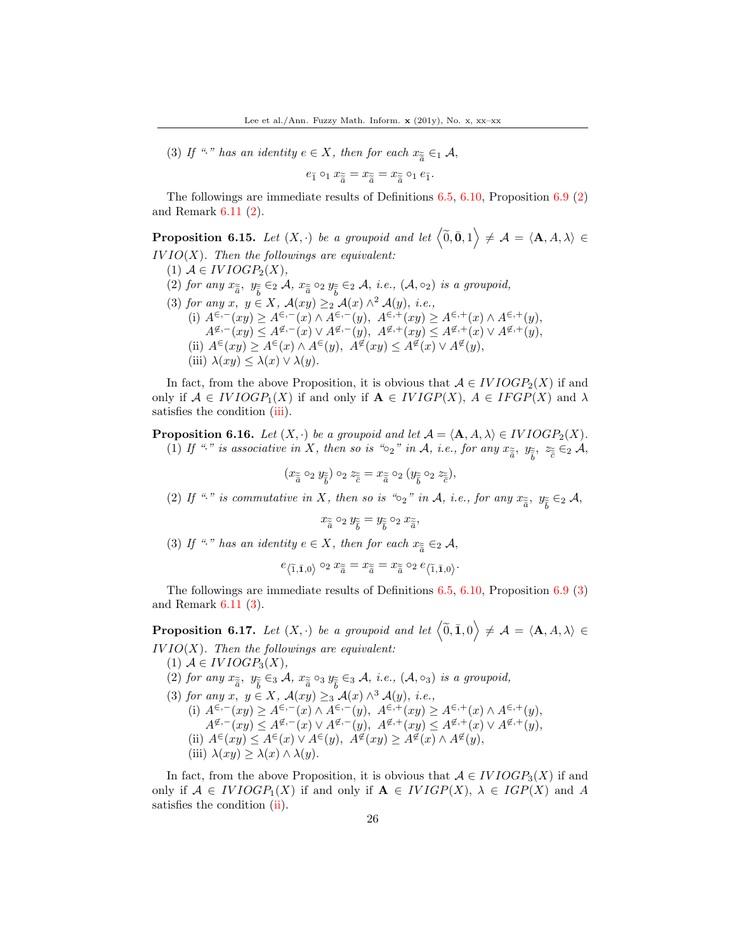(3) If " " has an identity  $e \in X$ , then for each  $x_{\widetilde{\widetilde{a}}} \in A$ ,

$$
e_{\tilde{1}} \circ_1 x_{\tilde{\tilde{a}}} = x_{\tilde{\tilde{a}}} = x_{\tilde{\tilde{a}}} \circ_1 e_{\tilde{1}}.
$$

The followings are immediate results of Definitions [6.5,](#page-20-1) [6.10,](#page-23-0) Proposition [6.9](#page-22-0) (2) and Remark [6.11](#page-23-1) (2).

<span id="page-25-0"></span>**Proposition 6.15.** Let  $(X, \cdot)$  be a groupoid and let  $\langle \widetilde{0}, \overline{0}, 1 \rangle \neq A = \langle A, A, \lambda \rangle \in$  $IVIO(X)$ . Then the followings are equivalent:

- (1)  $A \in IVIOGP_2(X)$ ,
- (2) for any  $x_{\tilde{\tilde{a}}}$ ,  $y_{\tilde{\tilde{b}}} \in_2 A$ ,  $x_{\tilde{\tilde{a}}} \circ_2 y_{\tilde{\tilde{b}}} \in_2 A$ , i.e.,  $(A, \circ_2)$  is a groupoid,
- (3) for any  $x, y \in X$ ,  $\mathcal{A}(xy) \geq_2 \mathcal{A}(x) \wedge^2 \mathcal{A}(y)$ , i.e., (i)  $A^{\in, -}(xy) \ge A^{\in, -}(x) \wedge A^{\in, -}(y), \ A^{\in, +}(xy) \ge A^{\in, +}(x) \wedge A^{\in, +}(y),$  $A^{\not\in,-}(xy) \leq A^{\not\in,-}(x) \vee A^{\not\in,-}(y), \ A^{\not\in,+}(xy) \leq A^{\not\in,+}(x) \vee A^{\not\in,+}(y),$ (ii)  $A^{\in}(xy) \geq A^{\in}(x) \wedge A^{\in}(y)$ ,  $A^{\notin}(xy) \leq A^{\notin}(x) \vee A^{\notin}(y)$ , (iii)  $\lambda(xy) \leq \lambda(x) \vee \lambda(y)$ .

In fact, from the above Proposition, it is obvious that  $A \in IVIOGP_2(X)$  if and only if  $A \in IVIOGP_1(X)$  if and only if  $A \in IVIGP(X)$ ,  $A \in IFGP(X)$  and  $\lambda$ satisfies the condition (iii).

**Proposition 6.16.** Let  $(X, \cdot)$  be a groupoid and let  $\mathcal{A} = \langle \mathbf{A}, A, \lambda \rangle \in IVIOGP_2(X)$ . (1) If "." is associative in X, then so is " $\circ_2$ " in A, i.e., for any  $x_{\tilde{\tilde{a}}}$ ,  $y_{\tilde{\tilde{b}}}$ ,  $z_{\tilde{\tilde{e}}} \in_2 A$ ,

$$
(x_{\widetilde{\widetilde{a}}}\circ_2 y_{\widetilde{\widetilde{b}}})\circ_2 z_{\widetilde{\widetilde{c}}} = x_{\widetilde{\widetilde{a}}}\circ_2 (y_{\widetilde{\widetilde{b}}}\circ_2 z_{\widetilde{\widetilde{c}}}),
$$

(2) If "." is commutative in X, then so is " $\circ_2$ " in A, i.e., for any  $x_{\tilde{a}}$ ,  $y_{\tilde{b}} \in_2 A$ ,

 $x_{\widetilde{\overline{a}}} \circ_2 y_{\widetilde{\overline{b}}} = y_{\widetilde{\overline{b}}} \circ_2 x_{\widetilde{\overline{a}}},$ 

(3) If " " has an identity  $e \in X$ , then for each  $x_{\widetilde{\widetilde{a}}} \in_2 \mathcal{A}$ ,

$$
e_{\left\langle \widetilde{1},\bar{\mathbf{1}},0\right\rangle }\circ_{2}x_{\widetilde{\bar{a}}}=x_{\widetilde{\bar{a}}}=x_{\widetilde{\bar{a}}}\circ_{2}e_{\left\langle \widetilde{1},\bar{\mathbf{1}},0\right\rangle }.
$$

The followings are immediate results of Definitions [6.5,](#page-20-1) [6.10,](#page-23-0) Proposition [6.9](#page-22-0) (3) and Remark [6.11](#page-23-1) (3).

<span id="page-25-1"></span>**Proposition 6.17.** Let  $(X, \cdot)$  be a groupoid and let  $\langle \widetilde{0}, \overline{1}, 0 \rangle \neq A = \langle \mathbf{A}, A, \lambda \rangle \in$  $IVIO(X)$ . Then the followings are equivalent:

(1)  $A \in IVIOGP_3(X)$ , (2) for any  $x_{\tilde{\tilde{a}}}$ ,  $y_{\tilde{\tilde{b}}} \in_{3} A$ ,  $x_{\tilde{\tilde{a}}} \circ_{3} y_{\tilde{\tilde{b}}} \in_{3} A$ , i.e.,  $(A, \circ_{3})$  is a groupoid, (3) for any  $x, y \in X$ ,  $\mathcal{A}(xy) \geq_3 \mathcal{A}(x) \wedge^3 \mathcal{A}(y)$ , i.e., (i)  $A^{\epsilon,-}(xy) \geq A^{\epsilon,-}(x) \wedge A^{\epsilon,-}(y), A^{\epsilon,+}(xy) \geq A^{\epsilon,+}(x) \wedge A^{\epsilon,+}(y),$  $A^{\not\in,-}(xy) \leq A^{\not\in,-}(x) \vee A^{\not\in,-}(y), \ A^{\not\in,+}(xy) \leq A^{\not\in,+}(x) \vee A^{\not\in,+}(y),$ (ii)  $A^{\infty}(xy) \leq A^{\infty}(x) \vee A^{\infty}(y)$ ,  $A^{\notinfty}(xy) \geq A^{\notinfty}(x) \wedge A^{\notinfty}(y)$ , (iii)  $\lambda(xy) \geq \lambda(x) \wedge \lambda(y)$ .

In fact, from the above Proposition, it is obvious that  $A \in IVIOGP_3(X)$  if and only if  $A \in IVIOGP_1(X)$  if and only if  $A \in IVIGP(X)$ ,  $\lambda \in IGP(X)$  and A satisfies the condition (ii).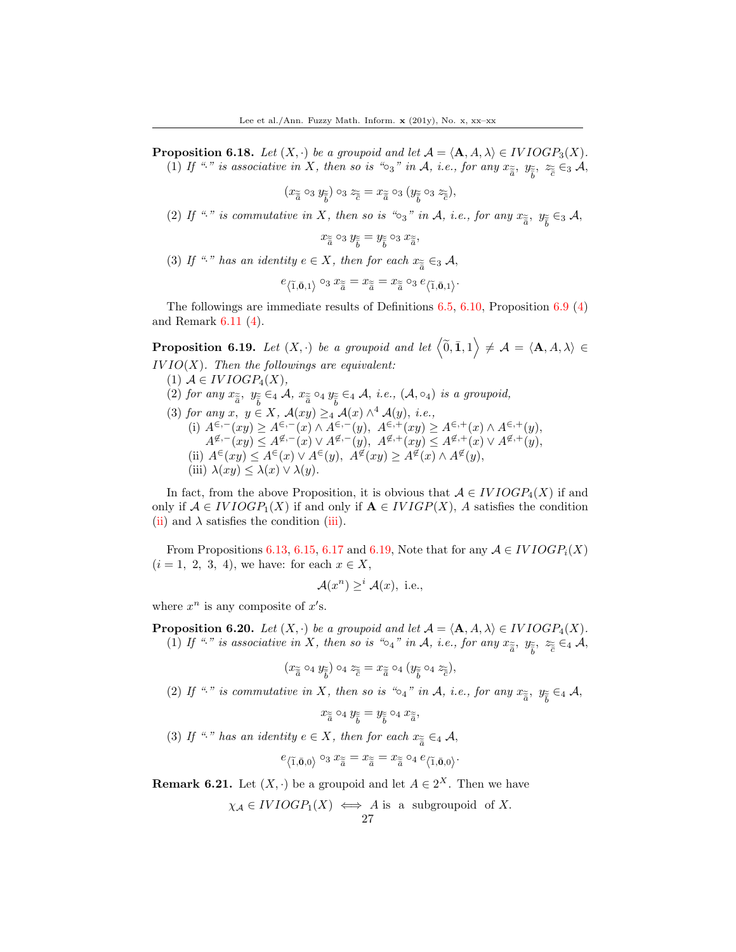**Proposition 6.18.** Let  $(X, \cdot)$  be a groupoid and let  $\mathcal{A} = \langle \mathbf{A}, A, \lambda \rangle \in IVIOGP_3(X)$ . (1) If "." is associative in X, then so is " $\circ_3$ " in A, i.e., for any  $x_{\tilde{\tilde{a}}}$ ,  $y_{\tilde{\tilde{b}}}$ ,  $z_{\tilde{\tilde{e}}} \in_3 \mathcal{A}$ ,

$$
(x_{\widetilde{\overline{a}}}\circ_3 y_{\widetilde{\overline{b}}})\circ_3 z_{\widetilde{\overline{c}}} = x_{\widetilde{\overline{a}}}\circ_3 (y_{\widetilde{\overline{b}}}\circ_3 z_{\widetilde{\overline{c}}}),
$$

(2) If "." is commutative in X, then so is " $\circ_3$ " in A, i.e., for any  $x_{\tilde{\tilde{a}}}$ ,  $y_{\tilde{\tilde{b}}} \in_3 \mathcal{A}$ ,

$$
x_{\widetilde{\overline{a}}} \circ_3 y_{\widetilde{\overline{b}}} = y_{\widetilde{\overline{b}}} \circ_3 x_{\widetilde{\overline{a}}},
$$

(3) If " " has an identity  $e \in X$ , then for each  $x_{\widetilde{\widetilde{a}}} \in A$ ,

$$
e_{\left\langle \tilde{1},\bar{\mathbf{0}},1\right\rangle }\circ_3x_{\widetilde{\bar{a}}}=x_{\widetilde{\bar{a}}}=x_{\widetilde{\bar{a}}}\circ_3e_{\left\langle \tilde{1},\bar{\mathbf{0}},1\right\rangle }.
$$

The followings are immediate results of Definitions [6.5,](#page-20-1) [6.10,](#page-23-0) Proposition [6.9](#page-22-0) (4) and Remark [6.11](#page-23-1) (4).

<span id="page-26-0"></span>**Proposition 6.19.** Let  $(X, \cdot)$  be a groupoid and let  $\langle \widetilde{0}, \overline{1}, 1 \rangle \neq A = \langle \mathbf{A}, A, \lambda \rangle \in$  $IVIO(X)$ . Then the followings are equivalent:

- (1)  $A \in IVIOGP_4(X)$ ,
- (2) for any  $x_{\tilde{\tilde{a}}}$ ,  $y_{\tilde{\tilde{b}}} \in_4 \mathcal{A}$ ,  $x_{\tilde{\tilde{a}}} \circ_4 y_{\tilde{\tilde{b}}} \in_4 \mathcal{A}$ , *i.e.*,  $(\mathcal{A}, \circ_4)$  *is a groupoid,*
- (3) for any  $x, y \in X$ ,  $\mathcal{A}(xy) \geq_4 \mathcal{A}(x) \wedge^4 \mathcal{A}(y)$ , *i.e.*,
	- (i)  $A^{\epsilon,-}(xy) \geq A^{\epsilon,-}(x) \wedge A^{\epsilon,-}(y), A^{\epsilon,+}(xy) \geq A^{\epsilon,+}(x) \wedge A^{\epsilon,+}(y),$  $A^{\not\in,-}(xy) \leq A^{\not\in,-}(x) \vee A^{\not\in,-}(y), \ A^{\not\in,+}(xy) \leq A^{\not\in,+}(x) \vee A^{\not\in,+}(y),$ (ii)  $A^{\infty}(xy) \leq A^{\infty}(x) \vee A^{\infty}(y)$ ,  $A^{\notin}(xy) \geq A^{\notin}(x) \wedge A^{\notin}(y)$ , (iii)  $\lambda(xy) \leq \lambda(x) \vee \lambda(y)$ .

In fact, from the above Proposition, it is obvious that  $A \in IVIOGP_4(X)$  if and only if  $A \in IVIOGP_1(X)$  if and only if  $A \in IVIGP(X)$ , A satisfies the condition (ii) and  $\lambda$  satisfies the condition (iii).

From Propositions [6.13,](#page-24-0) [6.15,](#page-25-0) [6.17](#page-25-1) and [6.19,](#page-26-0) Note that for any  $A \in IVIOGP_i(X)$  $(i = 1, 2, 3, 4)$ , we have: for each  $x \in X$ ,

$$
\mathcal{A}(x^n) \geq^i \mathcal{A}(x), \text{ i.e.,}
$$

where  $x^n$  is any composite of  $x's$ .

**Proposition 6.20.** Let  $(X, \cdot)$  be a groupoid and let  $\mathcal{A} = \langle \mathbf{A}, A, \lambda \rangle \in IVIOGP_4(X)$ . (1) If "." is associative in X, then so is " $\circ_4$ " in A, i.e., for any  $x_{\tilde{\tilde{a}}}$ ,  $y_{\tilde{\tilde{b}}}$ ,  $z_{\tilde{\tilde{e}}} \in_4 \mathcal{A}$ ,

$$
(x_{\widetilde{\overline{a}}} \circ_4 y_{\widetilde{\overline{b}}}) \circ_4 z_{\widetilde{\overline{c}}} = x_{\widetilde{\overline{a}}} \circ_4 (y_{\widetilde{\overline{b}}} \circ_4 z_{\widetilde{\overline{c}}}),
$$

(2) If "." is commutative in X, then so is " $\circ_4$ " in A, i.e., for any  $x_{\tilde{a}}$ ,  $y_{\tilde{b}} \in 4$  A,

$$
x_{\widetilde{\overline{a}}} \circ_4 y_{\widetilde{\overline{b}}} = y_{\widetilde{\overline{b}}} \circ_4 x_{\widetilde{\overline{a}}},
$$

(3) If " " has an identity  $e \in X$ , then for each  $x_{\widetilde{\widetilde{a}}} \in A$ ,

$$
e_{\left\langle \tilde{1},\bar{\mathbf{0}},0\right\rangle }\circ_3x_{\widetilde{\bar{a}}}=x_{\widetilde{\bar{a}}}=x_{\widetilde{\bar{a}}}\circ_4e_{\left\langle \tilde{1},\bar{\mathbf{0}},0\right\rangle }.
$$

<span id="page-26-1"></span>**Remark 6.21.** Let  $(X, \cdot)$  be a groupoid and let  $A \in 2^X$ . Then we have

$$
\chi_{\mathcal{A}} \in IVIOGP_1(X) \iff A
$$
 is a subgroupoid of X.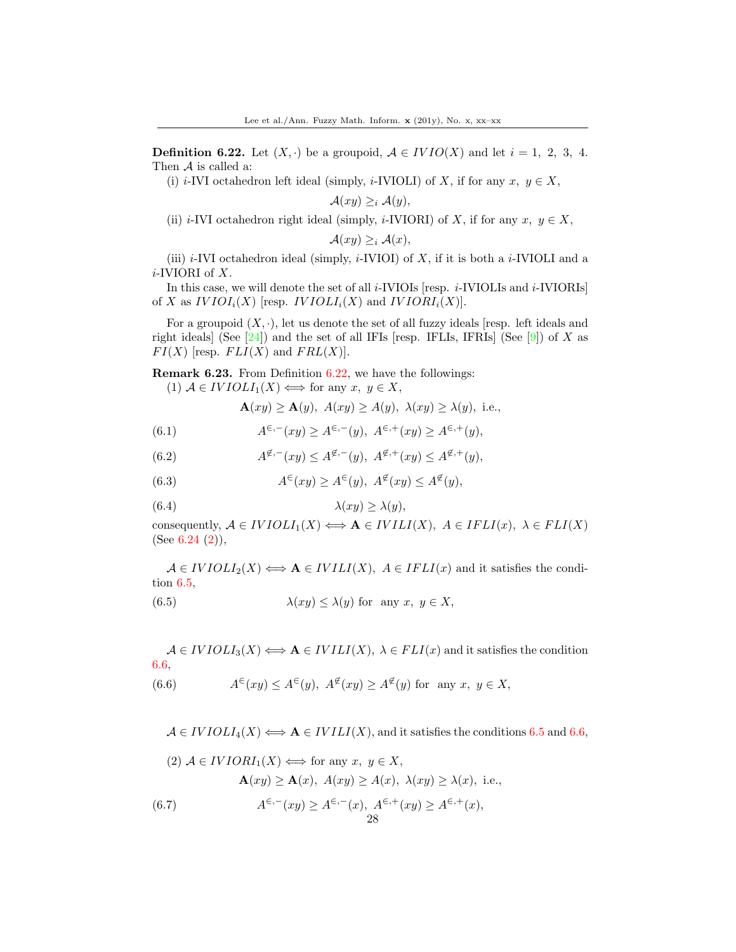<span id="page-27-0"></span>**Definition 6.22.** Let  $(X, \cdot)$  be a groupoid,  $A \in IVIO(X)$  and let  $i = 1, 2, 3, 4$ . Then  $A$  is called a:

(i) i-IVI octahedron left ideal (simply, i-IVIOLI) of X, if for any  $x, y \in X$ ,

$$
\mathcal{A}(xy) \geq_i \mathcal{A}(y),
$$

(ii) i-IVI octahedron right ideal (simply, i-IVIORI) of X, if for any  $x, y \in X$ ,

$$
\mathcal{A}(xy) \geq_i \mathcal{A}(x),
$$

(iii)  $i$ -IVI octahedron ideal (simply,  $i$ -IVIOI) of X, if it is both a  $i$ -IVIOLI and a i-IVIORI of X.

In this case, we will denote the set of all  $i$ -IVIOIs [resp.  $i$ -IVIOLIs and  $i$ -IVIORIs] of X as  $IVIOI_i(X)$  [resp.  $IVIOLI_i(X)$  and  $IVIORI_i(X)$ ].

For a groupoid  $(X, \cdot)$ , let us denote the set of all fuzzy ideals [resp. left ideals and right ideals] (See  $[24]$ ) and the set of all IFIs [resp. IFLIs, IFRIs] (See  $[9]$ ) of X as  $FI(X)$  [resp.  $FLI(X)$  and  $FRL(X)$ ].

<span id="page-27-1"></span>Remark 6.23. From Definition [6.22,](#page-27-0) we have the followings:

(1)  $A \in IVIOLI_1(X) \Longleftrightarrow$  for any  $x, y \in X$ ,

 $\mathbf{A}(xy) \geq \mathbf{A}(y)$ ,  $A(xy) \geq A(y)$ ,  $\lambda(xy) \geq \lambda(y)$ , i.e.,

(6.1) 
$$
A^{\epsilon,-}(xy) \ge A^{\epsilon,-}(y), \ A^{\epsilon,+}(xy) \ge A^{\epsilon,+}(y),
$$

(6.2) 
$$
A^{\not\in,-}(xy) \le A^{\not\in,-}(y), A^{\not\in,+}(xy) \le A^{\not\in,+}(y),
$$

(6.3) 
$$
A^{\in}(xy) \ge A^{\in}(y), \ A^{\notin}(xy) \le A^{\notin}(y),
$$

(6.4) 
$$
\lambda(xy) \ge \lambda(y),
$$

consequently,  $A \in IVIOLI_1(X) \Longleftrightarrow A \in IVIII(X), A \in FLI(X), \lambda \in FLI(X)$ (See  $6.24$   $(2)$ ),

 $A \in IVIOLI_2(X) \Longleftrightarrow A \in IVIII(X), A \in IFLI(x)$  and it satisfies the condition 6.5,

(6.5) 
$$
\lambda(xy) \le \lambda(y) \text{ for any } x, y \in X,
$$

 $A \in IVIOLI_3(X) \Longleftrightarrow A \in IVII(X), \lambda \in FLI(x)$  and it satisfies the condition 6.6,

(6.6) 
$$
A^{\in}(xy) \le A^{\in}(y), A^{\notin}(xy) \ge A^{\notin}(y)
$$
 for any  $x, y \in X$ ,

 $A \in IVIOLI_4(X) \Longleftrightarrow A \in IVIII(X)$ , and it satisfies the conditions 6.5 and 6.6,

28

(2) 
$$
A \in IVIORI_1(X) \iff \text{for any } x, y \in X,
$$
  
\n
$$
\mathbf{A}(xy) \ge \mathbf{A}(x), A(xy) \ge A(x), \lambda(xy) \ge \lambda(x), \text{ i.e.,}
$$
\n
$$
A^{\epsilon,-}(xy) \ge A^{\epsilon,-}(x), A^{\epsilon,+}(xy) \ge A^{\epsilon,+}(x),
$$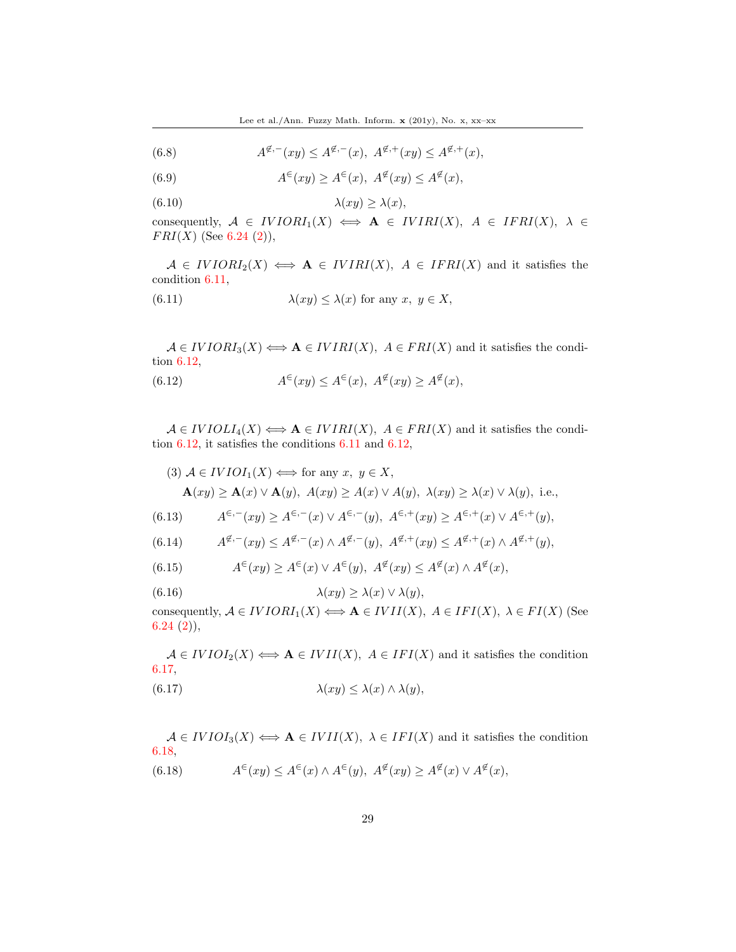(6.8) 
$$
A^{\not \in,-}(xy) \le A^{\not \in,-}(x), \ A^{\not \in,+}(xy) \le A^{\not \in,+}(x),
$$

 $(6.9)$  $\epsilon(xy) \geq A^{\epsilon}(x), A^{\epsilon}(xy) \leq A^{\epsilon}(x),$ 

$$
(6.10)\quad \lambda(xy) \ge \lambda(x),
$$

consequently,  $A \in IVIORI_1(X) \iff A \in IVIRI(X), A \in IFRI(X), \lambda \in$  $FRI(X)$  (See [6.24](#page-29-0) (2)),

 $A \in IVIORI_2(X) \iff A \in IVIRI(X), A \in IFRI(X)$  and it satisfies the condition 6.11,

(6.11) 
$$
\lambda(xy) \leq \lambda(x) \text{ for any } x, y \in X,
$$

 $A \in IVIORI_3(X) \Longleftrightarrow A \in IVIRI(X), A \in FRI(X)$  and it satisfies the condition 6.12,

(6.12) 
$$
A^{\in}(xy) \le A^{\in}(x), \ A^{\notin}(xy) \ge A^{\notin}(x),
$$

 $A \in IVIOLI_4(X) \Longleftrightarrow A \in IVIRI(X), A \in FRI(X)$  and it satisfies the condition 6.12, it satisfies the conditions 6.11 and 6.12,

(3) 
$$
A \in IVIOI_1(X) \iff
$$
 for any  $x, y \in X$ ,  
\n $\mathbf{A}(xy) \ge \mathbf{A}(x) \lor \mathbf{A}(y), A(xy) \ge A(x) \lor A(y), \lambda(xy) \ge \lambda(x) \lor \lambda(y),$  i.e.,

(6.13) 
$$
A^{\epsilon,-}(xy) \ge A^{\epsilon,-}(x) \vee A^{\epsilon,-}(y), \ A^{\epsilon,+}(xy) \ge A^{\epsilon,+}(x) \vee A^{\epsilon,+}(y),
$$

(6.14) 
$$
A^{\not\in,-}(xy) \le A^{\not\in,-}(x) \wedge A^{\not\in,-}(y), \ A^{\not\in,+}(xy) \le A^{\not\in,+}(x) \wedge A^{\not\in,+}(y),
$$

(6.15) 
$$
A^{\in}(xy) \ge A^{\in}(x) \vee A^{\in}(y), A^{\notin}(xy) \le A^{\notin}(x) \wedge A^{\notin}(x),
$$

(6.16)  $\lambda(xy) \geq \lambda(x) \vee \lambda(y),$ 

consequently,  $A \in IVIORI_1(X) \Longleftrightarrow A \in IVII(X)$ ,  $A \in IFI(X)$ ,  $\lambda \in FI(X)$  (See  $6.24(2)$  $6.24(2)$ ,

 $A \in IVIOI_2(X) \Longleftrightarrow A \in IVII(X), A \in IFI(X)$  and it satisfies the condition 6.17, (6.17)  $\lambda(xy) \leq \lambda(x) \wedge \lambda(y),$ 

 $A \in IVIOI_3(X) \Longleftrightarrow A \in IVII(X), \ \lambda \in IFI(X)$  and it satisfies the condition 6.18,  $(6.18)$  $\epsilon(x,y) \leq A^{\epsilon}(x) \wedge A^{\epsilon}(y), \ A^{\epsilon}(xy) \geq A^{\epsilon}(x) \vee A^{\epsilon}(x),$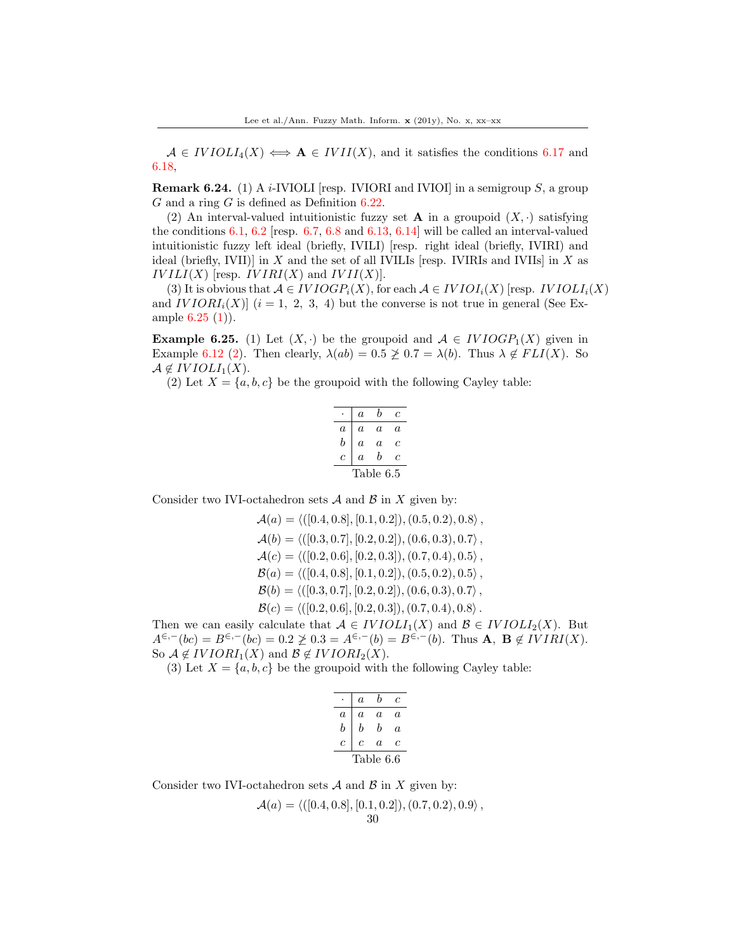$A \in IVIOLI_4(X) \iff A \in IVII(X)$ , and it satisfies the conditions 6.17 and 6.18,

<span id="page-29-0"></span>**Remark 6.24.** (1) A *i*-IVIOLI [resp. IVIORI and IVIOI] in a semigroup S, a group G and a ring G is defined as Definition  $6.22$ .

(2) An interval-valued intuitionistic fuzzy set **A** in a groupoid  $(X, \cdot)$  satisfying the conditions 6.1, 6.2 [resp. 6.7, 6.8 and 6.13, 6.14] will be called an interval-valued intuitionistic fuzzy left ideal (briefly, IVILI) [resp. right ideal (briefly, IVIRI) and ideal (briefly, IVII)] in  $X$  and the set of all IVILIs [resp. IVIRIs and IVIIs] in  $X$  as  $IVILI(X)$  [resp.  $IVIRI(X)$  and  $IVII(X)$ ].

(3) It is obvious that  $A \in IVIOGP_i(X)$ , for each  $A \in IVIOI_i(X)$  [resp. *IVIOLI<sub>i</sub>*(X) and  $IVIORI_i(X)$   $(i = 1, 2, 3, 4)$  but the converse is not true in general (See Example [6.25](#page-29-1) (1)).

<span id="page-29-1"></span>**Example 6.25.** (1) Let  $(X, \cdot)$  be the groupoid and  $\mathcal{A} \in IVIOGP_1(X)$  given in Example [6.12](#page-23-2) (2). Then clearly,  $\lambda(ab) = 0.5 \not\geq 0.7 = \lambda(b)$ . Thus  $\lambda \notin FLI(X)$ . So  $\mathcal{A} \notin IVIOLI_1(X).$ 

(2) Let  $X = \{a, b, c\}$  be the groupoid with the following Cayley table:

|           | a                | h  | c |  |
|-----------|------------------|----|---|--|
| a         | a                | a. | a |  |
| h         | a                | a  | с |  |
| c         | $\boldsymbol{a}$ | h  | c |  |
| Table 6.5 |                  |    |   |  |

Consider two IVI-octahedron sets  $A$  and  $B$  in X given by:

$$
\mathcal{A}(a) = \langle ([0.4, 0.8], [0.1, 0.2]), (0.5, 0.2), 0.8 \rangle ,\n\mathcal{A}(b) = \langle ([0.3, 0.7], [0.2, 0.2]), (0.6, 0.3), 0.7 \rangle ,\n\mathcal{A}(c) = \langle ([0.2, 0.6], [0.2, 0.3]), (0.7, 0.4), 0.5 \rangle ,\n\mathcal{B}(a) = \langle ([0.4, 0.8], [0.1, 0.2]), (0.5, 0.2), 0.5 \rangle ,\n\mathcal{B}(b) = \langle ([0.3, 0.7], [0.2, 0.2]), (0.6, 0.3), 0.7 \rangle ,\n\mathcal{B}(c) = \langle ([0.2, 0.6], [0.2, 0.3]), (0.7, 0.4), 0.8 \rangle .
$$

Then we can easily calculate that  $A \in IVIOLI_1(X)$  and  $B \in IVIOLI_2(X)$ . But  $A^{\in, -}(bc) = B^{\in, -}(bc) = 0.2 \not\geq 0.3 = A^{\in, -}(b) = B^{\in, -}(b)$ . Thus **A**, **B**  $\not\in IVIRI(X)$ . So  $A \notin IVIORI_1(X)$  and  $B \notin IVIORI_2(X)$ .

(3) Let  $X = \{a, b, c\}$  be the groupoid with the following Cayley table:

| a         | b | с  |  |  |
|-----------|---|----|--|--|
| a         | a | a. |  |  |
| b         | h | a  |  |  |
|           |   | с  |  |  |
| Table 6.6 |   |    |  |  |
|           | c | a  |  |  |

Consider two IVI-octahedron sets  $A$  and  $B$  in  $X$  given by:

$$
\mathcal{A}(a) = \langle ([0.4, 0.8], [0.1, 0.2]), (0.7, 0.2), 0.9 \rangle,
$$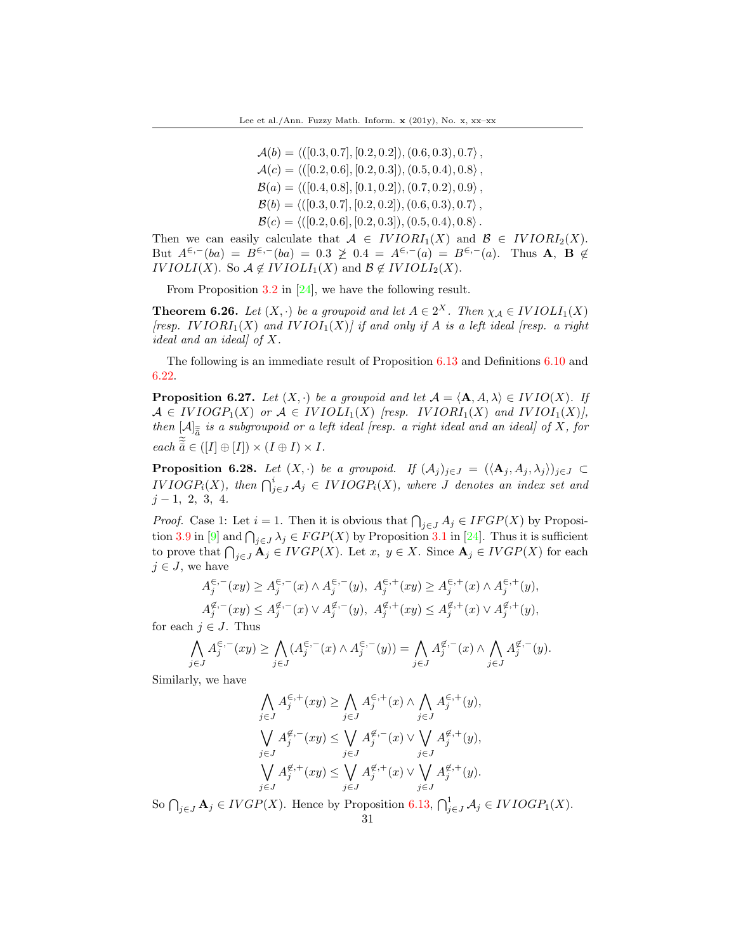$\mathcal{A}(b) = \langle ([0.3, 0.7], [0.2, 0.2]), (0.6, 0.3), 0.7 \rangle$ ,  $\mathcal{A}(c) = \langle (0.2, 0.6], [0.2, 0.3]), (0.5, 0.4), 0.8 \rangle$ ,  $\mathcal{B}(a) = \langle ([0.4, 0.8], [0.1, 0.2]), (0.7, 0.2), 0.9 \rangle$ ,  $\mathcal{B}(b) = \langle (0.3, 0.7], [0.2, 0.2]), (0.6, 0.3), 0.7 \rangle$ ,  $\mathcal{B}(c) = \langle (0.2, 0.6], [0.2, 0.3]), (0.5, 0.4), 0.8 \rangle$ .

Then we can easily calculate that  $A \in IVIORI_1(X)$  and  $B \in IVIORI_2(X)$ . But  $A^{\in,-}(ba) = B^{\in,-}(ba) = 0.3 \not\geq 0.4 = A^{\in,-}(a) = B^{\in,-}(a)$ . Thus **A**, **B**  $\notin$ *IVIOLI(X)*. So  $\mathcal{A} \notin IVIOLI_1(X)$  and  $\mathcal{B} \notin IVIOLI_2(X)$ .

From Proposition 3.2 in [\[24\]](#page-38-8), we have the following result.

**Theorem 6.26.** Let  $(X, \cdot)$  be a groupoid and let  $A \in 2^X$ . Then  $\chi_A \in IVIOLI_1(X)$ [resp. IVIORI<sub>1</sub>(X) and IVIOI<sub>1</sub>(X)] if and only if A is a left ideal [resp. a right ideal and an ideall of X.

The following is an immediate result of Proposition [6.13](#page-24-0) and Definitions [6.10](#page-23-0) and [6.22.](#page-27-0)

**Proposition 6.27.** Let  $(X, \cdot)$  be a groupoid and let  $\mathcal{A} = \langle \mathbf{A}, A, \lambda \rangle \in IVIO(X)$ . If  $A \in IVIOGP_1(X)$  or  $A \in IVIOLI_1(X)$  [resp. IV IORI $I_1(X)$  and IV IOI $I_1(X)$ ], then  $[A]_{\widetilde{\widetilde{a}}}$  is a subgroupoid or a left ideal [resp. a right ideal and an ideal] of X, for  $\widetilde{\widetilde{a}}$  $each \ \widetilde{\overline{a}} \in ([I] \oplus [I]) \times (I \oplus I) \times I.$ 

<span id="page-30-0"></span>**Proposition 6.28.** Let  $(X, \cdot)$  be a groupoid. If  $(A_j)_{j \in J} = (\langle A_j, A_j, \lambda_j \rangle)_{j \in J} \subset$  $IVIOGP_i(X)$ , then  $\bigcap_{j\in J}^{i} A_j \in IVIOGP_i(X)$ , where J denotes an index set and  $j-1, 2, 3, 4.$ 

*Proof.* Case 1: Let  $i = 1$ . Then it is obvious that  $\bigcap_{j \in J} A_j \in IFGP(X)$  by Proposi-tion 3.9 in [\[9\]](#page-37-18) and  $\bigcap_{j\in J}\lambda_j\in FGP(X)$  by Proposition 3.1 in [\[24\]](#page-38-8). Thus it is sufficient to prove that  $\bigcap_{j\in J} A_j \in IVGP(X)$ . Let  $x, y \in X$ . Since  $A_j \in IVGP(X)$  for each  $j \in J$ , we have

$$
A_j^{\in, -}(xy) \ge A_j^{\in, -}(x) \wedge A_j^{\in, -}(y), \ A_j^{\in, +}(xy) \ge A_j^{\in, +}(x) \wedge A_j^{\in, +}(y),
$$
  

$$
A_j^{\notin, -}(xy) \le A_j^{\notin, -}(x) \vee A_j^{\notin, -}(y), \ A_j^{\notin, +}(xy) \le A_j^{\notin, +}(x) \vee A_j^{\notin, +}(y),
$$

for each  $j \in J$ . Thus

$$
\bigwedge_{j\in J} A_j^{\epsilon,-}(xy) \ge \bigwedge_{j\in J} (A_j^{\epsilon,-}(x) \wedge A_j^{\epsilon,-}(y)) = \bigwedge_{j\in J} A_j^{\notin,-}(x) \wedge \bigwedge_{j\in J} A_j^{\notin,-}(y).
$$

Similarly, we have

j∈J

$$
\bigwedge_{j\in J} A_j^{\in, +}(xy) \ge \bigwedge_{j\in J} A_j^{\in, +}(x) \wedge \bigwedge_{j\in J} A_j^{\in, +}(y),
$$
\n
$$
\bigvee_{j\in J} A_j^{\notin, -}(xy) \le \bigvee_{j\in J} A_j^{\notin, -}(x) \vee \bigvee_{j\in J} A_j^{\notin, +}(y),
$$
\n
$$
\bigvee_{j\in J} A_j^{\notin, +}(xy) \le \bigvee_{j\in J} A_j^{\notin, +}(x) \vee \bigvee_{j\in J} A_j^{\notin, +}(y).
$$

So  $\bigcap_{j\in J} A_j \in IVGP(X)$ . Hence by Proposition [6.13,](#page-24-0)  $\bigcap_{j\in J}^1 A_j \in IVIOGP_1(X)$ .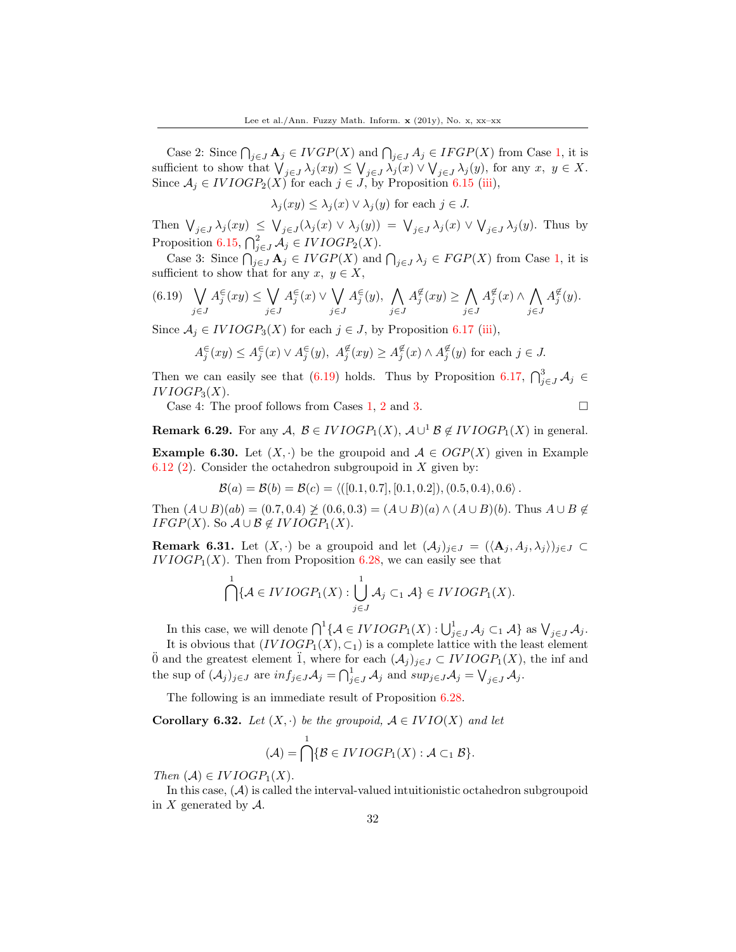Case 2: Since  $\bigcap_{j\in J} A_j \in IVGP(X)$  and  $\bigcap_{j\in J} A_j \in IFGP(X)$  from Case 1, it is sufficient to show that  $\bigvee_{j\in J}\lambda_j(xy)\leq \bigvee_{j\in J}\lambda_j(x)\vee \bigvee_{j\in J}\lambda_j(y)$ , for any  $x, y \in X$ . Since  $A_j \in IVIOGP_2(X)$  for each  $j \in J$ , by Proposition [6.15](#page-25-0) (iii),

 $\lambda_i(xy) \leq \lambda_i(x) \vee \lambda_i(y)$  for each  $j \in J$ .

Then  $\bigvee_{j\in J}\lambda_j(xy)\leq \bigvee_{j\in J}(\lambda_j(x)\vee\lambda_j(y))=\bigvee_{j\in J}\lambda_j(x)\vee\bigvee_{j\in J}\lambda_j(y)$ . Thus by Proposition [6.15,](#page-25-0)  $\bigcap_{j\in J}^2 A_j \in IVIOGP_2(X)$ .

Case 3: Since  $\bigcap_{j\in J} A_j \in IVGP(X)$  and  $\bigcap_{j\in J} \lambda_j \in FGP(X)$  from Case 1, it is sufficient to show that for any  $x, y \in X$ ,

$$
(6.19) \quad \bigvee_{j \in J} A_j^{\in}(xy) \le \bigvee_{j \in J} A_j^{\in}(x) \vee \bigvee_{j \in J} A_j^{\in}(y), \bigwedge_{j \in J} A_j^{\notin}(xy) \ge \bigwedge_{j \in J} A_j^{\notin}(x) \wedge \bigwedge_{j \in J} A_j^{\notin}(y).
$$

Since  $A_j \in IVIOGP_3(X)$  for each  $j \in J$ , by Proposition [6.17](#page-25-1) (iii),

$$
A_j^{\in}(xy) \le A_j^{\in}(x) \vee A_j^{\in}(y), \ A_j^{\notin}(xy) \ge A_j^{\notin}(x) \wedge A_j^{\notin}(y) \text{ for each } j \in J.
$$

Then we can easily see that (6.19) holds. Thus by Proposition [6.17,](#page-25-1)  $\bigcap_{j\in J}^3 A_j \in$  $IVIOGP_3(X)$ .

Case 4: The proof follows from Cases 1, 2 and 3.

**Remark 6.29.** For any  $A, B \in IVIOGP_1(X), A \cup^1 B \notin IVIOGP_1(X)$  in general.

**Example 6.30.** Let  $(X, \cdot)$  be the groupoid and  $A \in OGP(X)$  given in Example [6.12](#page-23-2) (2). Consider the octahedron subgroupoid in  $X$  given by:

$$
\mathcal{B}(a) = \mathcal{B}(b) = \mathcal{B}(c) = \langle ([0.1, 0.7], [0.1, 0.2]), (0.5, 0.4), 0.6 \rangle.
$$

Then  $(A \cup B)(ab) = (0.7, 0.4) \not\geq (0.6, 0.3) = (A \cup B)(a) \wedge (A \cup B)(b)$ . Thus  $A \cup B \not\in$  $IFGP(X)$ . So  $A \cup B \notin IVIOGP_1(X)$ .

**Remark 6.31.** Let  $(X, \cdot)$  be a groupoid and let  $(\mathcal{A}_j)_{j\in J} = (\langle \mathbf{A}_j, A_j, \lambda_j \rangle)_{j\in J} \subset$  $IVIOGP_1(X)$ . Then from Proposition [6.28,](#page-30-0) we can easily see that

$$
\bigcap_{i=1}^1 \{ \mathcal{A} \in IVIOGP_1(X) : \bigcup_{j \in J}^1 \mathcal{A}_j \subset_1 \mathcal{A} \} \in IVIOGP_1(X).
$$

In this case, we will denote  $\bigcap^1 \{ A \in IVIOGP_1(X) : \bigcup_{j \in J}^1 A_j \subset A \}$  as  $\bigvee_{j \in J} A_j$ .

It is obvious that  $(IVIOGP_1(X), \subset_1)$  is a complete lattice with the least element  $\ddot{0}$  and the greatest element  $\ddot{1}$ , where for each  $(\mathcal{A}_j)_{j\in J} \subset IVIOGP_1(X)$ , the inf and the sup of  $(\mathcal{A}_j)_{j\in J}$  are  $inf_{j\in J}\mathcal{A}_j = \bigcap_{j\in J}^1 \mathcal{A}_j$  and  $sup_{j\in J}\mathcal{A}_j = \bigvee_{j\in J}\mathcal{A}_j$ .

The following is an immediate result of Proposition [6.28.](#page-30-0)

<span id="page-31-0"></span>**Corollary 6.32.** Let  $(X, \cdot)$  be the groupoid,  $A \in IVIO(X)$  and let

$$
(\mathcal{A}) = \bigcap^{1} \{ \mathcal{B} \in IVIOGP_1(X) : \mathcal{A} \subset_1 \mathcal{B} \}.
$$

Then  $(A) \in IVIOGP_1(X)$ .

In this case,  $(\mathcal{A})$  is called the interval-valued intuitionistic octahedron subgroupoid in  $X$  generated by  $A$ .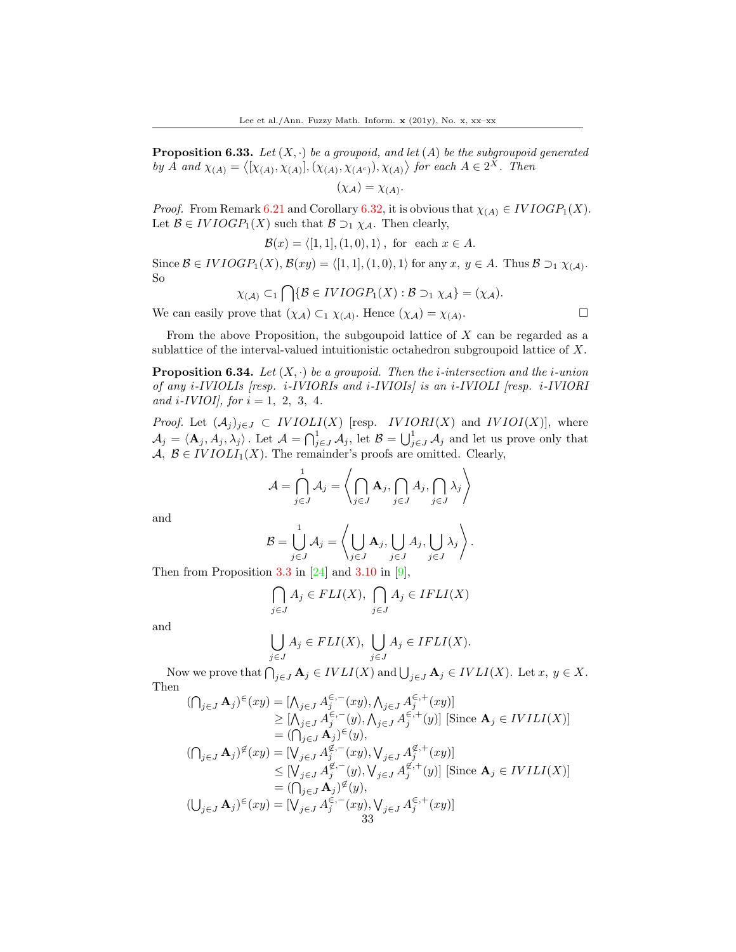**Proposition 6.33.** Let  $(X, \cdot)$  be a groupoid, and let  $(A)$  be the subgroupoid generated by A and  $\chi_{(A)} = \langle [\chi_{(A)}, \chi_{(A)}], (\chi_{(A)}, \chi_{(A^c)}), \chi_{(A)} \rangle$  for each  $A \in 2^X$ . Then

$$
(\chi_{\mathcal{A}}) = \chi_{(A)}.
$$

*Proof.* From Remark [6.21](#page-26-1) and Corollary [6.32,](#page-31-0) it is obvious that  $\chi_{(A)} \in IVIOGP_1(X)$ . Let  $\mathcal{B} \in IVIOGP_1(X)$  such that  $\mathcal{B} \supseteq_1 \chi_{\mathcal{A}}$ . Then clearly,

$$
\mathcal{B}(x) = \langle [1, 1], (1, 0), 1 \rangle, \text{ for each } x \in A.
$$

Since  $\mathcal{B} \in IVIOGP_1(X), \mathcal{B}(xy) = \langle [1, 1], (1, 0), 1 \rangle$  for any  $x, y \in A$ . Thus  $\mathcal{B} \supseteq_1 \chi_{(\mathcal{A})}$ . So

$$
\chi_{(\mathcal{A})} \subset_1 \bigcap \{ \mathcal{B} \in IVIOGP_1(X) : \mathcal{B} \supset_1 \chi_{\mathcal{A}} \} = (\chi_{\mathcal{A}}).
$$

We can easily prove that  $(\chi_{\mathcal{A}}) \subset_1 \chi_{(\mathcal{A})}$ . Hence  $(\chi_{\mathcal{A}}) = \chi_{(\mathcal{A})}$ 

. В последните последните и производите в село в село в село в село в село в село в село в село в село в село <br>В село в село в село в село в село в село в село в село в село в село в село в село в село в село в село в сел

From the above Proposition, the subgoupoid lattice of  $X$  can be regarded as a sublattice of the interval-valued intuitionistic octahedron subgroupoid lattice of X.

**Proposition 6.34.** Let  $(X, \cdot)$  be a groupoid. Then the *i*-intersection and the *i*-union of any i-IVIOLIs [resp. i-IVIORIs and i-IVIOIs] is an i-IVIOLI [resp. i-IVIORI and *i*-*IVIOI*, for  $i = 1, 2, 3, 4$ .

*Proof.* Let  $(A_j)_{j\in J} \subset IVIOLI(X)$  [resp. *IVIORI*(X) and *IVIOI*(X)], where  $\mathcal{A}_j = \langle \mathbf{A}_j, A_j, \lambda_j \rangle$ . Let  $\mathcal{A} = \bigcap_{j \in J}^1 \mathcal{A}_j$ , let  $\mathcal{B} = \bigcup_{j \in J}^1 \mathcal{A}_j$  and let us prove only that  $A, B \in IVIOLI_1(X)$ . The remainder's proofs are omitted. Clearly,

$$
\mathcal{A} = \bigcap_{j \in J}^{1} \mathcal{A}_{j} = \left\langle \bigcap_{j \in J} \mathbf{A}_{j}, \bigcap_{j \in J} A_{j}, \bigcap_{j \in J} \lambda_{j} \right\rangle
$$

and

$$
\mathcal{B} = \bigcup_{j \in J}^{1} \mathcal{A}_{j} = \left\langle \bigcup_{j \in J} \mathbf{A}_{j}, \bigcup_{j \in J} A_{j}, \bigcup_{j \in J} \lambda_{j} \right\rangle.
$$

Then from Proposition 3.3 in  $[24]$  and 3.10 in  $[9]$ ,

$$
\bigcap_{j\in J} A_j \in FLI(X), \bigcap_{j\in J} A_j \in IFLI(X)
$$

and

$$
\bigcup_{j\in J} A_j \in FLI(X), \bigcup_{j\in J} A_j \in IFLI(X).
$$

Now we prove that  $\bigcap_{j\in J} A_j \in IVLI(X)$  and  $\bigcup_{j\in J} A_j \in IVLI(X)$ . Let  $x, y \in X$ . Then

$$
(\bigcap_{j\in J} \mathbf{A}_j)^{\in}(xy) = [\bigwedge_{j\in J} A_j^{\in, -}(xy), \bigwedge_{j\in J} A_j^{\in, +}(xy)]
$$
  
\n
$$
\geq [\bigwedge_{j\in J} A_j^{\in, -}(y), \bigwedge_{j\in J} A_j^{\in, +}(y)] \text{ [Since } \mathbf{A}_j \in IVILI(X)]
$$
  
\n
$$
= (\bigcap_{j\in J} \mathbf{A}_j)^{\in}(y),
$$
  
\n
$$
(\bigcap_{j\in J} \mathbf{A}_j)^{\notin}(xy) = [\bigvee_{j\in J} A_j^{\notin, -}(xy), \bigvee_{j\in J} A_j^{\notin, +}(xy)]
$$
  
\n
$$
\leq [\bigvee_{j\in J} A_j^{\notin, -}(y), \bigvee_{j\in J} A_j^{\notin, +}(y)] \text{ [Since } \mathbf{A}_j \in IVILI(X)]
$$
  
\n
$$
= (\bigcap_{j\in J} \mathbf{A}_j)^{\notin}(y),
$$
  
\n
$$
(\bigcup_{j\in J} \mathbf{A}_j)^{\in}(xy) = [\bigvee_{j\in J} A_j^{\in, -}(xy), \bigvee_{j\in J} A_j^{\in, +}(xy)]
$$
  
\n
$$
= \{ \bigvee_{j\in J} A_j^{\in, -}(xy), \bigvee_{j\in J} A_j^{\in, +}(xy) \}
$$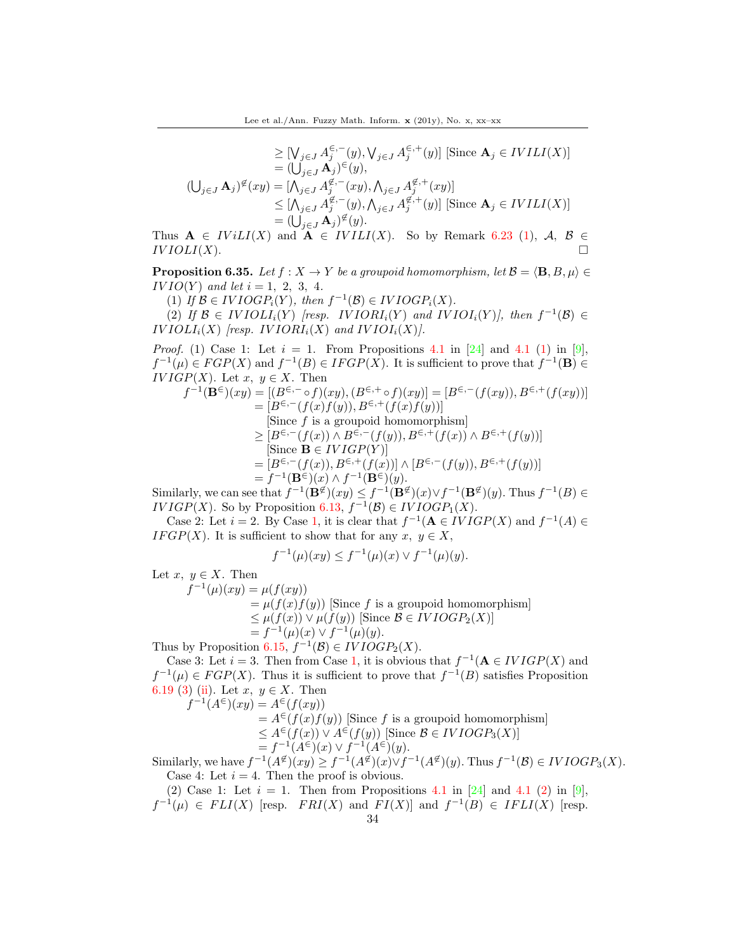$$
\geq [\bigvee_{j\in J} A_j^{\in,-}(y), \bigvee_{j\in J} A_j^{\in,+}(y)] \text{ [Since } \mathbf{A}_j \in IVILI(X)]
$$
  
\n
$$
= (\bigcup_{j\in J} \mathbf{A}_j)^{\in}(y),
$$
  
\n
$$
(\bigcup_{j\in J} \mathbf{A}_j)^{\notin}(xy) = [\bigwedge_{j\in J} A_j^{\notin,-}(xy), \bigwedge_{j\in J} A_j^{\notin,+}(xy)]
$$
  
\n
$$
\leq [\bigwedge_{j\in J} A_j^{\notin,-}(y), \bigwedge_{j\in J} A_j^{\notin,+}(y)] \text{ [Since } \mathbf{A}_j \in IVILI(X)]
$$
  
\n
$$
= (\bigcup_{j\in J} \mathbf{A}_j)^{\notin}(y).
$$

Thus  $A \in IViLI(X)$  and  $A \in IViLI(X)$ . So by Remark [6.23](#page-27-1) (1), A,  $B \in$  $IVIOLI(X).$ 

**Proposition 6.35.** Let  $f : X \to Y$  be a groupoid homomorphism, let  $\mathcal{B} = \langle \mathbf{B}, B, \mu \rangle \in$  $IVIO(Y)$  and let  $i = 1, 2, 3, 4$ .

(1) If  $\mathcal{B} \in IVIOGP_i(Y)$ , then  $f^{-1}(\mathcal{B}) \in IVIOGP_i(X)$ .

(2) If  $\mathcal{B} \in IVIOLI_i(Y)$  [resp. IVIORI<sub>i</sub>(Y) and IVIOI<sub>i</sub>(Y)], then  $f^{-1}(\mathcal{B}) \in$  $IVIOLI_i(X)$  [resp.  $IVIORI_i(X)$  and  $IVIOI_i(X)$ ].

*Proof.* (1) Case 1: Let  $i = 1$ . From Propositions 4.1 in [\[24\]](#page-38-8) and 4.1 (1) in [\[9\]](#page-37-18),  $f^{-1}(\mu) \in FGP(X)$  and  $f^{-1}(B) \in IFGP(X)$ . It is sufficient to prove that  $f^{-1}(\mathbf{B}) \in$  $IVIGP(X)$ . Let  $x, y \in X$ . Then

$$
f^{-1}(\mathbf{B}^{\in})(xy) = [(B^{\in,-} \circ f)(xy), (B^{\in,+} \circ f)(xy)] = [B^{\in,-}(f(xy)), B^{\in,+}(f(xy))]
$$
  
\n
$$
= [B^{\in,-}(f(x)f(y)), B^{\in,+}(f(x)f(y))]
$$
  
\n[Since f is a groupoid homomorphism]  
\n
$$
\geq [B^{\in,-}(f(x)) \wedge B^{\in,-}(f(y)), B^{\in,+}(f(x)) \wedge B^{\in,+}(f(y))]
$$
  
\n[Since  $\mathbf{B} \in IVIGP(Y)$ ]  
\n
$$
= [B^{\in,-}(f(x)), B^{\in,+}(f(x))] \wedge [B^{\in,-}(f(y)), B^{\in,+}(f(y))]
$$
  
\n
$$
= f^{-1}(\mathbf{B}^{\in})(x) \wedge f^{-1}(\mathbf{B}^{\in})(y).
$$

Similarly, we can see that  $f^{-1}(\mathbf{B}^{\not\in}(xy) \leq f^{-1}(\mathbf{B}^{\not\in}(x) \vee f^{-1}(\mathbf{B}^{\not\in}(y))$ . Thus  $f^{-1}(B) \in$ *IVIGP*(*X*). So by Proposition [6.13,](#page-24-0)  $f^{-1}(\mathcal{B}) \in IVIOGP_1(X)$ .

Case 2: Let  $i = 2$ . By Case 1, it is clear that  $f^{-1}(\mathbf{A} \in IVIGP(X)$  and  $f^{-1}(A) \in$ IF GP(X). It is sufficient to show that for any  $x, y \in X$ ,

$$
f^{-1}(\mu)(xy) \le f^{-1}(\mu)(x) \vee f^{-1}(\mu)(y).
$$

Let  $x, y \in X$ . Then

 $f^{-1}(\mu)(xy) = \mu(f(xy))$ 

 $=\mu(f(x)f(y))$  Since f is a groupoid homomorphism

$$
\leq \mu(f(x)) \vee \mu(f(y))
$$
 [Since  $\mathcal{B} \in IVIOGP_2(X)$ ]

$$
= f^{-1}(\mu)(x) \vee f^{-1}(\mu)(y).
$$

Thus by Proposition [6.15,](#page-25-0)  $f^{-1}(\mathcal{B}) \in IVIOGP_2(X)$ .

Case 3: Let  $i = 3$ . Then from Case 1, it is obvious that  $f^{-1}(\mathbf{A} \in IVIGP(X)$  and  $f^{-1}(\mu) \in FGP(X)$ . Thus it is sufficient to prove that  $f^{-1}(B)$  satisfies Proposition [6.19](#page-26-0) (3) (ii). Let  $x, y \in X$ . Then  $f^{-1}(A^{\in})(xy) = A^{\in}(f(xy))$ 

$$
= A^{\in}(f(xy))
$$
  
=  $A^{\in}(f(x)f(y))$  [Since *f* is a groupoid homomorphism]  
 $\leq A^{\in}(f(x)) \vee A^{\in}(f(y))$  [Since  $B \in IVIOGP_3(X)$ ]  
=  $f^{-1}(A^{\in}(x)) \vee f^{-1}(A^{\in}(y))$ .

Similarly, we have  $f^{-1}(A^{\not\in}(xy) \ge f^{-1}(A^{\not\in}(x)) \vee f^{-1}(A^{\not\in}(y))$ . Thus  $f^{-1}(\mathcal{B}) \in IVIOGP_3(X)$ . Case 4: Let  $i = 4$ . Then the proof is obvious.

(2) Case 1: Let  $i = 1$ . Then from Propositions 4.1 in [\[24\]](#page-38-8) and 4.1 (2) in [\[9\]](#page-37-18),  $f^{-1}(\mu) \in FLI(X)$  [resp.  $FRI(X)$  and  $FI(X)$ ] and  $f^{-1}(B) \in IFLI(X)$  [resp.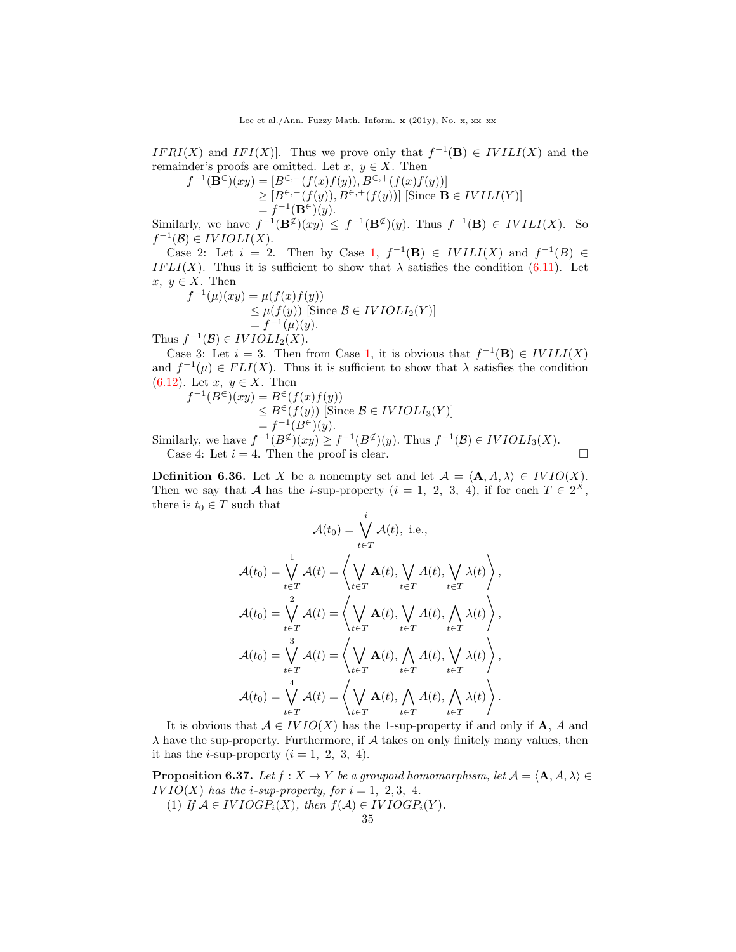$IFRI(X)$  and  $IFI(X)$ . Thus we prove only that  $f^{-1}(\mathbf{B}) \in IVILI(X)$  and the remainder's proofs are omitted. Let  $x, y \in X$ . Then

$$
f^{-1}(\mathbf{B}^{\in})(xy) = [B^{\in,-}(f(x)f(y)), B^{\in,+}(f(x)f(y))]
$$
  
\n
$$
\geq [B^{\in,-}(f(y)), B^{\in,+}(f(y))] \text{ [Since } \mathbf{B} \in IVILI(Y)]
$$
  
\n
$$
= f^{-1}(\mathbf{B}^{\in})(y).
$$

Similarly, we have  $f^{-1}(\mathbf{B}^{\not\in}(xy)) \leq f^{-1}(\mathbf{B}^{\not\in}(y))$ . Thus  $f^{-1}(\mathbf{B}) \in IVILI(X)$ . So  $f^{-1}(\mathcal{B}) \in IVIOLI(X).$ 

Case 2: Let  $i = 2$ . Then by Case 1,  $f^{-1}(\mathbf{B}) \in IVILI(X)$  and  $f^{-1}(B) \in$ IF LI(X). Thus it is sufficient to show that  $\lambda$  satisfies the condition (6.11). Let  $x, y \in X$ . Then

$$
f^{-1}(\mu)(xy) = \mu(f(x)f(y))
$$
  
\n
$$
\leq \mu(f(y)) \text{ [Since } B \in IVIOLI_2(Y)]
$$
  
\n
$$
= f^{-1}(\mu)(y).
$$

Thus  $f^{-1}(\mathcal{B}) \in IVIOLI_2(X)$ .

Case 3: Let  $i = 3$ . Then from Case 1, it is obvious that  $f^{-1}(\mathbf{B}) \in IVIII(X)$ and  $f^{-1}(\mu) \in FLI(X)$ . Thus it is sufficient to show that  $\lambda$  satisfies the condition (6.12). Let  $x, y \in X$ . Then

$$
f^{-1}(B^{\in})(xy) = B^{\in}(f(x)f(y))
$$
  
\n
$$
\leq B^{\in}(f(y))
$$
 [Since  $\mathcal{B} \in IVIOLI_3(Y)$ ]  
\n
$$
= f^{-1}(B^{\in})(y).
$$

Similarly, we have  $f^{-1}(B^{\notin})(xy) \ge f^{-1}(B^{\notin})(y)$ . Thus  $f^{-1}(\mathcal{B}) \in IVIOLI_3(X)$ . Case 4: Let  $i = 4$ . Then the proof is clear.

**Definition 6.36.** Let X be a nonempty set and let  $A = \langle A, A, \lambda \rangle \in IVIO(X)$ . Then we say that A has the *i*-sup-property  $(i = 1, 2, 3, 4)$ , if for each  $T \in 2^X$ , there is  $t_0 \in T$  such that

$$
\mathcal{A}(t_0) = \bigvee_{t \in T}^i \mathcal{A}(t), \text{ i.e.,}
$$
\n
$$
\mathcal{A}(t_0) = \bigvee_{t \in T}^1 \mathcal{A}(t) = \left\langle \bigvee_{t \in T} \mathbf{A}(t), \bigvee_{t \in T} A(t), \bigvee_{t \in T} \lambda(t) \right\rangle,
$$
\n
$$
\mathcal{A}(t_0) = \bigvee_{t \in T}^2 \mathcal{A}(t) = \left\langle \bigvee_{t \in T} \mathbf{A}(t), \bigvee_{t \in T} A(t), \bigwedge_{t \in T} \lambda(t) \right\rangle,
$$
\n
$$
\mathcal{A}(t_0) = \bigvee_{t \in T}^3 \mathcal{A}(t) = \left\langle \bigvee_{t \in T} \mathbf{A}(t), \bigwedge_{t \in T} A(t), \bigvee_{t \in T} \lambda(t) \right\rangle,
$$
\n
$$
\mathcal{A}(t_0) = \bigvee_{t \in T}^4 \mathcal{A}(t) = \left\langle \bigvee_{t \in T} \mathbf{A}(t), \bigwedge_{t \in T} A(t), \bigwedge_{t \in T} \lambda(t) \right\rangle.
$$

It is obvious that  $A \in IVIO(X)$  has the 1-sup-property if and only if **A**, A and  $\lambda$  have the sup-property. Furthermore, if  $A$  takes on only finitely many values, then it has the *i*-sup-property  $(i = 1, 2, 3, 4)$ .

**Proposition 6.37.** Let  $f : X \to Y$  be a groupoid homomorphism, let  $A = \langle A, A, \lambda \rangle \in$  $IVIO(X)$  has the *i*-sup-property, for  $i = 1, 2, 3, 4$ .

(1) If  $A \in IVIOGP_i(X)$ , then  $f(A) \in IVIOGP_i(Y)$ .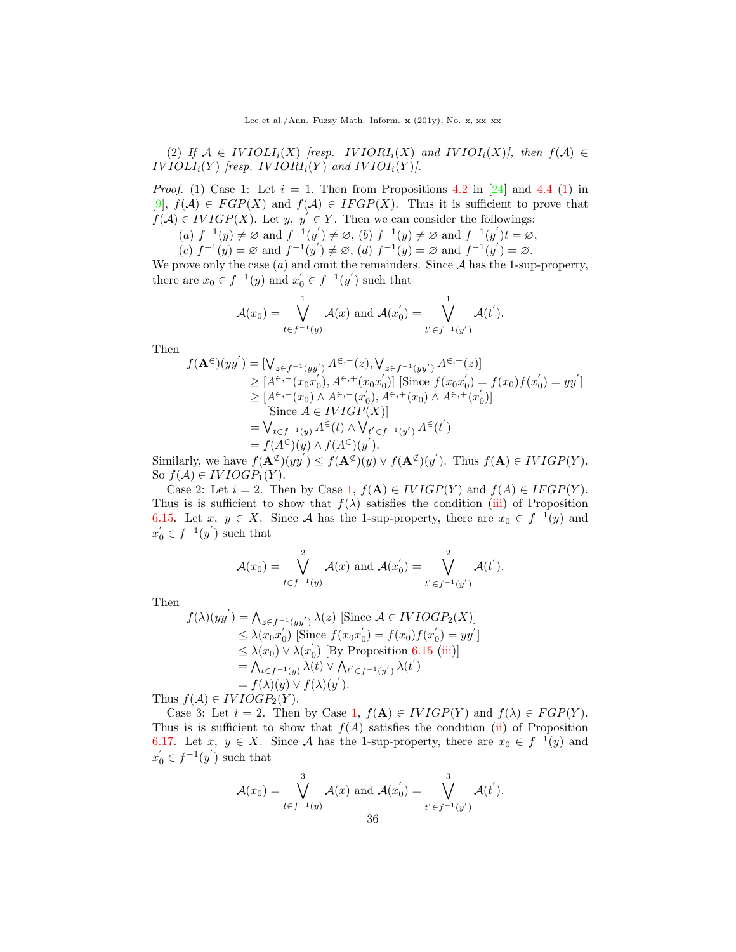(2) If  $A \in IVIOLI_i(X)$  [resp. IV IORI<sub>i</sub>(X) and IV IOI<sub>i</sub>(X)], then  $f(A) \in$  $IVIOLI_i(Y)$  [resp.  $IVIORI_i(Y)$  and  $IVIOI_i(Y)$ ].

*Proof.* (1) Case 1: Let  $i = 1$ . Then from Propositions 4.2 in [\[24\]](#page-38-8) and 4.4 (1) in [\[9\]](#page-37-18),  $f(A) \in FGP(X)$  and  $f(A) \in IFGP(X)$ . Thus it is sufficient to prove that  $f(\mathcal{A}) \in IVIGP(X)$ . Let  $y, y' \in Y$ . Then we can consider the followings:

(a)  $f^{-1}(y) \neq \emptyset$  and  $f^{-1}(y') \neq \emptyset$ , (b)  $f^{-1}(y) \neq \emptyset$  and  $f^{-1}(y')t = \emptyset$ ,

(c)  $f^{-1}(y) = \emptyset$  and  $f^{-1}(y') \neq \emptyset$ , (d)  $f^{-1}(y) = \emptyset$  and  $f^{-1}(y') = \emptyset$ .

We prove only the case  $(a)$  and omit the remainders. Since  $A$  has the 1-sup-property, there are  $x_0 \in f^{-1}(y)$  and  $x'_0 \in f^{-1}(y')$  such that

$$
\mathcal{A}(x_0) = \bigvee_{t \in f^{-1}(y)}^1 \mathcal{A}(x) \text{ and } \mathcal{A}(x_0') = \bigvee_{t' \in f^{-1}(y')}^1 \mathcal{A}(t').
$$

Then

$$
f(\mathbf{A}^{\epsilon})(yy') = [\bigvee_{z \in f^{-1}(yy')} A^{\epsilon,-}(z), \bigvee_{z \in f^{-1}(yy')} A^{\epsilon,+}(z)]
$$
  
\n
$$
\geq [A^{\epsilon,-}(x_0x'_0), A^{\epsilon,+}(x_0x'_0)] \text{ [Since } f(x_0x'_0) = f(x_0)f(x'_0) = yy']
$$
  
\n
$$
\geq [A^{\epsilon,-}(x_0) \wedge A^{\epsilon,-}(x'_0), A^{\epsilon,+}(x_0) \wedge A^{\epsilon,+}(x'_0)]
$$
  
\n[Since  $A \in IVIGP(X)$ ]  
\n
$$
= \bigvee_{t \in f^{-1}(y)} A^{\epsilon}(t) \wedge \bigvee_{t' \in f^{-1}(y')} A^{\epsilon}(t')
$$
  
\n
$$
= f(A^{\epsilon})(y) \wedge f(A^{\epsilon})(y').
$$

Similarly, we have  $f(\mathbf{A}^{\not\in}(yy') \leq f(\mathbf{A}^{\not\in}(y) \vee f(\mathbf{A}^{\not\in}(y'))$ . Thus  $f(\mathbf{A}) \in IVIGP(Y)$ . So  $f(A) \in IVIOGP_1(Y)$ .

Case 2: Let  $i = 2$ . Then by Case 1,  $f(A) \in IVIGP(Y)$  and  $f(A) \in IFGP(Y)$ . Thus is is sufficient to show that  $f(\lambda)$  satisfies the condition (iii) of Proposition [6.15.](#page-25-0) Let  $x, y \in X$ . Since A has the 1-sup-property, there are  $x_0 \in f^{-1}(y)$  and  $x'_0 \in f^{-1}(y')$  such that

$$
\mathcal{A}(x_0) = \bigvee_{t \in f^{-1}(y)}^2 \mathcal{A}(x) \text{ and } \mathcal{A}(x_0') = \bigvee_{t' \in f^{-1}(y')}^2 \mathcal{A}(t').
$$

Then

$$
f(\lambda)(yy') = \bigwedge_{z \in f^{-1}(yy')} \lambda(z) \text{ [Since } A \in IVOGP_2(X)]
$$
  
\n
$$
\leq \lambda(x_0x'_0) \text{ [Since } f(x_0x'_0) = f(x_0)f(x'_0) = yy']
$$
  
\n
$$
\leq \lambda(x_0) \vee \lambda(x'_0) \text{ [By Proposition 6.15 (iii)]}
$$
  
\n
$$
= \bigwedge_{t \in f^{-1}(y)} \lambda(t) \vee \bigwedge_{t' \in f^{-1}(y')} \lambda(t')
$$
  
\n
$$
= f(\lambda)(y) \vee f(\lambda)(y').
$$

Thus  $f(A) \in IVIOGP_2(Y)$ .

Case 3: Let  $i = 2$ . Then by Case 1,  $f(A) \in IVIGP(Y)$  and  $f(\lambda) \in FGP(Y)$ . Thus is is sufficient to show that  $f(A)$  satisfies the condition (ii) of Proposition [6.17.](#page-25-1) Let  $x, y \in X$ . Since A has the 1-sup-property, there are  $x_0 \in f^{-1}(y)$  and  $x'_0 \in f^{-1}(y')$  such that

$$
\mathcal{A}(x_0) = \bigvee_{t \in f^{-1}(y)}^3 \mathcal{A}(x) \text{ and } \mathcal{A}(x_0') = \bigvee_{t' \in f^{-1}(y')}^3 \mathcal{A}(t').
$$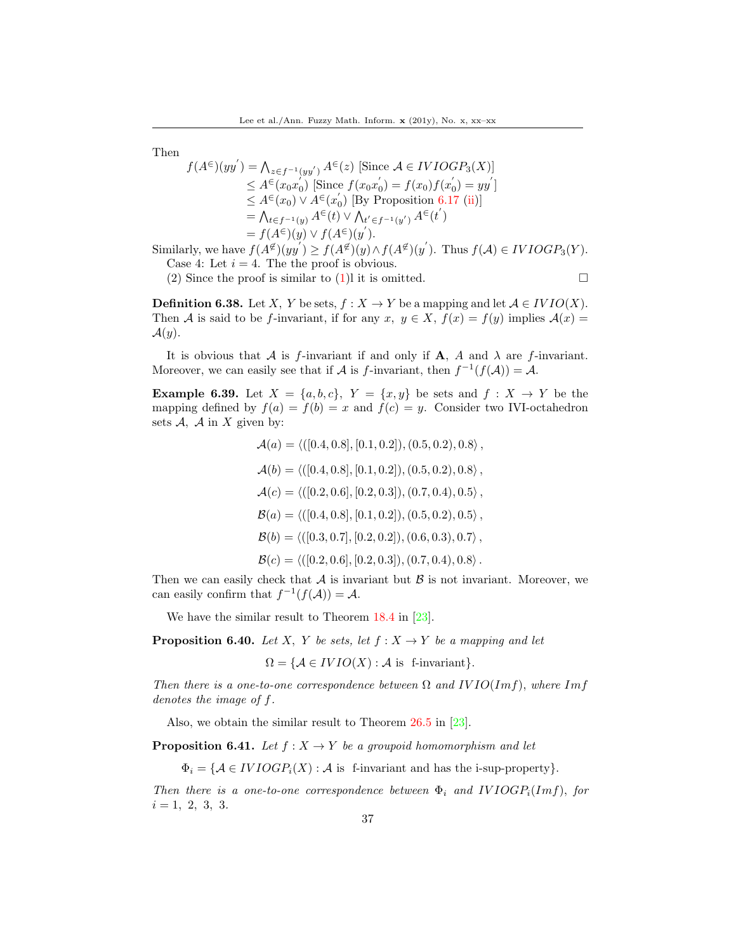Then

$$
f(A^{\epsilon})(yy') = \bigwedge_{z \in f^{-1}(yy')} A^{\epsilon}(z) \text{ [Since } A \in IVIOGP_3(X)]
$$
  
\n
$$
\leq A^{\epsilon}(x_0x_0') \text{ [Since } f(x_0x_0') = f(x_0)f(x_0') = yy']
$$
  
\n
$$
\leq A^{\epsilon}(x_0) \vee A^{\epsilon}(x_0') \text{ [By Proposition 6.17 (ii)]}
$$
  
\n
$$
= \bigwedge_{t \in f^{-1}(y)} A^{\epsilon}(t) \vee \bigwedge_{t' \in f^{-1}(y')} A^{\epsilon}(t')
$$
  
\n
$$
= f(A^{\epsilon})(y) \vee f(A^{\epsilon})(y').
$$

Similarly, we have  $f(A^{\not\in}(yy') \ge f(A^{\not\in}(y) \wedge f(A^{\not\in}(y'))$ . Thus  $f(A) \in IVIOGP_3(Y)$ . Case 4: Let  $i = 4$ . The the proof is obvious.

(2) Since the proof is similar to  $(1)$ l it is omitted.

$$
\qquad \qquad \Box
$$

**Definition 6.38.** Let X, Y be sets,  $f : X \to Y$  be a mapping and let  $A \in IVIO(X)$ . Then A is said to be f-invariant, if for any  $x, y \in X$ ,  $f(x) = f(y)$  implies  $\mathcal{A}(x) =$  $\mathcal{A}(y)$ .

It is obvious that A is f-invariant if and only if A, A and  $\lambda$  are f-invariant. Moreover, we can easily see that if A is f-invariant, then  $f^{-1}(f(A)) = A$ .

**Example 6.39.** Let  $X = \{a, b, c\}$ ,  $Y = \{x, y\}$  be sets and  $f : X \rightarrow Y$  be the mapping defined by  $f(a) = f(b) = x$  and  $f(c) = y$ . Consider two IVI-octahedron sets  $A$ ,  $A$  in  $X$  given by:

> $\mathcal{A}(a) = \langle (0.4, 0.8], [0.1, 0.2]), (0.5, 0.2), 0.8 \rangle$ ,  $\mathcal{A}(b) = \langle (0.4, 0.8], [0.1, 0.2]), (0.5, 0.2), 0.8 \rangle$  $\mathcal{A}(c) = \langle (0.2, 0.6], [0.2, 0.3]), (0.7, 0.4), 0.5 \rangle$ ,  $\mathcal{B}(a) = \langle (0.4, 0.8], [0.1, 0.2], (0.5, 0.2), 0.5 \rangle$ ,  $\mathcal{B}(b) = \langle (0.3, 0.7], [0.2, 0.2]), (0.6, 0.3), 0.7 \rangle$ ,  $\mathcal{B}(c) = \langle (0.2, 0.6], [0.2, 0.3]), (0.7, 0.4), 0.8 \rangle$ .

Then we can easily check that  $A$  is invariant but  $B$  is not invariant. Moreover, we can easily confirm that  $f^{-1}(f(\mathcal{A})) = \mathcal{A}$ .

We have the similar result to Theorem 18.4 in [\[23\]](#page-38-9).

**Proposition 6.40.** Let X, Y be sets, let  $f: X \rightarrow Y$  be a mapping and let

 $\Omega = \{ \mathcal{A} \in IVIO(X) : \mathcal{A} \text{ is } \text{ f-invariant} \}.$ 

Then there is a one-to-one correspondence between  $\Omega$  and  $IVIO(Im f)$ , where Imf denotes the image of f.

Also, we obtain the similar result to Theorem 26.5 in [\[23\]](#page-38-9).

**Proposition 6.41.** Let  $f : X \to Y$  be a groupoid homomorphism and let

 $\Phi_i = \{ \mathcal{A} \in IVIOGP_i(X) : \mathcal{A} \text{ is } \text{f-invariant and has the i-sup-property} \}.$ 

Then there is a one-to-one correspondence between  $\Phi_i$  and  $IVIOGP_i(Imf)$ , for  $i = 1, 2, 3, 3.$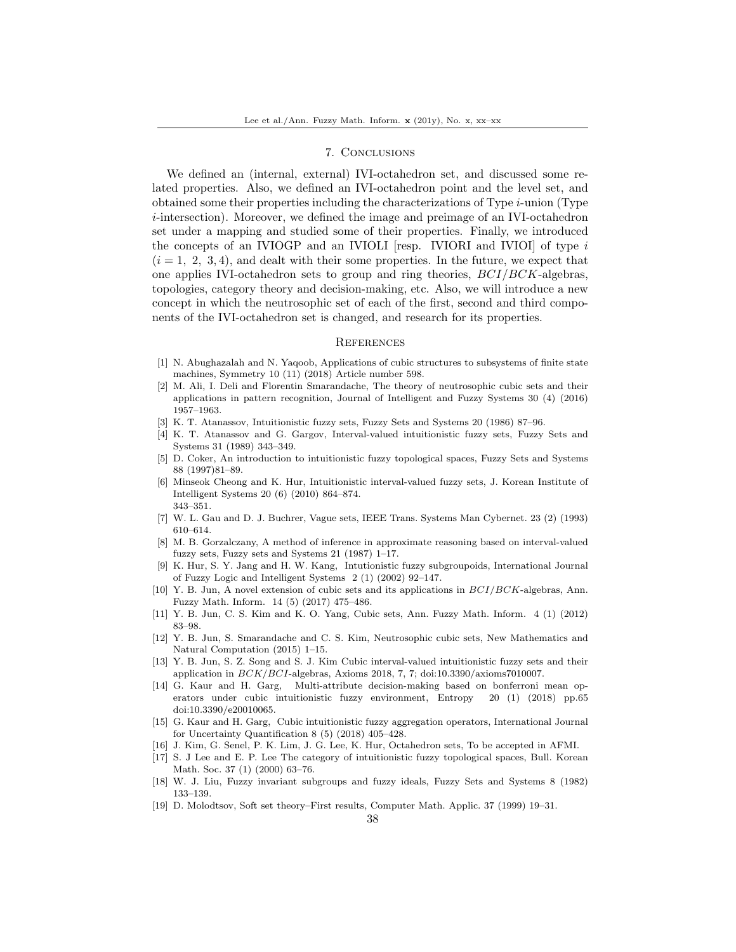## 7. Conclusions

We defined an (internal, external) IVI-octahedron set, and discussed some related properties. Also, we defined an IVI-octahedron point and the level set, and obtained some their properties including the characterizations of Type  $i$ -union (Type i-intersection). Moreover, we defined the image and preimage of an IVI-octahedron set under a mapping and studied some of their properties. Finally, we introduced the concepts of an IVIOGP and an IVIOLI [resp. IVIORI and IVIOI] of type  $i$  $(i = 1, 2, 3, 4)$ , and dealt with their some properties. In the future, we expect that one applies IVI-octahedron sets to group and ring theories,  $BCI/BCK$ -algebras, topologies, category theory and decision-making, etc. Also, we will introduce a new concept in which the neutrosophic set of each of the first, second and third components of the IVI-octahedron set is changed, and research for its properties.

### **REFERENCES**

- <span id="page-37-6"></span>[1] N. Abughazalah and N. Yaqoob, Applications of cubic structures to subsystems of finite state machines, Symmetry 10 (11) (2018) Article number 598.
- <span id="page-37-8"></span>[2] M. Ali, I. Deli and Florentin Smarandache, The theory of neutrosophic cubic sets and their applications in pattern recognition, Journal of Intelligent and Fuzzy Systems 30 (4) (2016) 1957–1963.
- <span id="page-37-1"></span>[3] K. T. Atanassov, Intuitionistic fuzzy sets, Fuzzy Sets and Systems 20 (1986) 87–96.
- <span id="page-37-2"></span>[4] K. T. Atanassov and G. Gargov, Interval-valued intuitionistic fuzzy sets, Fuzzy Sets and Systems 31 (1989) 343–349.
- <span id="page-37-16"></span>[5] D. Coker, An introduction to intuitionistic fuzzy topological spaces, Fuzzy Sets and Systems 88 (1997)81–89.
- <span id="page-37-14"></span>[6] Minseok Cheong and K. Hur, Intuitionistic interval-valued fuzzy sets, J. Korean Institute of Intelligent Systems 20 (6) (2010) 864–874. 343–351.
- <span id="page-37-3"></span>[7] W. L. Gau and D. J. Buchrer, Vague sets, IEEE Trans. Systems Man Cybernet. 23 (2) (1993) 610–614.
- <span id="page-37-0"></span>[8] M. B. Gorzalczany, A method of inference in approximate reasoning based on interval-valued fuzzy sets, Fuzzy sets and Systems 21 (1987) 1–17.
- <span id="page-37-18"></span>[9] K. Hur, S. Y. Jang and H. W. Kang, Intutionistic fuzzy subgroupoids, International Journal of Fuzzy Logic and Intelligent Systems 2 (1) (2002) 92–147.
- <span id="page-37-9"></span>[10] Y. B. Jun, A novel extension of cubic sets and its applications in BCI/BCK-algebras, Ann. Fuzzy Math. Inform. 14 (5) (2017) 475–486.
- <span id="page-37-5"></span>[11] Y. B. Jun, C. S. Kim and K. O. Yang, Cubic sets, Ann. Fuzzy Math. Inform. 4 (1) (2012) 83–98.
- <span id="page-37-7"></span>[12] Y. B. Jun, S. Smarandache and C. S. Kim, Neutrosophic cubic sets, New Mathematics and Natural Computation (2015) 1–15.
- <span id="page-37-13"></span>[13] Y. B. Jun, S. Z. Song and S. J. Kim Cubic interval-valued intuitionistic fuzzy sets and their application in  $BCK/BCI$ -algebras, Axioms 2018, 7, 7; doi:10.3390/axioms7010007.
- <span id="page-37-10"></span>[14] G. Kaur and H. Garg, Multi-attribute decision-making based on bonferroni mean operators under cubic intuitionistic fuzzy environment, Entropy 20 (1) (2018) pp.65 doi:10.3390/e20010065.
- <span id="page-37-11"></span>[15] G. Kaur and H. Garg, Cubic intuitionistic fuzzy aggregation operators, International Journal for Uncertainty Quantification 8 (5) (2018) 405–428.
- <span id="page-37-12"></span>[16] J. Kim, G. Senel, P. K. Lim, J. G. Lee, K. Hur, Octahedron sets, To be accepted in AFMI.
- <span id="page-37-15"></span>[17] S. J Lee and E. P. Lee The category of intuitionistic fuzzy topological spaces, Bull. Korean Math. Soc. 37 (1) (2000) 63–76.
- <span id="page-37-17"></span>[18] W. J. Liu, Fuzzy invariant subgroups and fuzzy ideals, Fuzzy Sets and Systems 8 (1982) 133–139.
- <span id="page-37-4"></span>[19] D. Molodtsov, Soft set theory–First results, Computer Math. Applic. 37 (1999) 19–31.